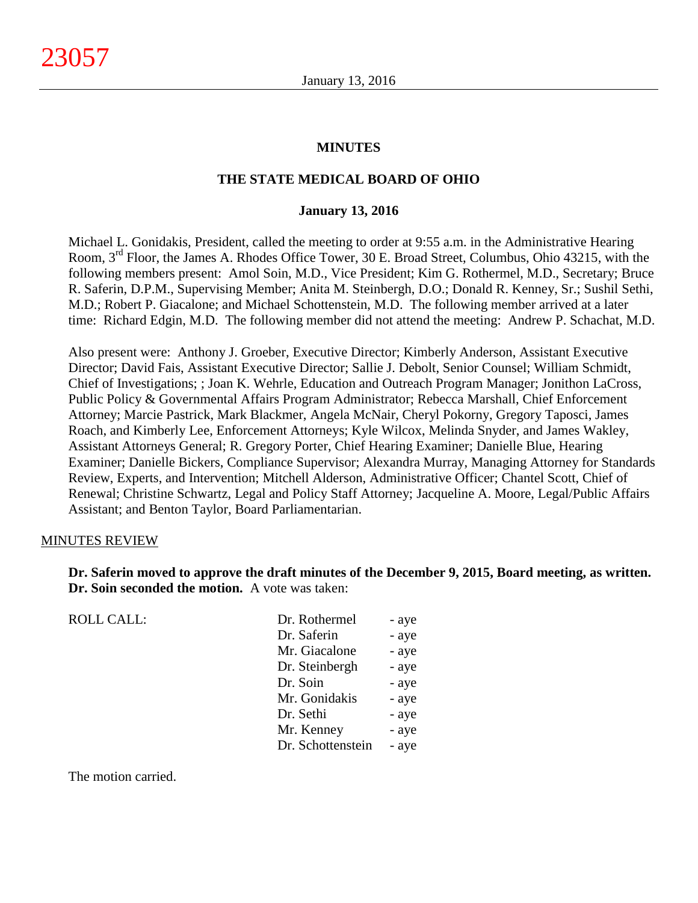#### **MINUTES**

#### **THE STATE MEDICAL BOARD OF OHIO**

#### **January 13, 2016**

Michael L. Gonidakis, President, called the meeting to order at 9:55 a.m. in the Administrative Hearing Room, 3<sup>rd</sup> Floor, the James A. Rhodes Office Tower, 30 E. Broad Street, Columbus, Ohio 43215, with the following members present: Amol Soin, M.D., Vice President; Kim G. Rothermel, M.D., Secretary; Bruce R. Saferin, D.P.M., Supervising Member; Anita M. Steinbergh, D.O.; Donald R. Kenney, Sr.; Sushil Sethi, M.D.; Robert P. Giacalone; and Michael Schottenstein, M.D. The following member arrived at a later time: Richard Edgin, M.D. The following member did not attend the meeting: Andrew P. Schachat, M.D.

Also present were: Anthony J. Groeber, Executive Director; Kimberly Anderson, Assistant Executive Director; David Fais, Assistant Executive Director; Sallie J. Debolt, Senior Counsel; William Schmidt, Chief of Investigations; ; Joan K. Wehrle, Education and Outreach Program Manager; Jonithon LaCross, Public Policy & Governmental Affairs Program Administrator; Rebecca Marshall, Chief Enforcement Attorney; Marcie Pastrick, Mark Blackmer, Angela McNair, Cheryl Pokorny, Gregory Taposci, James Roach, and Kimberly Lee, Enforcement Attorneys; Kyle Wilcox, Melinda Snyder, and James Wakley, Assistant Attorneys General; R. Gregory Porter, Chief Hearing Examiner; Danielle Blue, Hearing Examiner; Danielle Bickers, Compliance Supervisor; Alexandra Murray, Managing Attorney for Standards Review, Experts, and Intervention; Mitchell Alderson, Administrative Officer; Chantel Scott, Chief of Renewal; Christine Schwartz, Legal and Policy Staff Attorney; Jacqueline A. Moore, Legal/Public Affairs Assistant; and Benton Taylor, Board Parliamentarian.

#### MINUTES REVIEW

**Dr. Saferin moved to approve the draft minutes of the December 9, 2015, Board meeting, as written. Dr. Soin seconded the motion.** A vote was taken:

ROLL CALL:

| Dr. Rothermel     | - aye |
|-------------------|-------|
| Dr. Saferin       | - aye |
| Mr. Giacalone     | - aye |
| Dr. Steinbergh    | - aye |
| Dr. Soin          | - aye |
| Mr. Gonidakis     | - aye |
| Dr. Sethi         | - aye |
| Mr. Kenney        | - aye |
| Dr. Schottenstein | - aye |

The motion carried.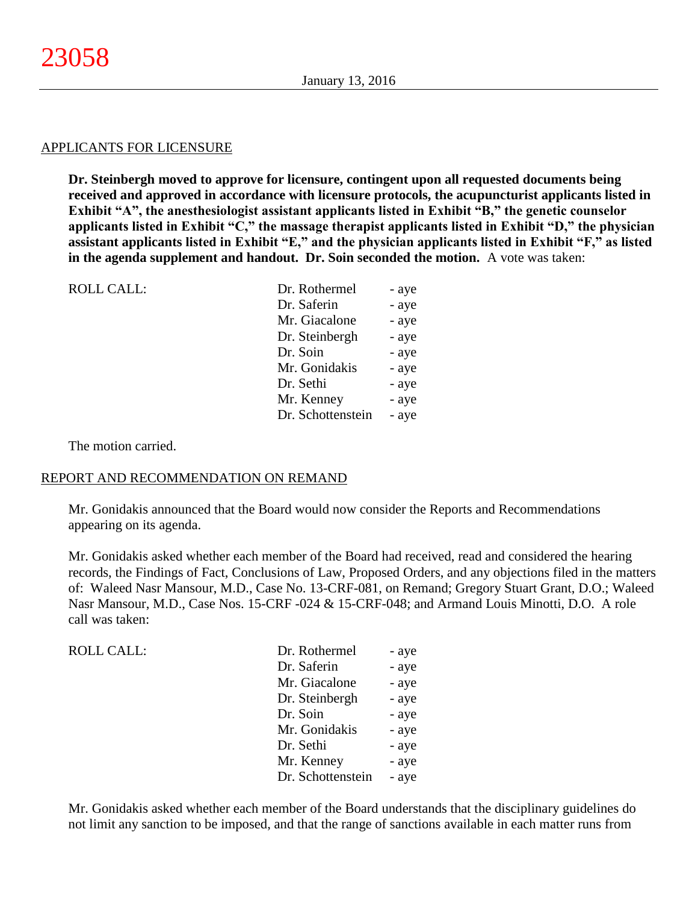#### APPLICANTS FOR LICENSURE

**Dr. Steinbergh moved to approve for licensure, contingent upon all requested documents being received and approved in accordance with licensure protocols, the acupuncturist applicants listed in Exhibit "A", the anesthesiologist assistant applicants listed in Exhibit "B," the genetic counselor applicants listed in Exhibit "C," the massage therapist applicants listed in Exhibit "D," the physician assistant applicants listed in Exhibit "E," and the physician applicants listed in Exhibit "F," as listed in the agenda supplement and handout. Dr. Soin seconded the motion.** A vote was taken:

| Dr. Rothermel     | - aye |
|-------------------|-------|
| Dr. Saferin       | - aye |
| Mr. Giacalone     | - aye |
| Dr. Steinbergh    | - aye |
| Dr. Soin          | - aye |
| Mr. Gonidakis     | - aye |
| Dr. Sethi         | - aye |
| Mr. Kenney        | - aye |
| Dr. Schottenstein | - aye |
|                   |       |

The motion carried.

#### REPORT AND RECOMMENDATION ON REMAND

Mr. Gonidakis announced that the Board would now consider the Reports and Recommendations appearing on its agenda.

Mr. Gonidakis asked whether each member of the Board had received, read and considered the hearing records, the Findings of Fact, Conclusions of Law, Proposed Orders, and any objections filed in the matters of: Waleed Nasr Mansour, M.D., Case No. 13-CRF-081, on Remand; Gregory Stuart Grant, D.O.; Waleed Nasr Mansour, M.D., Case Nos. 15-CRF -024 & 15-CRF-048; and Armand Louis Minotti, D.O. A role call was taken:

| <b>ROLL CALL:</b> | Dr. Rothermel     | - aye |
|-------------------|-------------------|-------|
|                   | Dr. Saferin       | - aye |
|                   | Mr. Giacalone     | - aye |
|                   | Dr. Steinbergh    | - aye |
|                   | Dr. Soin          | - aye |
|                   | Mr. Gonidakis     | - aye |
|                   | Dr. Sethi         | - aye |
|                   | Mr. Kenney        | - aye |
|                   | Dr. Schottenstein | - aye |

Mr. Gonidakis asked whether each member of the Board understands that the disciplinary guidelines do not limit any sanction to be imposed, and that the range of sanctions available in each matter runs from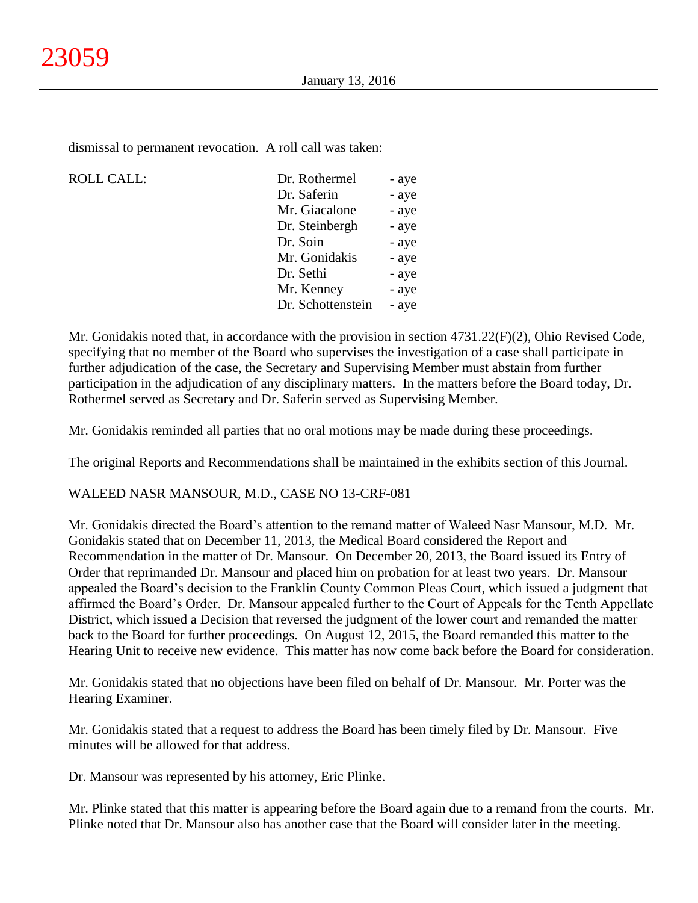dismissal to permanent revocation. A roll call was taken:

# ROLL CALL:

| Dr. Rothermel     | - aye |
|-------------------|-------|
| Dr. Saferin       | - aye |
| Mr. Giacalone     | - aye |
| Dr. Steinbergh    | - aye |
| Dr. Soin          | - aye |
| Mr. Gonidakis     | - aye |
| Dr. Sethi         | - aye |
| Mr. Kenney        | - aye |
| Dr. Schottenstein | - aye |
|                   |       |

Mr. Gonidakis noted that, in accordance with the provision in section 4731.22(F)(2), Ohio Revised Code, specifying that no member of the Board who supervises the investigation of a case shall participate in further adjudication of the case, the Secretary and Supervising Member must abstain from further participation in the adjudication of any disciplinary matters. In the matters before the Board today, Dr. Rothermel served as Secretary and Dr. Saferin served as Supervising Member.

Mr. Gonidakis reminded all parties that no oral motions may be made during these proceedings.

The original Reports and Recommendations shall be maintained in the exhibits section of this Journal.

# WALEED NASR MANSOUR, M.D., CASE NO 13-CRF-081

Mr. Gonidakis directed the Board's attention to the remand matter of Waleed Nasr Mansour, M.D. Mr. Gonidakis stated that on December 11, 2013, the Medical Board considered the Report and Recommendation in the matter of Dr. Mansour. On December 20, 2013, the Board issued its Entry of Order that reprimanded Dr. Mansour and placed him on probation for at least two years. Dr. Mansour appealed the Board's decision to the Franklin County Common Pleas Court, which issued a judgment that affirmed the Board's Order. Dr. Mansour appealed further to the Court of Appeals for the Tenth Appellate District, which issued a Decision that reversed the judgment of the lower court and remanded the matter back to the Board for further proceedings. On August 12, 2015, the Board remanded this matter to the Hearing Unit to receive new evidence. This matter has now come back before the Board for consideration.

Mr. Gonidakis stated that no objections have been filed on behalf of Dr. Mansour. Mr. Porter was the Hearing Examiner.

Mr. Gonidakis stated that a request to address the Board has been timely filed by Dr. Mansour. Five minutes will be allowed for that address.

Dr. Mansour was represented by his attorney, Eric Plinke.

Mr. Plinke stated that this matter is appearing before the Board again due to a remand from the courts. Mr. Plinke noted that Dr. Mansour also has another case that the Board will consider later in the meeting.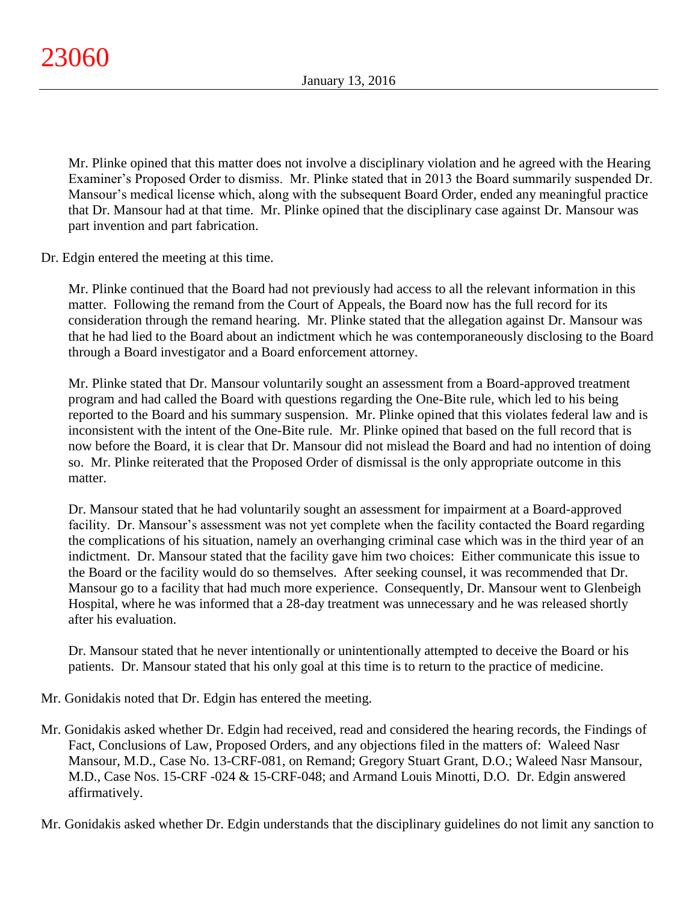Mr. Plinke opined that this matter does not involve a disciplinary violation and he agreed with the Hearing Examiner's Proposed Order to dismiss. Mr. Plinke stated that in 2013 the Board summarily suspended Dr. Mansour's medical license which, along with the subsequent Board Order, ended any meaningful practice that Dr. Mansour had at that time. Mr. Plinke opined that the disciplinary case against Dr. Mansour was part invention and part fabrication.

Dr. Edgin entered the meeting at this time.

Mr. Plinke continued that the Board had not previously had access to all the relevant information in this matter. Following the remand from the Court of Appeals, the Board now has the full record for its consideration through the remand hearing. Mr. Plinke stated that the allegation against Dr. Mansour was that he had lied to the Board about an indictment which he was contemporaneously disclosing to the Board through a Board investigator and a Board enforcement attorney.

Mr. Plinke stated that Dr. Mansour voluntarily sought an assessment from a Board-approved treatment program and had called the Board with questions regarding the One-Bite rule, which led to his being reported to the Board and his summary suspension. Mr. Plinke opined that this violates federal law and is inconsistent with the intent of the One-Bite rule. Mr. Plinke opined that based on the full record that is now before the Board, it is clear that Dr. Mansour did not mislead the Board and had no intention of doing so. Mr. Plinke reiterated that the Proposed Order of dismissal is the only appropriate outcome in this matter.

Dr. Mansour stated that he had voluntarily sought an assessment for impairment at a Board-approved facility. Dr. Mansour's assessment was not yet complete when the facility contacted the Board regarding the complications of his situation, namely an overhanging criminal case which was in the third year of an indictment. Dr. Mansour stated that the facility gave him two choices: Either communicate this issue to the Board or the facility would do so themselves. After seeking counsel, it was recommended that Dr. Mansour go to a facility that had much more experience. Consequently, Dr. Mansour went to Glenbeigh Hospital, where he was informed that a 28-day treatment was unnecessary and he was released shortly after his evaluation.

Dr. Mansour stated that he never intentionally or unintentionally attempted to deceive the Board or his patients. Dr. Mansour stated that his only goal at this time is to return to the practice of medicine.

Mr. Gonidakis noted that Dr. Edgin has entered the meeting.

Mr. Gonidakis asked whether Dr. Edgin had received, read and considered the hearing records, the Findings of Fact, Conclusions of Law, Proposed Orders, and any objections filed in the matters of: Waleed Nasr Mansour, M.D., Case No. 13-CRF-081, on Remand; Gregory Stuart Grant, D.O.; Waleed Nasr Mansour, M.D., Case Nos. 15-CRF -024 & 15-CRF-048; and Armand Louis Minotti, D.O. Dr. Edgin answered affirmatively.

Mr. Gonidakis asked whether Dr. Edgin understands that the disciplinary guidelines do not limit any sanction to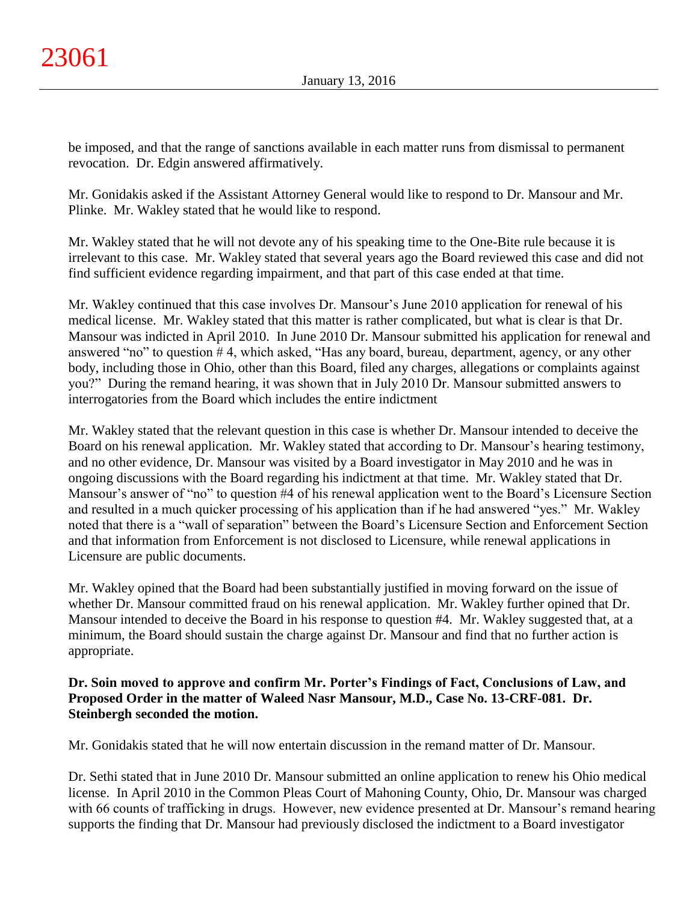be imposed, and that the range of sanctions available in each matter runs from dismissal to permanent revocation. Dr. Edgin answered affirmatively.

Mr. Gonidakis asked if the Assistant Attorney General would like to respond to Dr. Mansour and Mr. Plinke. Mr. Wakley stated that he would like to respond.

Mr. Wakley stated that he will not devote any of his speaking time to the One-Bite rule because it is irrelevant to this case. Mr. Wakley stated that several years ago the Board reviewed this case and did not find sufficient evidence regarding impairment, and that part of this case ended at that time.

Mr. Wakley continued that this case involves Dr. Mansour's June 2010 application for renewal of his medical license. Mr. Wakley stated that this matter is rather complicated, but what is clear is that Dr. Mansour was indicted in April 2010. In June 2010 Dr. Mansour submitted his application for renewal and answered "no" to question # 4, which asked, "Has any board, bureau, department, agency, or any other body, including those in Ohio, other than this Board, filed any charges, allegations or complaints against you?" During the remand hearing, it was shown that in July 2010 Dr. Mansour submitted answers to interrogatories from the Board which includes the entire indictment

Mr. Wakley stated that the relevant question in this case is whether Dr. Mansour intended to deceive the Board on his renewal application. Mr. Wakley stated that according to Dr. Mansour's hearing testimony, and no other evidence, Dr. Mansour was visited by a Board investigator in May 2010 and he was in ongoing discussions with the Board regarding his indictment at that time. Mr. Wakley stated that Dr. Mansour's answer of "no" to question #4 of his renewal application went to the Board's Licensure Section and resulted in a much quicker processing of his application than if he had answered "yes." Mr. Wakley noted that there is a "wall of separation" between the Board's Licensure Section and Enforcement Section and that information from Enforcement is not disclosed to Licensure, while renewal applications in Licensure are public documents.

Mr. Wakley opined that the Board had been substantially justified in moving forward on the issue of whether Dr. Mansour committed fraud on his renewal application. Mr. Wakley further opined that Dr. Mansour intended to deceive the Board in his response to question #4. Mr. Wakley suggested that, at a minimum, the Board should sustain the charge against Dr. Mansour and find that no further action is appropriate.

# **Dr. Soin moved to approve and confirm Mr. Porter's Findings of Fact, Conclusions of Law, and Proposed Order in the matter of Waleed Nasr Mansour, M.D., Case No. 13-CRF-081. Dr. Steinbergh seconded the motion.**

Mr. Gonidakis stated that he will now entertain discussion in the remand matter of Dr. Mansour.

Dr. Sethi stated that in June 2010 Dr. Mansour submitted an online application to renew his Ohio medical license. In April 2010 in the Common Pleas Court of Mahoning County, Ohio, Dr. Mansour was charged with 66 counts of trafficking in drugs. However, new evidence presented at Dr. Mansour's remand hearing supports the finding that Dr. Mansour had previously disclosed the indictment to a Board investigator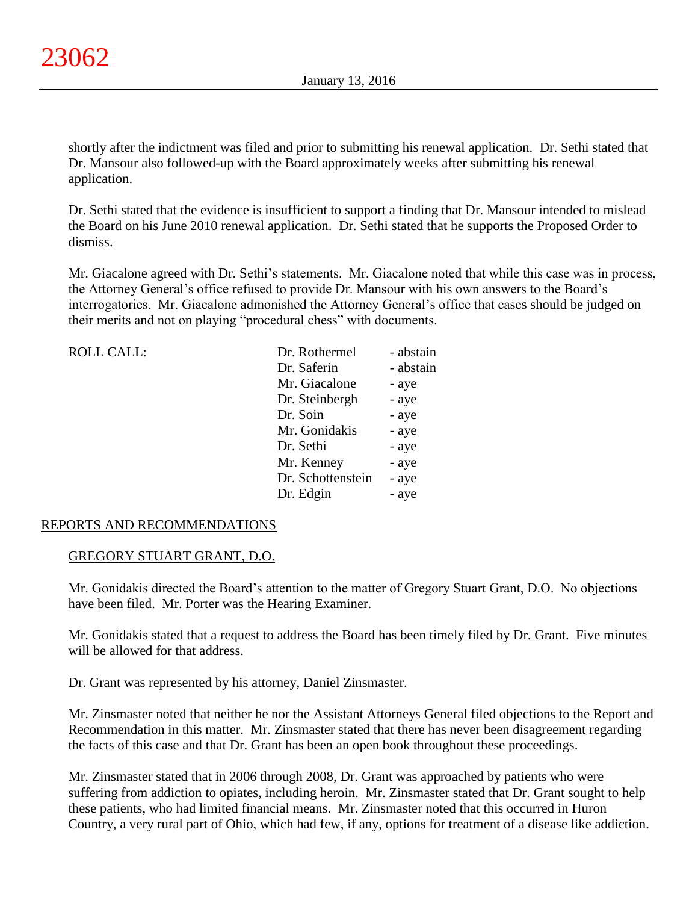shortly after the indictment was filed and prior to submitting his renewal application. Dr. Sethi stated that Dr. Mansour also followed-up with the Board approximately weeks after submitting his renewal application.

Dr. Sethi stated that the evidence is insufficient to support a finding that Dr. Mansour intended to mislead the Board on his June 2010 renewal application. Dr. Sethi stated that he supports the Proposed Order to dismiss.

Mr. Giacalone agreed with Dr. Sethi's statements. Mr. Giacalone noted that while this case was in process, the Attorney General's office refused to provide Dr. Mansour with his own answers to the Board's interrogatories. Mr. Giacalone admonished the Attorney General's office that cases should be judged on their merits and not on playing "procedural chess" with documents.

| <b>ROLL CALL:</b> | Dr. Rothermel     | - abstain |
|-------------------|-------------------|-----------|
|                   | Dr. Saferin       | - abstain |
|                   | Mr. Giacalone     | - aye     |
|                   | Dr. Steinbergh    | - aye     |
|                   | Dr. Soin          | - aye     |
|                   | Mr. Gonidakis     | - aye     |
|                   | Dr. Sethi         | - aye     |
|                   | Mr. Kenney        | - aye     |
|                   | Dr. Schottenstein | - aye     |
|                   | Dr. Edgin         | - aye     |
|                   |                   |           |

# REPORTS AND RECOMMENDATIONS

# GREGORY STUART GRANT, D.O.

Mr. Gonidakis directed the Board's attention to the matter of Gregory Stuart Grant, D.O. No objections have been filed. Mr. Porter was the Hearing Examiner.

Mr. Gonidakis stated that a request to address the Board has been timely filed by Dr. Grant. Five minutes will be allowed for that address.

Dr. Grant was represented by his attorney, Daniel Zinsmaster.

Mr. Zinsmaster noted that neither he nor the Assistant Attorneys General filed objections to the Report and Recommendation in this matter. Mr. Zinsmaster stated that there has never been disagreement regarding the facts of this case and that Dr. Grant has been an open book throughout these proceedings.

Mr. Zinsmaster stated that in 2006 through 2008, Dr. Grant was approached by patients who were suffering from addiction to opiates, including heroin. Mr. Zinsmaster stated that Dr. Grant sought to help these patients, who had limited financial means. Mr. Zinsmaster noted that this occurred in Huron Country, a very rural part of Ohio, which had few, if any, options for treatment of a disease like addiction.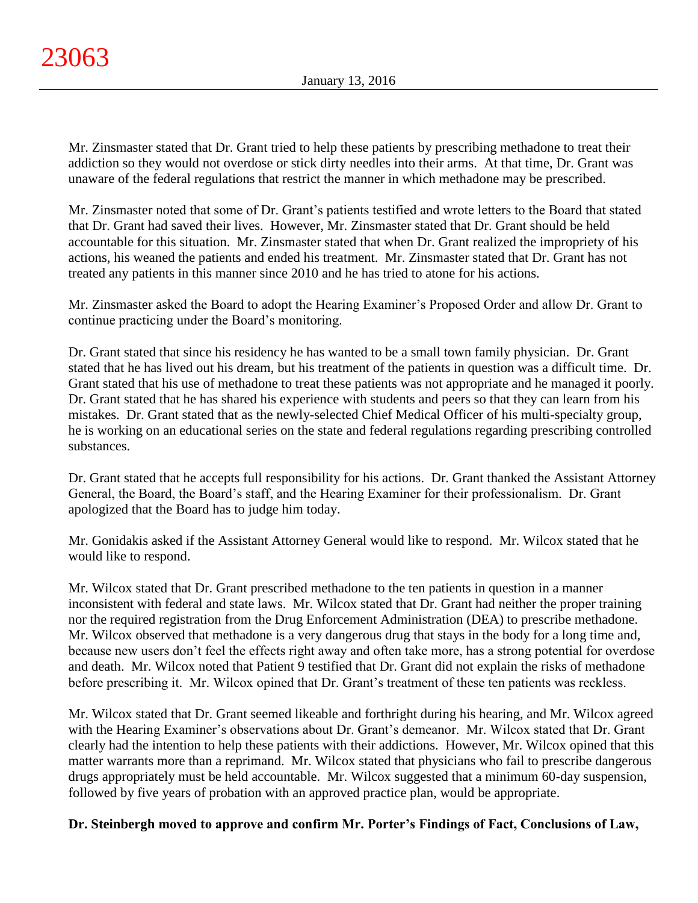Mr. Zinsmaster stated that Dr. Grant tried to help these patients by prescribing methadone to treat their addiction so they would not overdose or stick dirty needles into their arms. At that time, Dr. Grant was unaware of the federal regulations that restrict the manner in which methadone may be prescribed.

Mr. Zinsmaster noted that some of Dr. Grant's patients testified and wrote letters to the Board that stated that Dr. Grant had saved their lives. However, Mr. Zinsmaster stated that Dr. Grant should be held accountable for this situation. Mr. Zinsmaster stated that when Dr. Grant realized the impropriety of his actions, his weaned the patients and ended his treatment. Mr. Zinsmaster stated that Dr. Grant has not treated any patients in this manner since 2010 and he has tried to atone for his actions.

Mr. Zinsmaster asked the Board to adopt the Hearing Examiner's Proposed Order and allow Dr. Grant to continue practicing under the Board's monitoring.

Dr. Grant stated that since his residency he has wanted to be a small town family physician. Dr. Grant stated that he has lived out his dream, but his treatment of the patients in question was a difficult time. Dr. Grant stated that his use of methadone to treat these patients was not appropriate and he managed it poorly. Dr. Grant stated that he has shared his experience with students and peers so that they can learn from his mistakes. Dr. Grant stated that as the newly-selected Chief Medical Officer of his multi-specialty group, he is working on an educational series on the state and federal regulations regarding prescribing controlled substances.

Dr. Grant stated that he accepts full responsibility for his actions. Dr. Grant thanked the Assistant Attorney General, the Board, the Board's staff, and the Hearing Examiner for their professionalism. Dr. Grant apologized that the Board has to judge him today.

Mr. Gonidakis asked if the Assistant Attorney General would like to respond. Mr. Wilcox stated that he would like to respond.

Mr. Wilcox stated that Dr. Grant prescribed methadone to the ten patients in question in a manner inconsistent with federal and state laws. Mr. Wilcox stated that Dr. Grant had neither the proper training nor the required registration from the Drug Enforcement Administration (DEA) to prescribe methadone. Mr. Wilcox observed that methadone is a very dangerous drug that stays in the body for a long time and, because new users don't feel the effects right away and often take more, has a strong potential for overdose and death. Mr. Wilcox noted that Patient 9 testified that Dr. Grant did not explain the risks of methadone before prescribing it. Mr. Wilcox opined that Dr. Grant's treatment of these ten patients was reckless.

Mr. Wilcox stated that Dr. Grant seemed likeable and forthright during his hearing, and Mr. Wilcox agreed with the Hearing Examiner's observations about Dr. Grant's demeanor. Mr. Wilcox stated that Dr. Grant clearly had the intention to help these patients with their addictions. However, Mr. Wilcox opined that this matter warrants more than a reprimand. Mr. Wilcox stated that physicians who fail to prescribe dangerous drugs appropriately must be held accountable. Mr. Wilcox suggested that a minimum 60-day suspension, followed by five years of probation with an approved practice plan, would be appropriate.

**Dr. Steinbergh moved to approve and confirm Mr. Porter's Findings of Fact, Conclusions of Law,**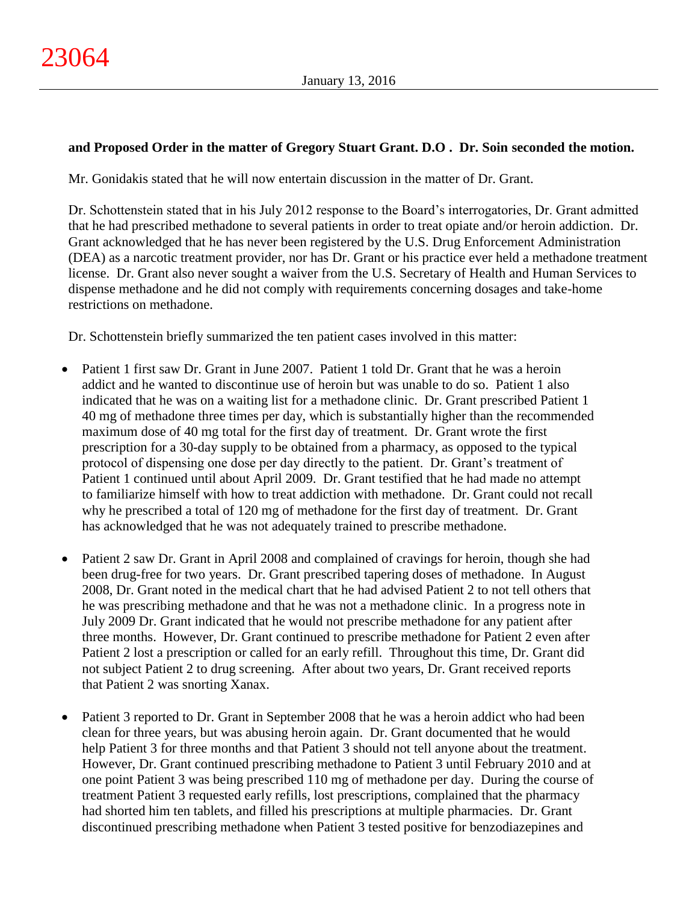# **and Proposed Order in the matter of Gregory Stuart Grant. D.O . Dr. Soin seconded the motion.**

Mr. Gonidakis stated that he will now entertain discussion in the matter of Dr. Grant.

Dr. Schottenstein stated that in his July 2012 response to the Board's interrogatories, Dr. Grant admitted that he had prescribed methadone to several patients in order to treat opiate and/or heroin addiction. Dr. Grant acknowledged that he has never been registered by the U.S. Drug Enforcement Administration (DEA) as a narcotic treatment provider, nor has Dr. Grant or his practice ever held a methadone treatment license. Dr. Grant also never sought a waiver from the U.S. Secretary of Health and Human Services to dispense methadone and he did not comply with requirements concerning dosages and take-home restrictions on methadone.

Dr. Schottenstein briefly summarized the ten patient cases involved in this matter:

- Patient 1 first saw Dr. Grant in June 2007. Patient 1 told Dr. Grant that he was a heroin addict and he wanted to discontinue use of heroin but was unable to do so. Patient 1 also indicated that he was on a waiting list for a methadone clinic. Dr. Grant prescribed Patient 1 40 mg of methadone three times per day, which is substantially higher than the recommended maximum dose of 40 mg total for the first day of treatment. Dr. Grant wrote the first prescription for a 30-day supply to be obtained from a pharmacy, as opposed to the typical protocol of dispensing one dose per day directly to the patient. Dr. Grant's treatment of Patient 1 continued until about April 2009. Dr. Grant testified that he had made no attempt to familiarize himself with how to treat addiction with methadone. Dr. Grant could not recall why he prescribed a total of 120 mg of methadone for the first day of treatment. Dr. Grant has acknowledged that he was not adequately trained to prescribe methadone.
- Patient 2 saw Dr. Grant in April 2008 and complained of cravings for heroin, though she had been drug-free for two years. Dr. Grant prescribed tapering doses of methadone. In August 2008, Dr. Grant noted in the medical chart that he had advised Patient 2 to not tell others that he was prescribing methadone and that he was not a methadone clinic. In a progress note in July 2009 Dr. Grant indicated that he would not prescribe methadone for any patient after three months. However, Dr. Grant continued to prescribe methadone for Patient 2 even after Patient 2 lost a prescription or called for an early refill. Throughout this time, Dr. Grant did not subject Patient 2 to drug screening. After about two years, Dr. Grant received reports that Patient 2 was snorting Xanax.
- Patient 3 reported to Dr. Grant in September 2008 that he was a heroin addict who had been clean for three years, but was abusing heroin again. Dr. Grant documented that he would help Patient 3 for three months and that Patient 3 should not tell anyone about the treatment. However, Dr. Grant continued prescribing methadone to Patient 3 until February 2010 and at one point Patient 3 was being prescribed 110 mg of methadone per day. During the course of treatment Patient 3 requested early refills, lost prescriptions, complained that the pharmacy had shorted him ten tablets, and filled his prescriptions at multiple pharmacies. Dr. Grant discontinued prescribing methadone when Patient 3 tested positive for benzodiazepines and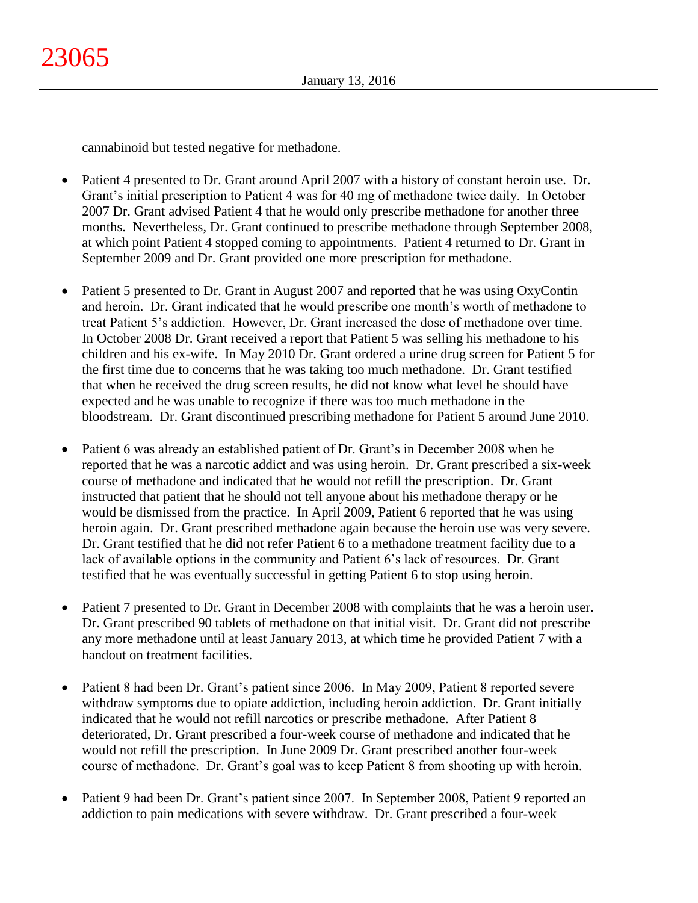cannabinoid but tested negative for methadone.

- Patient 4 presented to Dr. Grant around April 2007 with a history of constant heroin use. Dr. Grant's initial prescription to Patient 4 was for 40 mg of methadone twice daily. In October 2007 Dr. Grant advised Patient 4 that he would only prescribe methadone for another three months. Nevertheless, Dr. Grant continued to prescribe methadone through September 2008, at which point Patient 4 stopped coming to appointments. Patient 4 returned to Dr. Grant in September 2009 and Dr. Grant provided one more prescription for methadone.
- Patient 5 presented to Dr. Grant in August 2007 and reported that he was using OxyContin and heroin. Dr. Grant indicated that he would prescribe one month's worth of methadone to treat Patient 5's addiction. However, Dr. Grant increased the dose of methadone over time. In October 2008 Dr. Grant received a report that Patient 5 was selling his methadone to his children and his ex-wife. In May 2010 Dr. Grant ordered a urine drug screen for Patient 5 for the first time due to concerns that he was taking too much methadone. Dr. Grant testified that when he received the drug screen results, he did not know what level he should have expected and he was unable to recognize if there was too much methadone in the bloodstream. Dr. Grant discontinued prescribing methadone for Patient 5 around June 2010.
- Patient 6 was already an established patient of Dr. Grant's in December 2008 when he reported that he was a narcotic addict and was using heroin. Dr. Grant prescribed a six-week course of methadone and indicated that he would not refill the prescription. Dr. Grant instructed that patient that he should not tell anyone about his methadone therapy or he would be dismissed from the practice. In April 2009, Patient 6 reported that he was using heroin again. Dr. Grant prescribed methadone again because the heroin use was very severe. Dr. Grant testified that he did not refer Patient 6 to a methadone treatment facility due to a lack of available options in the community and Patient 6's lack of resources. Dr. Grant testified that he was eventually successful in getting Patient 6 to stop using heroin.
- Patient 7 presented to Dr. Grant in December 2008 with complaints that he was a heroin user. Dr. Grant prescribed 90 tablets of methadone on that initial visit. Dr. Grant did not prescribe any more methadone until at least January 2013, at which time he provided Patient 7 with a handout on treatment facilities.
- Patient 8 had been Dr. Grant's patient since 2006. In May 2009, Patient 8 reported severe withdraw symptoms due to opiate addiction, including heroin addiction. Dr. Grant initially indicated that he would not refill narcotics or prescribe methadone. After Patient 8 deteriorated, Dr. Grant prescribed a four-week course of methadone and indicated that he would not refill the prescription. In June 2009 Dr. Grant prescribed another four-week course of methadone. Dr. Grant's goal was to keep Patient 8 from shooting up with heroin.
- Patient 9 had been Dr. Grant's patient since 2007. In September 2008, Patient 9 reported an addiction to pain medications with severe withdraw. Dr. Grant prescribed a four-week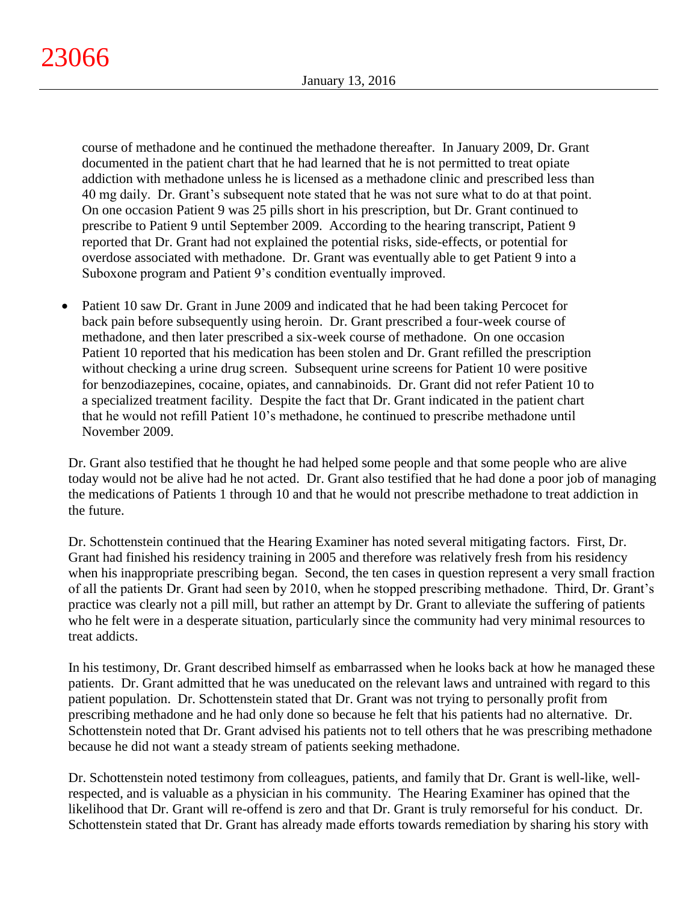course of methadone and he continued the methadone thereafter. In January 2009, Dr. Grant documented in the patient chart that he had learned that he is not permitted to treat opiate addiction with methadone unless he is licensed as a methadone clinic and prescribed less than 40 mg daily. Dr. Grant's subsequent note stated that he was not sure what to do at that point. On one occasion Patient 9 was 25 pills short in his prescription, but Dr. Grant continued to prescribe to Patient 9 until September 2009. According to the hearing transcript, Patient 9 reported that Dr. Grant had not explained the potential risks, side-effects, or potential for overdose associated with methadone. Dr. Grant was eventually able to get Patient 9 into a Suboxone program and Patient 9's condition eventually improved.

• Patient 10 saw Dr. Grant in June 2009 and indicated that he had been taking Percocet for back pain before subsequently using heroin. Dr. Grant prescribed a four-week course of methadone, and then later prescribed a six-week course of methadone. On one occasion Patient 10 reported that his medication has been stolen and Dr. Grant refilled the prescription without checking a urine drug screen. Subsequent urine screens for Patient 10 were positive for benzodiazepines, cocaine, opiates, and cannabinoids. Dr. Grant did not refer Patient 10 to a specialized treatment facility. Despite the fact that Dr. Grant indicated in the patient chart that he would not refill Patient 10's methadone, he continued to prescribe methadone until November 2009.

Dr. Grant also testified that he thought he had helped some people and that some people who are alive today would not be alive had he not acted. Dr. Grant also testified that he had done a poor job of managing the medications of Patients 1 through 10 and that he would not prescribe methadone to treat addiction in the future.

Dr. Schottenstein continued that the Hearing Examiner has noted several mitigating factors. First, Dr. Grant had finished his residency training in 2005 and therefore was relatively fresh from his residency when his inappropriate prescribing began. Second, the ten cases in question represent a very small fraction of all the patients Dr. Grant had seen by 2010, when he stopped prescribing methadone. Third, Dr. Grant's practice was clearly not a pill mill, but rather an attempt by Dr. Grant to alleviate the suffering of patients who he felt were in a desperate situation, particularly since the community had very minimal resources to treat addicts.

In his testimony, Dr. Grant described himself as embarrassed when he looks back at how he managed these patients. Dr. Grant admitted that he was uneducated on the relevant laws and untrained with regard to this patient population. Dr. Schottenstein stated that Dr. Grant was not trying to personally profit from prescribing methadone and he had only done so because he felt that his patients had no alternative. Dr. Schottenstein noted that Dr. Grant advised his patients not to tell others that he was prescribing methadone because he did not want a steady stream of patients seeking methadone.

Dr. Schottenstein noted testimony from colleagues, patients, and family that Dr. Grant is well-like, wellrespected, and is valuable as a physician in his community. The Hearing Examiner has opined that the likelihood that Dr. Grant will re-offend is zero and that Dr. Grant is truly remorseful for his conduct. Dr. Schottenstein stated that Dr. Grant has already made efforts towards remediation by sharing his story with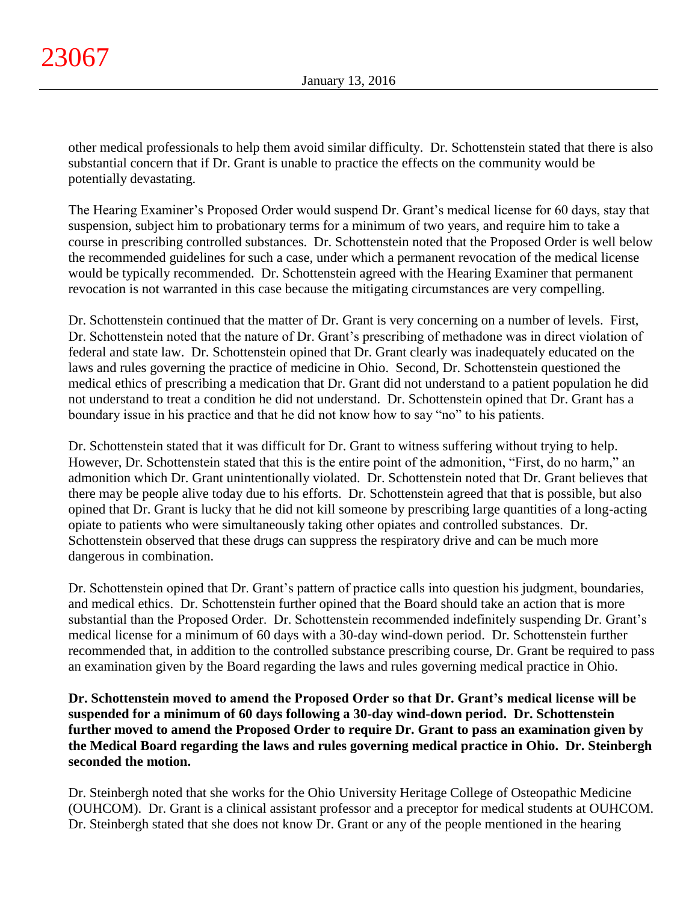other medical professionals to help them avoid similar difficulty. Dr. Schottenstein stated that there is also substantial concern that if Dr. Grant is unable to practice the effects on the community would be potentially devastating.

The Hearing Examiner's Proposed Order would suspend Dr. Grant's medical license for 60 days, stay that suspension, subject him to probationary terms for a minimum of two years, and require him to take a course in prescribing controlled substances. Dr. Schottenstein noted that the Proposed Order is well below the recommended guidelines for such a case, under which a permanent revocation of the medical license would be typically recommended. Dr. Schottenstein agreed with the Hearing Examiner that permanent revocation is not warranted in this case because the mitigating circumstances are very compelling.

Dr. Schottenstein continued that the matter of Dr. Grant is very concerning on a number of levels. First, Dr. Schottenstein noted that the nature of Dr. Grant's prescribing of methadone was in direct violation of federal and state law. Dr. Schottenstein opined that Dr. Grant clearly was inadequately educated on the laws and rules governing the practice of medicine in Ohio. Second, Dr. Schottenstein questioned the medical ethics of prescribing a medication that Dr. Grant did not understand to a patient population he did not understand to treat a condition he did not understand. Dr. Schottenstein opined that Dr. Grant has a boundary issue in his practice and that he did not know how to say "no" to his patients.

Dr. Schottenstein stated that it was difficult for Dr. Grant to witness suffering without trying to help. However, Dr. Schottenstein stated that this is the entire point of the admonition, "First, do no harm," an admonition which Dr. Grant unintentionally violated. Dr. Schottenstein noted that Dr. Grant believes that there may be people alive today due to his efforts. Dr. Schottenstein agreed that that is possible, but also opined that Dr. Grant is lucky that he did not kill someone by prescribing large quantities of a long-acting opiate to patients who were simultaneously taking other opiates and controlled substances. Dr. Schottenstein observed that these drugs can suppress the respiratory drive and can be much more dangerous in combination.

Dr. Schottenstein opined that Dr. Grant's pattern of practice calls into question his judgment, boundaries, and medical ethics. Dr. Schottenstein further opined that the Board should take an action that is more substantial than the Proposed Order. Dr. Schottenstein recommended indefinitely suspending Dr. Grant's medical license for a minimum of 60 days with a 30-day wind-down period. Dr. Schottenstein further recommended that, in addition to the controlled substance prescribing course, Dr. Grant be required to pass an examination given by the Board regarding the laws and rules governing medical practice in Ohio.

**Dr. Schottenstein moved to amend the Proposed Order so that Dr. Grant's medical license will be suspended for a minimum of 60 days following a 30-day wind-down period. Dr. Schottenstein further moved to amend the Proposed Order to require Dr. Grant to pass an examination given by the Medical Board regarding the laws and rules governing medical practice in Ohio. Dr. Steinbergh seconded the motion.**

Dr. Steinbergh noted that she works for the Ohio University Heritage College of Osteopathic Medicine (OUHCOM). Dr. Grant is a clinical assistant professor and a preceptor for medical students at OUHCOM. Dr. Steinbergh stated that she does not know Dr. Grant or any of the people mentioned in the hearing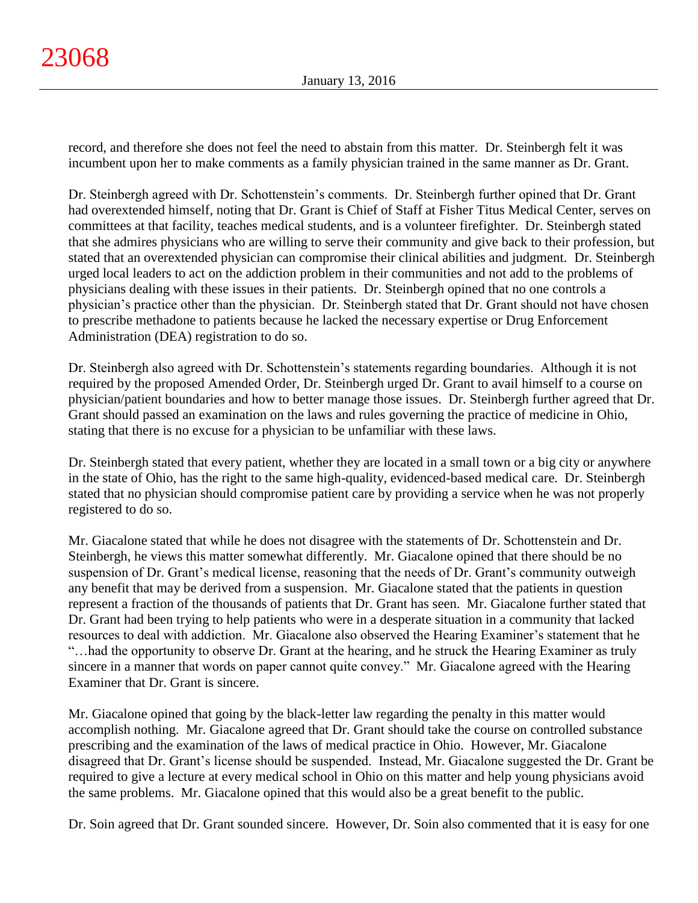record, and therefore she does not feel the need to abstain from this matter. Dr. Steinbergh felt it was incumbent upon her to make comments as a family physician trained in the same manner as Dr. Grant.

Dr. Steinbergh agreed with Dr. Schottenstein's comments. Dr. Steinbergh further opined that Dr. Grant had overextended himself, noting that Dr. Grant is Chief of Staff at Fisher Titus Medical Center, serves on committees at that facility, teaches medical students, and is a volunteer firefighter. Dr. Steinbergh stated that she admires physicians who are willing to serve their community and give back to their profession, but stated that an overextended physician can compromise their clinical abilities and judgment. Dr. Steinbergh urged local leaders to act on the addiction problem in their communities and not add to the problems of physicians dealing with these issues in their patients. Dr. Steinbergh opined that no one controls a physician's practice other than the physician. Dr. Steinbergh stated that Dr. Grant should not have chosen to prescribe methadone to patients because he lacked the necessary expertise or Drug Enforcement Administration (DEA) registration to do so.

Dr. Steinbergh also agreed with Dr. Schottenstein's statements regarding boundaries. Although it is not required by the proposed Amended Order, Dr. Steinbergh urged Dr. Grant to avail himself to a course on physician/patient boundaries and how to better manage those issues. Dr. Steinbergh further agreed that Dr. Grant should passed an examination on the laws and rules governing the practice of medicine in Ohio, stating that there is no excuse for a physician to be unfamiliar with these laws.

Dr. Steinbergh stated that every patient, whether they are located in a small town or a big city or anywhere in the state of Ohio, has the right to the same high-quality, evidenced-based medical care. Dr. Steinbergh stated that no physician should compromise patient care by providing a service when he was not properly registered to do so.

Mr. Giacalone stated that while he does not disagree with the statements of Dr. Schottenstein and Dr. Steinbergh, he views this matter somewhat differently. Mr. Giacalone opined that there should be no suspension of Dr. Grant's medical license, reasoning that the needs of Dr. Grant's community outweigh any benefit that may be derived from a suspension. Mr. Giacalone stated that the patients in question represent a fraction of the thousands of patients that Dr. Grant has seen. Mr. Giacalone further stated that Dr. Grant had been trying to help patients who were in a desperate situation in a community that lacked resources to deal with addiction. Mr. Giacalone also observed the Hearing Examiner's statement that he "…had the opportunity to observe Dr. Grant at the hearing, and he struck the Hearing Examiner as truly sincere in a manner that words on paper cannot quite convey." Mr. Giacalone agreed with the Hearing Examiner that Dr. Grant is sincere.

Mr. Giacalone opined that going by the black-letter law regarding the penalty in this matter would accomplish nothing. Mr. Giacalone agreed that Dr. Grant should take the course on controlled substance prescribing and the examination of the laws of medical practice in Ohio. However, Mr. Giacalone disagreed that Dr. Grant's license should be suspended. Instead, Mr. Giacalone suggested the Dr. Grant be required to give a lecture at every medical school in Ohio on this matter and help young physicians avoid the same problems. Mr. Giacalone opined that this would also be a great benefit to the public.

Dr. Soin agreed that Dr. Grant sounded sincere. However, Dr. Soin also commented that it is easy for one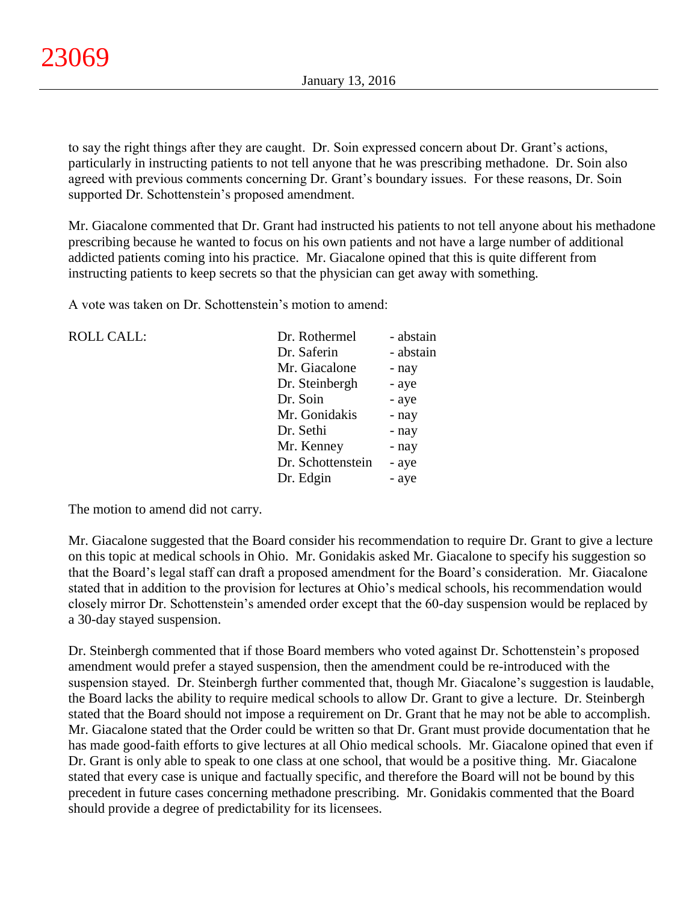to say the right things after they are caught. Dr. Soin expressed concern about Dr. Grant's actions, particularly in instructing patients to not tell anyone that he was prescribing methadone. Dr. Soin also agreed with previous comments concerning Dr. Grant's boundary issues. For these reasons, Dr. Soin supported Dr. Schottenstein's proposed amendment.

Mr. Giacalone commented that Dr. Grant had instructed his patients to not tell anyone about his methadone prescribing because he wanted to focus on his own patients and not have a large number of additional addicted patients coming into his practice. Mr. Giacalone opined that this is quite different from instructing patients to keep secrets so that the physician can get away with something.

A vote was taken on Dr. Schottenstein's motion to amend:

| <b>ROLL CALL:</b>                 | Dr. Rothermel     | - abstain |
|-----------------------------------|-------------------|-----------|
|                                   | Dr. Saferin       | - abstain |
|                                   | Mr. Giacalone     | - nay     |
|                                   | Dr. Steinbergh    | - aye     |
|                                   | Dr. Soin          | - aye     |
|                                   | Mr. Gonidakis     | - nay     |
|                                   | Dr. Sethi         | - nay     |
|                                   | Mr. Kenney        | - nay     |
|                                   | Dr. Schottenstein | - aye     |
|                                   | Dr. Edgin         | - aye     |
|                                   |                   |           |
| The motion to amend did not carry |                   |           |

The motion to amend did not carry.

Mr. Giacalone suggested that the Board consider his recommendation to require Dr. Grant to give a lecture on this topic at medical schools in Ohio. Mr. Gonidakis asked Mr. Giacalone to specify his suggestion so that the Board's legal staff can draft a proposed amendment for the Board's consideration. Mr. Giacalone stated that in addition to the provision for lectures at Ohio's medical schools, his recommendation would closely mirror Dr. Schottenstein's amended order except that the 60-day suspension would be replaced by a 30-day stayed suspension.

Dr. Steinbergh commented that if those Board members who voted against Dr. Schottenstein's proposed amendment would prefer a stayed suspension, then the amendment could be re-introduced with the suspension stayed. Dr. Steinbergh further commented that, though Mr. Giacalone's suggestion is laudable, the Board lacks the ability to require medical schools to allow Dr. Grant to give a lecture. Dr. Steinbergh stated that the Board should not impose a requirement on Dr. Grant that he may not be able to accomplish. Mr. Giacalone stated that the Order could be written so that Dr. Grant must provide documentation that he has made good-faith efforts to give lectures at all Ohio medical schools. Mr. Giacalone opined that even if Dr. Grant is only able to speak to one class at one school, that would be a positive thing. Mr. Giacalone stated that every case is unique and factually specific, and therefore the Board will not be bound by this precedent in future cases concerning methadone prescribing. Mr. Gonidakis commented that the Board should provide a degree of predictability for its licensees.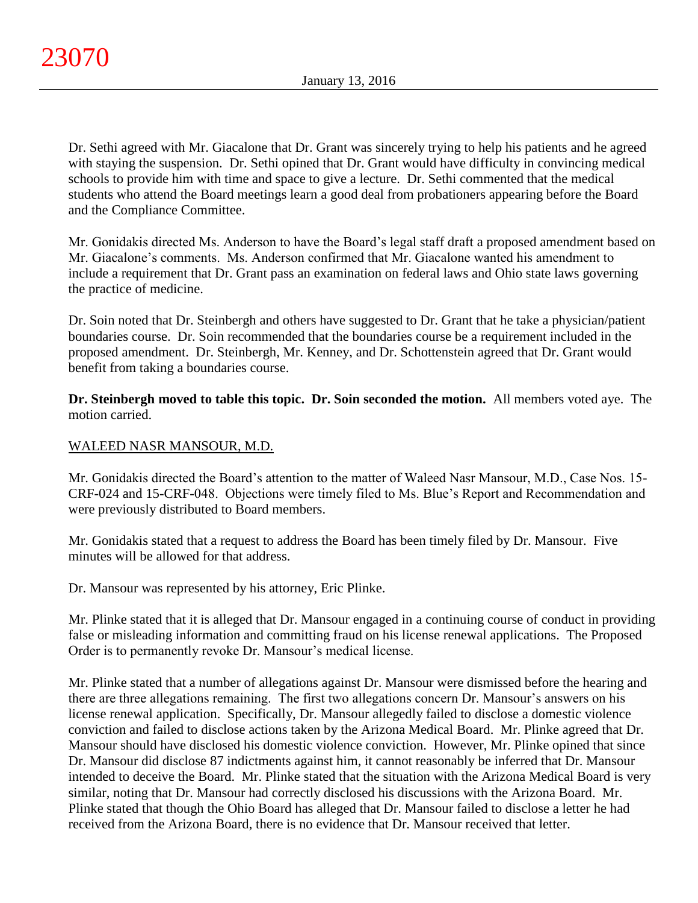Dr. Sethi agreed with Mr. Giacalone that Dr. Grant was sincerely trying to help his patients and he agreed with staying the suspension. Dr. Sethi opined that Dr. Grant would have difficulty in convincing medical schools to provide him with time and space to give a lecture. Dr. Sethi commented that the medical students who attend the Board meetings learn a good deal from probationers appearing before the Board and the Compliance Committee.

Mr. Gonidakis directed Ms. Anderson to have the Board's legal staff draft a proposed amendment based on Mr. Giacalone's comments. Ms. Anderson confirmed that Mr. Giacalone wanted his amendment to include a requirement that Dr. Grant pass an examination on federal laws and Ohio state laws governing the practice of medicine.

Dr. Soin noted that Dr. Steinbergh and others have suggested to Dr. Grant that he take a physician/patient boundaries course. Dr. Soin recommended that the boundaries course be a requirement included in the proposed amendment. Dr. Steinbergh, Mr. Kenney, and Dr. Schottenstein agreed that Dr. Grant would benefit from taking a boundaries course.

**Dr. Steinbergh moved to table this topic. Dr. Soin seconded the motion.** All members voted aye. The motion carried.

# WALEED NASR MANSOUR, M.D.

Mr. Gonidakis directed the Board's attention to the matter of Waleed Nasr Mansour, M.D., Case Nos. 15- CRF-024 and 15-CRF-048. Objections were timely filed to Ms. Blue's Report and Recommendation and were previously distributed to Board members.

Mr. Gonidakis stated that a request to address the Board has been timely filed by Dr. Mansour. Five minutes will be allowed for that address.

Dr. Mansour was represented by his attorney, Eric Plinke.

Mr. Plinke stated that it is alleged that Dr. Mansour engaged in a continuing course of conduct in providing false or misleading information and committing fraud on his license renewal applications. The Proposed Order is to permanently revoke Dr. Mansour's medical license.

Mr. Plinke stated that a number of allegations against Dr. Mansour were dismissed before the hearing and there are three allegations remaining. The first two allegations concern Dr. Mansour's answers on his license renewal application. Specifically, Dr. Mansour allegedly failed to disclose a domestic violence conviction and failed to disclose actions taken by the Arizona Medical Board. Mr. Plinke agreed that Dr. Mansour should have disclosed his domestic violence conviction. However, Mr. Plinke opined that since Dr. Mansour did disclose 87 indictments against him, it cannot reasonably be inferred that Dr. Mansour intended to deceive the Board. Mr. Plinke stated that the situation with the Arizona Medical Board is very similar, noting that Dr. Mansour had correctly disclosed his discussions with the Arizona Board. Mr. Plinke stated that though the Ohio Board has alleged that Dr. Mansour failed to disclose a letter he had received from the Arizona Board, there is no evidence that Dr. Mansour received that letter.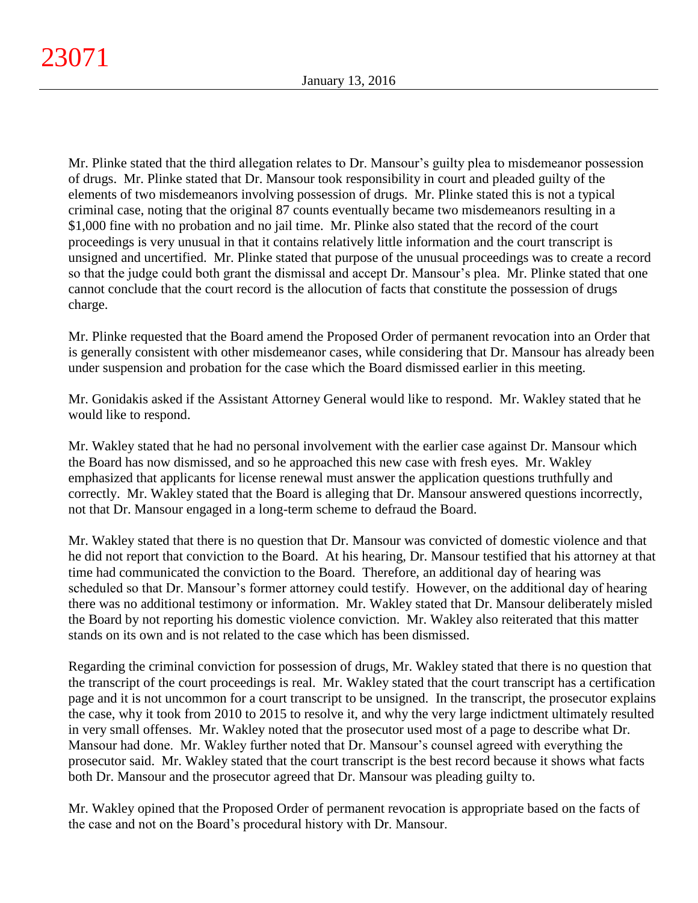Mr. Plinke stated that the third allegation relates to Dr. Mansour's guilty plea to misdemeanor possession of drugs. Mr. Plinke stated that Dr. Mansour took responsibility in court and pleaded guilty of the elements of two misdemeanors involving possession of drugs. Mr. Plinke stated this is not a typical criminal case, noting that the original 87 counts eventually became two misdemeanors resulting in a \$1,000 fine with no probation and no jail time. Mr. Plinke also stated that the record of the court proceedings is very unusual in that it contains relatively little information and the court transcript is unsigned and uncertified. Mr. Plinke stated that purpose of the unusual proceedings was to create a record so that the judge could both grant the dismissal and accept Dr. Mansour's plea. Mr. Plinke stated that one cannot conclude that the court record is the allocution of facts that constitute the possession of drugs charge.

Mr. Plinke requested that the Board amend the Proposed Order of permanent revocation into an Order that is generally consistent with other misdemeanor cases, while considering that Dr. Mansour has already been under suspension and probation for the case which the Board dismissed earlier in this meeting.

Mr. Gonidakis asked if the Assistant Attorney General would like to respond. Mr. Wakley stated that he would like to respond.

Mr. Wakley stated that he had no personal involvement with the earlier case against Dr. Mansour which the Board has now dismissed, and so he approached this new case with fresh eyes. Mr. Wakley emphasized that applicants for license renewal must answer the application questions truthfully and correctly. Mr. Wakley stated that the Board is alleging that Dr. Mansour answered questions incorrectly, not that Dr. Mansour engaged in a long-term scheme to defraud the Board.

Mr. Wakley stated that there is no question that Dr. Mansour was convicted of domestic violence and that he did not report that conviction to the Board. At his hearing, Dr. Mansour testified that his attorney at that time had communicated the conviction to the Board. Therefore, an additional day of hearing was scheduled so that Dr. Mansour's former attorney could testify. However, on the additional day of hearing there was no additional testimony or information. Mr. Wakley stated that Dr. Mansour deliberately misled the Board by not reporting his domestic violence conviction. Mr. Wakley also reiterated that this matter stands on its own and is not related to the case which has been dismissed.

Regarding the criminal conviction for possession of drugs, Mr. Wakley stated that there is no question that the transcript of the court proceedings is real. Mr. Wakley stated that the court transcript has a certification page and it is not uncommon for a court transcript to be unsigned. In the transcript, the prosecutor explains the case, why it took from 2010 to 2015 to resolve it, and why the very large indictment ultimately resulted in very small offenses. Mr. Wakley noted that the prosecutor used most of a page to describe what Dr. Mansour had done. Mr. Wakley further noted that Dr. Mansour's counsel agreed with everything the prosecutor said. Mr. Wakley stated that the court transcript is the best record because it shows what facts both Dr. Mansour and the prosecutor agreed that Dr. Mansour was pleading guilty to.

Mr. Wakley opined that the Proposed Order of permanent revocation is appropriate based on the facts of the case and not on the Board's procedural history with Dr. Mansour.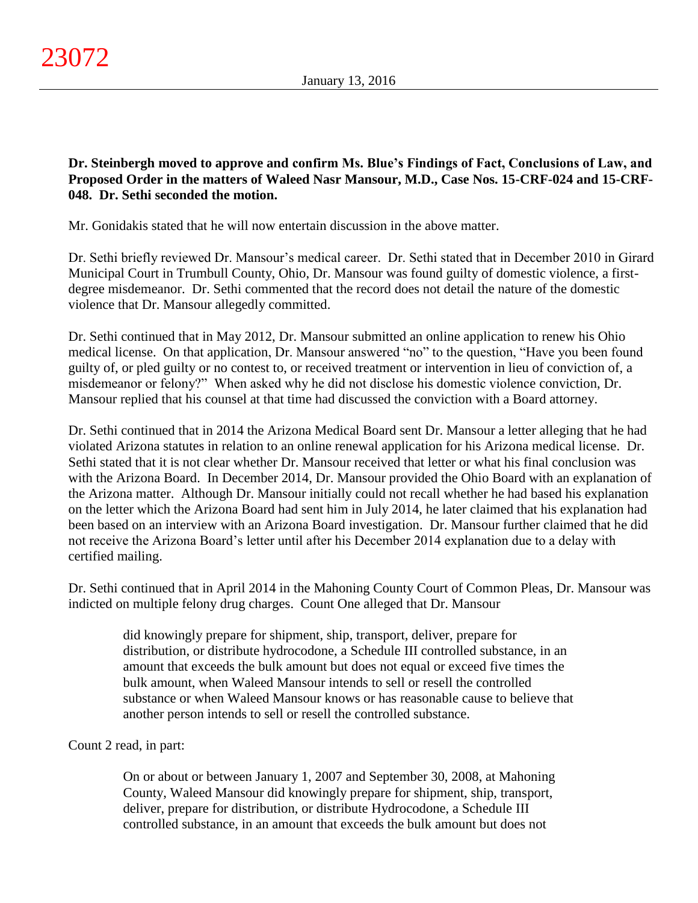**Dr. Steinbergh moved to approve and confirm Ms. Blue's Findings of Fact, Conclusions of Law, and Proposed Order in the matters of Waleed Nasr Mansour, M.D., Case Nos. 15-CRF-024 and 15-CRF-048. Dr. Sethi seconded the motion.**

Mr. Gonidakis stated that he will now entertain discussion in the above matter.

Dr. Sethi briefly reviewed Dr. Mansour's medical career. Dr. Sethi stated that in December 2010 in Girard Municipal Court in Trumbull County, Ohio, Dr. Mansour was found guilty of domestic violence, a firstdegree misdemeanor. Dr. Sethi commented that the record does not detail the nature of the domestic violence that Dr. Mansour allegedly committed.

Dr. Sethi continued that in May 2012, Dr. Mansour submitted an online application to renew his Ohio medical license. On that application, Dr. Mansour answered "no" to the question, "Have you been found guilty of, or pled guilty or no contest to, or received treatment or intervention in lieu of conviction of, a misdemeanor or felony?" When asked why he did not disclose his domestic violence conviction, Dr. Mansour replied that his counsel at that time had discussed the conviction with a Board attorney.

Dr. Sethi continued that in 2014 the Arizona Medical Board sent Dr. Mansour a letter alleging that he had violated Arizona statutes in relation to an online renewal application for his Arizona medical license. Dr. Sethi stated that it is not clear whether Dr. Mansour received that letter or what his final conclusion was with the Arizona Board. In December 2014, Dr. Mansour provided the Ohio Board with an explanation of the Arizona matter. Although Dr. Mansour initially could not recall whether he had based his explanation on the letter which the Arizona Board had sent him in July 2014, he later claimed that his explanation had been based on an interview with an Arizona Board investigation. Dr. Mansour further claimed that he did not receive the Arizona Board's letter until after his December 2014 explanation due to a delay with certified mailing.

Dr. Sethi continued that in April 2014 in the Mahoning County Court of Common Pleas, Dr. Mansour was indicted on multiple felony drug charges. Count One alleged that Dr. Mansour

did knowingly prepare for shipment, ship, transport, deliver, prepare for distribution, or distribute hydrocodone, a Schedule III controlled substance, in an amount that exceeds the bulk amount but does not equal or exceed five times the bulk amount, when Waleed Mansour intends to sell or resell the controlled substance or when Waleed Mansour knows or has reasonable cause to believe that another person intends to sell or resell the controlled substance.

# Count 2 read, in part:

On or about or between January 1, 2007 and September 30, 2008, at Mahoning County, Waleed Mansour did knowingly prepare for shipment, ship, transport, deliver, prepare for distribution, or distribute Hydrocodone, a Schedule III controlled substance, in an amount that exceeds the bulk amount but does not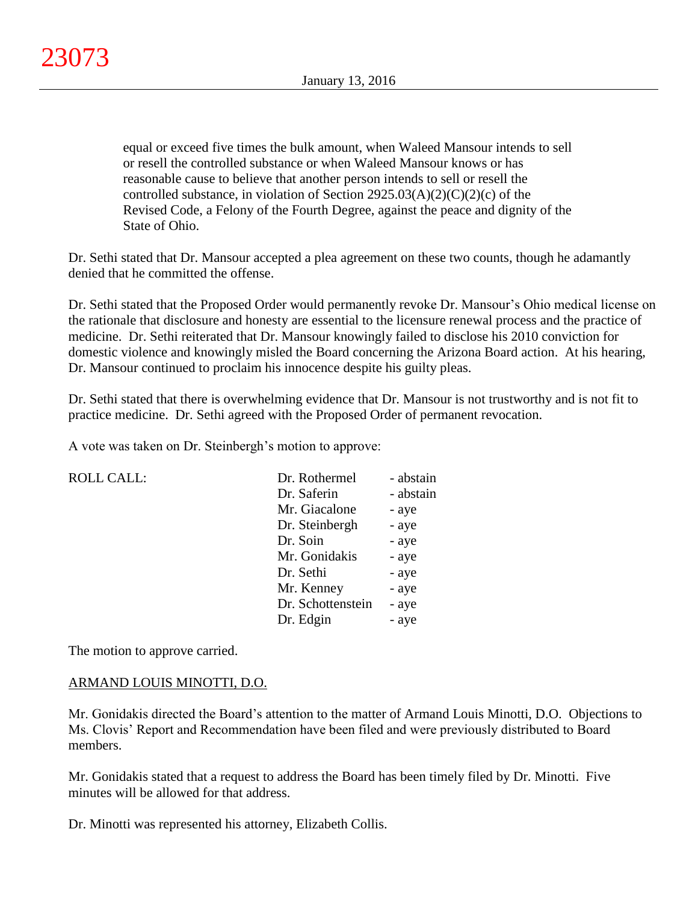equal or exceed five times the bulk amount, when Waleed Mansour intends to sell or resell the controlled substance or when Waleed Mansour knows or has reasonable cause to believe that another person intends to sell or resell the controlled substance, in violation of Section  $2925.03(A)(2)(C)(2)(c)$  of the Revised Code, a Felony of the Fourth Degree, against the peace and dignity of the State of Ohio.

Dr. Sethi stated that Dr. Mansour accepted a plea agreement on these two counts, though he adamantly denied that he committed the offense.

Dr. Sethi stated that the Proposed Order would permanently revoke Dr. Mansour's Ohio medical license on the rationale that disclosure and honesty are essential to the licensure renewal process and the practice of medicine. Dr. Sethi reiterated that Dr. Mansour knowingly failed to disclose his 2010 conviction for domestic violence and knowingly misled the Board concerning the Arizona Board action. At his hearing, Dr. Mansour continued to proclaim his innocence despite his guilty pleas.

Dr. Sethi stated that there is overwhelming evidence that Dr. Mansour is not trustworthy and is not fit to practice medicine. Dr. Sethi agreed with the Proposed Order of permanent revocation.

A vote was taken on Dr. Steinbergh's motion to approve:

| <b>ROLL CALL:</b> | Dr. Rothermel     | - abstain |
|-------------------|-------------------|-----------|
|                   | Dr. Saferin       | - abstain |
|                   | Mr. Giacalone     | - aye     |
|                   | Dr. Steinbergh    | - aye     |
|                   | Dr. Soin          | - aye     |
|                   | Mr. Gonidakis     | - aye     |
|                   | Dr. Sethi         | - aye     |
|                   | Mr. Kenney        | - aye     |
|                   | Dr. Schottenstein | - aye     |
|                   | Dr. Edgin         | - aye     |
|                   |                   |           |

The motion to approve carried.

# ARMAND LOUIS MINOTTI, D.O.

Mr. Gonidakis directed the Board's attention to the matter of Armand Louis Minotti, D.O. Objections to Ms. Clovis' Report and Recommendation have been filed and were previously distributed to Board members.

Mr. Gonidakis stated that a request to address the Board has been timely filed by Dr. Minotti. Five minutes will be allowed for that address.

Dr. Minotti was represented his attorney, Elizabeth Collis.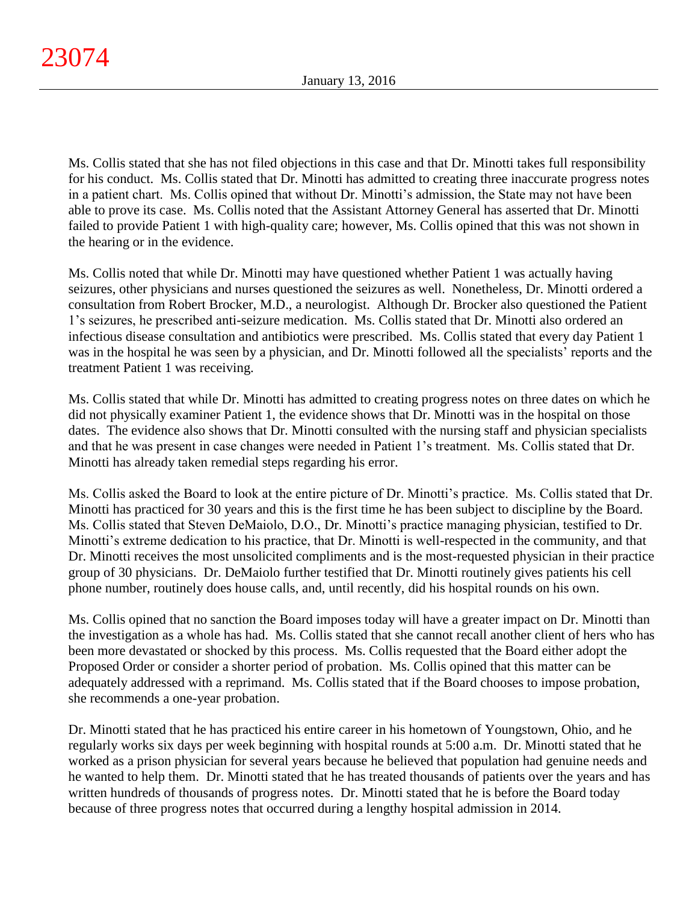Ms. Collis stated that she has not filed objections in this case and that Dr. Minotti takes full responsibility for his conduct. Ms. Collis stated that Dr. Minotti has admitted to creating three inaccurate progress notes in a patient chart. Ms. Collis opined that without Dr. Minotti's admission, the State may not have been able to prove its case. Ms. Collis noted that the Assistant Attorney General has asserted that Dr. Minotti failed to provide Patient 1 with high-quality care; however, Ms. Collis opined that this was not shown in the hearing or in the evidence.

Ms. Collis noted that while Dr. Minotti may have questioned whether Patient 1 was actually having seizures, other physicians and nurses questioned the seizures as well. Nonetheless, Dr. Minotti ordered a consultation from Robert Brocker, M.D., a neurologist. Although Dr. Brocker also questioned the Patient 1's seizures, he prescribed anti-seizure medication. Ms. Collis stated that Dr. Minotti also ordered an infectious disease consultation and antibiotics were prescribed. Ms. Collis stated that every day Patient 1 was in the hospital he was seen by a physician, and Dr. Minotti followed all the specialists' reports and the treatment Patient 1 was receiving.

Ms. Collis stated that while Dr. Minotti has admitted to creating progress notes on three dates on which he did not physically examiner Patient 1, the evidence shows that Dr. Minotti was in the hospital on those dates. The evidence also shows that Dr. Minotti consulted with the nursing staff and physician specialists and that he was present in case changes were needed in Patient 1's treatment. Ms. Collis stated that Dr. Minotti has already taken remedial steps regarding his error.

Ms. Collis asked the Board to look at the entire picture of Dr. Minotti's practice. Ms. Collis stated that Dr. Minotti has practiced for 30 years and this is the first time he has been subject to discipline by the Board. Ms. Collis stated that Steven DeMaiolo, D.O., Dr. Minotti's practice managing physician, testified to Dr. Minotti's extreme dedication to his practice, that Dr. Minotti is well-respected in the community, and that Dr. Minotti receives the most unsolicited compliments and is the most-requested physician in their practice group of 30 physicians. Dr. DeMaiolo further testified that Dr. Minotti routinely gives patients his cell phone number, routinely does house calls, and, until recently, did his hospital rounds on his own.

Ms. Collis opined that no sanction the Board imposes today will have a greater impact on Dr. Minotti than the investigation as a whole has had. Ms. Collis stated that she cannot recall another client of hers who has been more devastated or shocked by this process. Ms. Collis requested that the Board either adopt the Proposed Order or consider a shorter period of probation. Ms. Collis opined that this matter can be adequately addressed with a reprimand. Ms. Collis stated that if the Board chooses to impose probation, she recommends a one-year probation.

Dr. Minotti stated that he has practiced his entire career in his hometown of Youngstown, Ohio, and he regularly works six days per week beginning with hospital rounds at 5:00 a.m. Dr. Minotti stated that he worked as a prison physician for several years because he believed that population had genuine needs and he wanted to help them. Dr. Minotti stated that he has treated thousands of patients over the years and has written hundreds of thousands of progress notes. Dr. Minotti stated that he is before the Board today because of three progress notes that occurred during a lengthy hospital admission in 2014.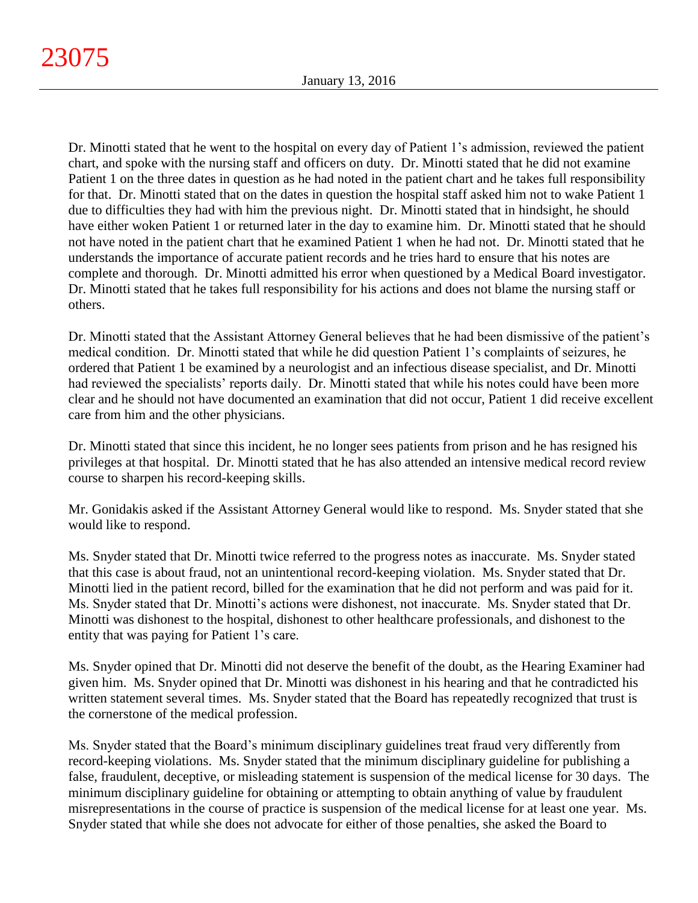Dr. Minotti stated that he went to the hospital on every day of Patient 1's admission, reviewed the patient chart, and spoke with the nursing staff and officers on duty. Dr. Minotti stated that he did not examine Patient 1 on the three dates in question as he had noted in the patient chart and he takes full responsibility for that. Dr. Minotti stated that on the dates in question the hospital staff asked him not to wake Patient 1 due to difficulties they had with him the previous night. Dr. Minotti stated that in hindsight, he should have either woken Patient 1 or returned later in the day to examine him. Dr. Minotti stated that he should not have noted in the patient chart that he examined Patient 1 when he had not. Dr. Minotti stated that he understands the importance of accurate patient records and he tries hard to ensure that his notes are complete and thorough. Dr. Minotti admitted his error when questioned by a Medical Board investigator. Dr. Minotti stated that he takes full responsibility for his actions and does not blame the nursing staff or others.

Dr. Minotti stated that the Assistant Attorney General believes that he had been dismissive of the patient's medical condition. Dr. Minotti stated that while he did question Patient 1's complaints of seizures, he ordered that Patient 1 be examined by a neurologist and an infectious disease specialist, and Dr. Minotti had reviewed the specialists' reports daily. Dr. Minotti stated that while his notes could have been more clear and he should not have documented an examination that did not occur, Patient 1 did receive excellent care from him and the other physicians.

Dr. Minotti stated that since this incident, he no longer sees patients from prison and he has resigned his privileges at that hospital. Dr. Minotti stated that he has also attended an intensive medical record review course to sharpen his record-keeping skills.

Mr. Gonidakis asked if the Assistant Attorney General would like to respond. Ms. Snyder stated that she would like to respond.

Ms. Snyder stated that Dr. Minotti twice referred to the progress notes as inaccurate. Ms. Snyder stated that this case is about fraud, not an unintentional record-keeping violation. Ms. Snyder stated that Dr. Minotti lied in the patient record, billed for the examination that he did not perform and was paid for it. Ms. Snyder stated that Dr. Minotti's actions were dishonest, not inaccurate. Ms. Snyder stated that Dr. Minotti was dishonest to the hospital, dishonest to other healthcare professionals, and dishonest to the entity that was paying for Patient 1's care.

Ms. Snyder opined that Dr. Minotti did not deserve the benefit of the doubt, as the Hearing Examiner had given him. Ms. Snyder opined that Dr. Minotti was dishonest in his hearing and that he contradicted his written statement several times. Ms. Snyder stated that the Board has repeatedly recognized that trust is the cornerstone of the medical profession.

Ms. Snyder stated that the Board's minimum disciplinary guidelines treat fraud very differently from record-keeping violations. Ms. Snyder stated that the minimum disciplinary guideline for publishing a false, fraudulent, deceptive, or misleading statement is suspension of the medical license for 30 days. The minimum disciplinary guideline for obtaining or attempting to obtain anything of value by fraudulent misrepresentations in the course of practice is suspension of the medical license for at least one year. Ms. Snyder stated that while she does not advocate for either of those penalties, she asked the Board to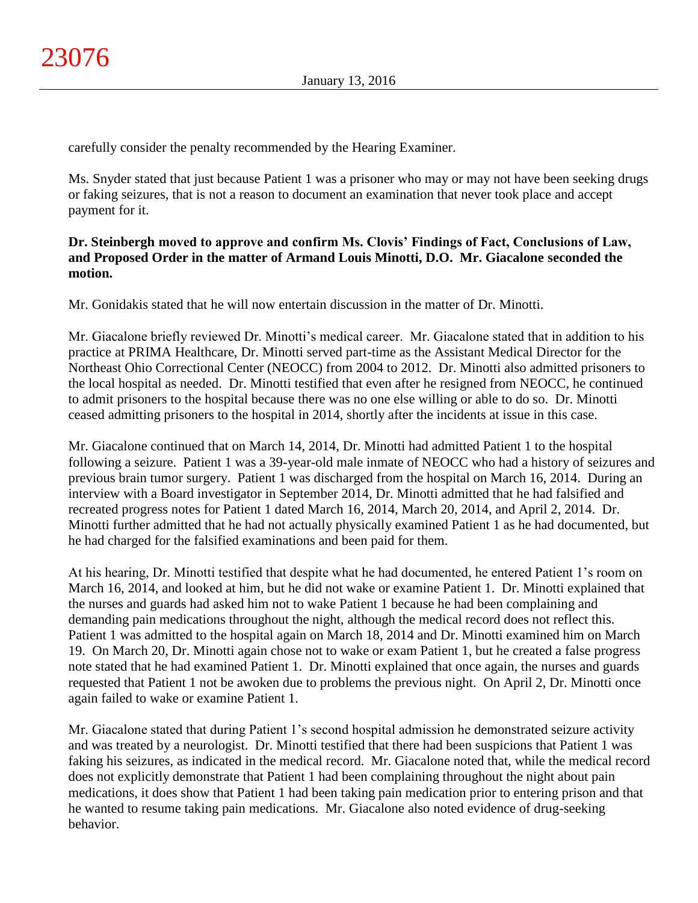carefully consider the penalty recommended by the Hearing Examiner.

Ms. Snyder stated that just because Patient 1 was a prisoner who may or may not have been seeking drugs or faking seizures, that is not a reason to document an examination that never took place and accept payment for it.

# **Dr. Steinbergh moved to approve and confirm Ms. Clovis' Findings of Fact, Conclusions of Law, and Proposed Order in the matter of Armand Louis Minotti, D.O. Mr. Giacalone seconded the motion.**

Mr. Gonidakis stated that he will now entertain discussion in the matter of Dr. Minotti.

Mr. Giacalone briefly reviewed Dr. Minotti's medical career. Mr. Giacalone stated that in addition to his practice at PRIMA Healthcare, Dr. Minotti served part-time as the Assistant Medical Director for the Northeast Ohio Correctional Center (NEOCC) from 2004 to 2012. Dr. Minotti also admitted prisoners to the local hospital as needed. Dr. Minotti testified that even after he resigned from NEOCC, he continued to admit prisoners to the hospital because there was no one else willing or able to do so. Dr. Minotti ceased admitting prisoners to the hospital in 2014, shortly after the incidents at issue in this case.

Mr. Giacalone continued that on March 14, 2014, Dr. Minotti had admitted Patient 1 to the hospital following a seizure. Patient 1 was a 39-year-old male inmate of NEOCC who had a history of seizures and previous brain tumor surgery. Patient 1 was discharged from the hospital on March 16, 2014. During an interview with a Board investigator in September 2014, Dr. Minotti admitted that he had falsified and recreated progress notes for Patient 1 dated March 16, 2014, March 20, 2014, and April 2, 2014. Dr. Minotti further admitted that he had not actually physically examined Patient 1 as he had documented, but he had charged for the falsified examinations and been paid for them.

At his hearing, Dr. Minotti testified that despite what he had documented, he entered Patient 1's room on March 16, 2014, and looked at him, but he did not wake or examine Patient 1. Dr. Minotti explained that the nurses and guards had asked him not to wake Patient 1 because he had been complaining and demanding pain medications throughout the night, although the medical record does not reflect this. Patient 1 was admitted to the hospital again on March 18, 2014 and Dr. Minotti examined him on March 19. On March 20, Dr. Minotti again chose not to wake or exam Patient 1, but he created a false progress note stated that he had examined Patient 1. Dr. Minotti explained that once again, the nurses and guards requested that Patient 1 not be awoken due to problems the previous night. On April 2, Dr. Minotti once again failed to wake or examine Patient 1.

Mr. Giacalone stated that during Patient 1's second hospital admission he demonstrated seizure activity and was treated by a neurologist. Dr. Minotti testified that there had been suspicions that Patient 1 was faking his seizures, as indicated in the medical record. Mr. Giacalone noted that, while the medical record does not explicitly demonstrate that Patient 1 had been complaining throughout the night about pain medications, it does show that Patient 1 had been taking pain medication prior to entering prison and that he wanted to resume taking pain medications. Mr. Giacalone also noted evidence of drug-seeking behavior.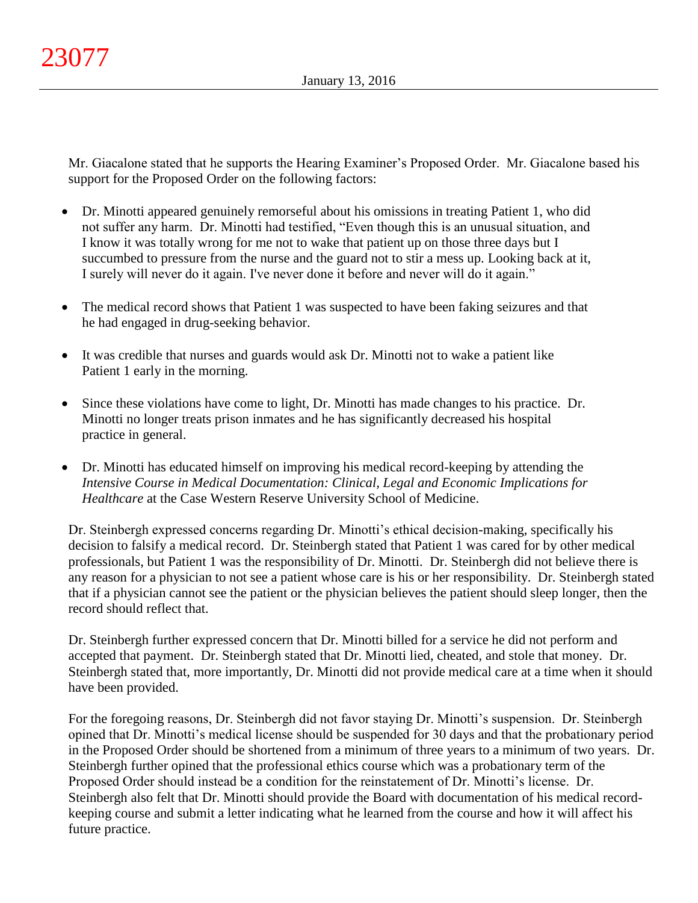Mr. Giacalone stated that he supports the Hearing Examiner's Proposed Order. Mr. Giacalone based his support for the Proposed Order on the following factors:

- Dr. Minotti appeared genuinely remorseful about his omissions in treating Patient 1, who did not suffer any harm. Dr. Minotti had testified, "Even though this is an unusual situation, and I know it was totally wrong for me not to wake that patient up on those three days but I succumbed to pressure from the nurse and the guard not to stir a mess up. Looking back at it, I surely will never do it again. I've never done it before and never will do it again."
- The medical record shows that Patient 1 was suspected to have been faking seizures and that he had engaged in drug-seeking behavior.
- It was credible that nurses and guards would ask Dr. Minotti not to wake a patient like Patient 1 early in the morning.
- Since these violations have come to light, Dr. Minotti has made changes to his practice. Dr. Minotti no longer treats prison inmates and he has significantly decreased his hospital practice in general.
- Dr. Minotti has educated himself on improving his medical record-keeping by attending the *Intensive Course in Medical Documentation: Clinical, Legal and Economic Implications for Healthcare* at the Case Western Reserve University School of Medicine.

Dr. Steinbergh expressed concerns regarding Dr. Minotti's ethical decision-making, specifically his decision to falsify a medical record. Dr. Steinbergh stated that Patient 1 was cared for by other medical professionals, but Patient 1 was the responsibility of Dr. Minotti. Dr. Steinbergh did not believe there is any reason for a physician to not see a patient whose care is his or her responsibility. Dr. Steinbergh stated that if a physician cannot see the patient or the physician believes the patient should sleep longer, then the record should reflect that.

Dr. Steinbergh further expressed concern that Dr. Minotti billed for a service he did not perform and accepted that payment. Dr. Steinbergh stated that Dr. Minotti lied, cheated, and stole that money. Dr. Steinbergh stated that, more importantly, Dr. Minotti did not provide medical care at a time when it should have been provided.

For the foregoing reasons, Dr. Steinbergh did not favor staying Dr. Minotti's suspension. Dr. Steinbergh opined that Dr. Minotti's medical license should be suspended for 30 days and that the probationary period in the Proposed Order should be shortened from a minimum of three years to a minimum of two years. Dr. Steinbergh further opined that the professional ethics course which was a probationary term of the Proposed Order should instead be a condition for the reinstatement of Dr. Minotti's license. Dr. Steinbergh also felt that Dr. Minotti should provide the Board with documentation of his medical recordkeeping course and submit a letter indicating what he learned from the course and how it will affect his future practice.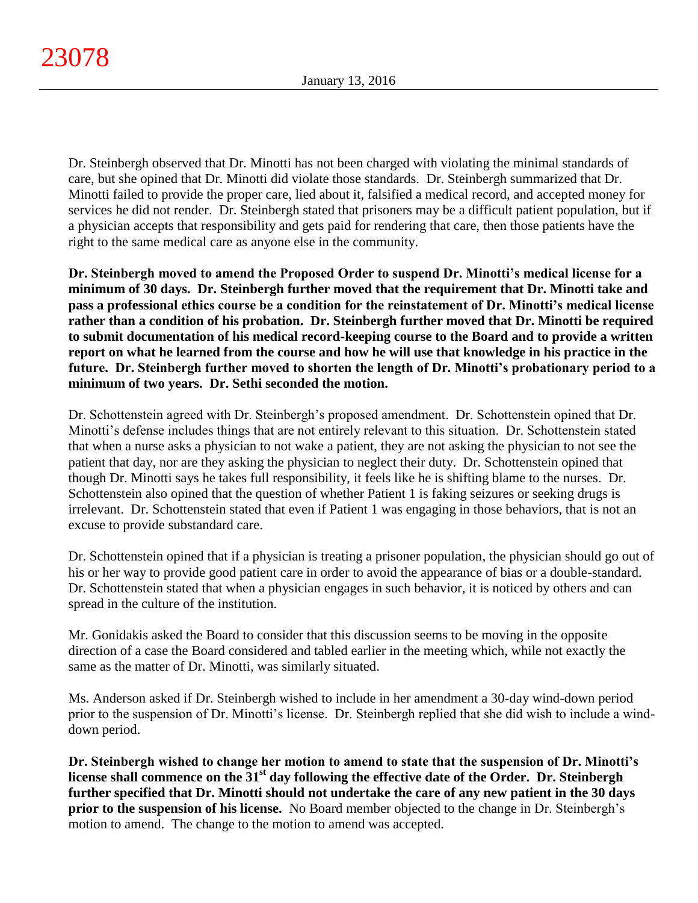Dr. Steinbergh observed that Dr. Minotti has not been charged with violating the minimal standards of care, but she opined that Dr. Minotti did violate those standards. Dr. Steinbergh summarized that Dr. Minotti failed to provide the proper care, lied about it, falsified a medical record, and accepted money for services he did not render. Dr. Steinbergh stated that prisoners may be a difficult patient population, but if a physician accepts that responsibility and gets paid for rendering that care, then those patients have the right to the same medical care as anyone else in the community.

**Dr. Steinbergh moved to amend the Proposed Order to suspend Dr. Minotti's medical license for a minimum of 30 days. Dr. Steinbergh further moved that the requirement that Dr. Minotti take and pass a professional ethics course be a condition for the reinstatement of Dr. Minotti's medical license rather than a condition of his probation. Dr. Steinbergh further moved that Dr. Minotti be required to submit documentation of his medical record-keeping course to the Board and to provide a written report on what he learned from the course and how he will use that knowledge in his practice in the future. Dr. Steinbergh further moved to shorten the length of Dr. Minotti's probationary period to a minimum of two years. Dr. Sethi seconded the motion.**

Dr. Schottenstein agreed with Dr. Steinbergh's proposed amendment. Dr. Schottenstein opined that Dr. Minotti's defense includes things that are not entirely relevant to this situation. Dr. Schottenstein stated that when a nurse asks a physician to not wake a patient, they are not asking the physician to not see the patient that day, nor are they asking the physician to neglect their duty. Dr. Schottenstein opined that though Dr. Minotti says he takes full responsibility, it feels like he is shifting blame to the nurses. Dr. Schottenstein also opined that the question of whether Patient 1 is faking seizures or seeking drugs is irrelevant. Dr. Schottenstein stated that even if Patient 1 was engaging in those behaviors, that is not an excuse to provide substandard care.

Dr. Schottenstein opined that if a physician is treating a prisoner population, the physician should go out of his or her way to provide good patient care in order to avoid the appearance of bias or a double-standard. Dr. Schottenstein stated that when a physician engages in such behavior, it is noticed by others and can spread in the culture of the institution.

Mr. Gonidakis asked the Board to consider that this discussion seems to be moving in the opposite direction of a case the Board considered and tabled earlier in the meeting which, while not exactly the same as the matter of Dr. Minotti, was similarly situated.

Ms. Anderson asked if Dr. Steinbergh wished to include in her amendment a 30-day wind-down period prior to the suspension of Dr. Minotti's license. Dr. Steinbergh replied that she did wish to include a winddown period.

**Dr. Steinbergh wished to change her motion to amend to state that the suspension of Dr. Minotti's license shall commence on the 31st day following the effective date of the Order. Dr. Steinbergh further specified that Dr. Minotti should not undertake the care of any new patient in the 30 days prior to the suspension of his license.** No Board member objected to the change in Dr. Steinbergh's motion to amend. The change to the motion to amend was accepted.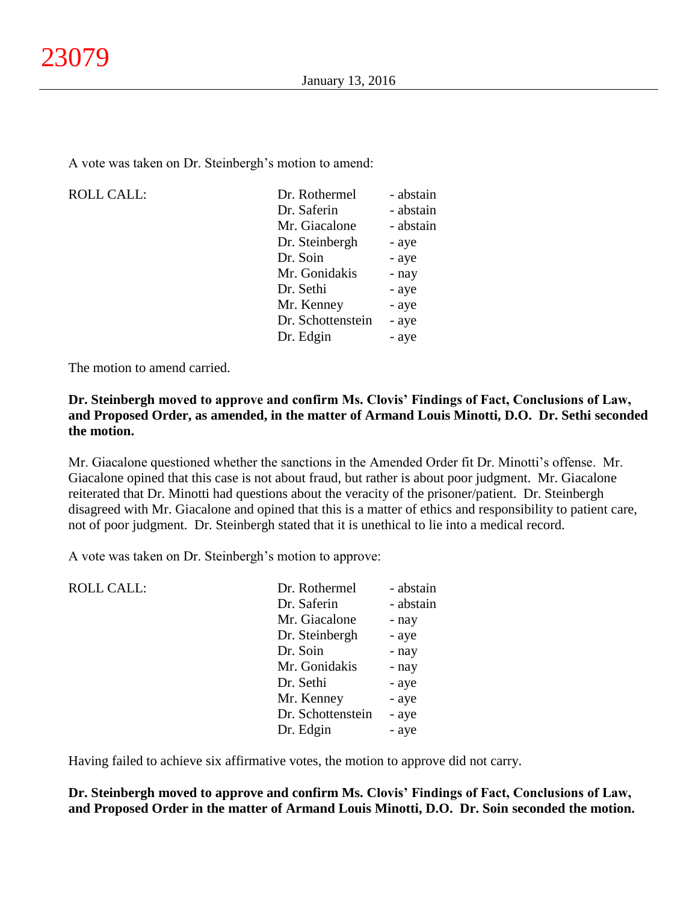A vote was taken on Dr. Steinbergh's motion to amend:

ROLL CALL:

| Dr. Rothermel     | - abstain |
|-------------------|-----------|
| Dr. Saferin       | - abstain |
| Mr. Giacalone     | - abstain |
| Dr. Steinbergh    | - aye     |
| Dr. Soin          | - aye     |
| Mr. Gonidakis     | - nay     |
| Dr. Sethi         | - aye     |
| Mr. Kenney        | - aye     |
| Dr. Schottenstein | - aye     |
| Dr. Edgin         | - aye     |
|                   |           |

The motion to amend carried.

# **Dr. Steinbergh moved to approve and confirm Ms. Clovis' Findings of Fact, Conclusions of Law, and Proposed Order, as amended, in the matter of Armand Louis Minotti, D.O. Dr. Sethi seconded the motion.**

Mr. Giacalone questioned whether the sanctions in the Amended Order fit Dr. Minotti's offense. Mr. Giacalone opined that this case is not about fraud, but rather is about poor judgment. Mr. Giacalone reiterated that Dr. Minotti had questions about the veracity of the prisoner/patient. Dr. Steinbergh disagreed with Mr. Giacalone and opined that this is a matter of ethics and responsibility to patient care, not of poor judgment. Dr. Steinbergh stated that it is unethical to lie into a medical record.

A vote was taken on Dr. Steinbergh's motion to approve:

| <b>ROLL CALL:</b> | Dr. Rothermel     | - abstain |
|-------------------|-------------------|-----------|
|                   | Dr. Saferin       | - abstain |
|                   | Mr. Giacalone     | - nay     |
|                   | Dr. Steinbergh    | - aye     |
|                   | Dr. Soin          | - nay     |
|                   | Mr. Gonidakis     | - nay     |
|                   | Dr. Sethi         | - aye     |
|                   | Mr. Kenney        | - aye     |
|                   | Dr. Schottenstein | - aye     |
|                   | Dr. Edgin         | - aye     |
|                   |                   |           |

Having failed to achieve six affirmative votes, the motion to approve did not carry.

**Dr. Steinbergh moved to approve and confirm Ms. Clovis' Findings of Fact, Conclusions of Law, and Proposed Order in the matter of Armand Louis Minotti, D.O. Dr. Soin seconded the motion.**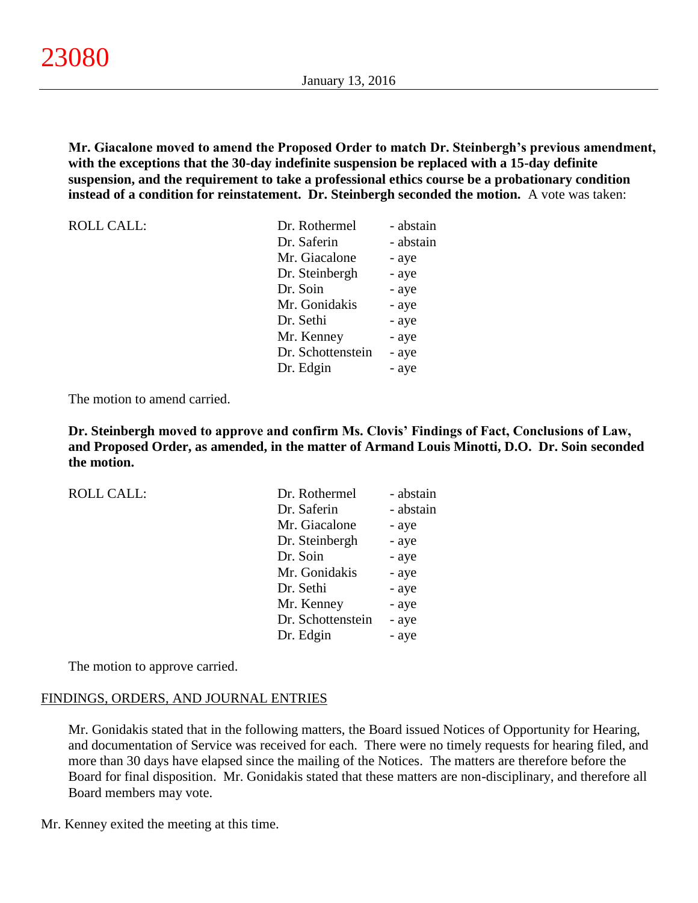**Mr. Giacalone moved to amend the Proposed Order to match Dr. Steinbergh's previous amendment, with the exceptions that the 30-day indefinite suspension be replaced with a 15-day definite suspension, and the requirement to take a professional ethics course be a probationary condition instead of a condition for reinstatement. Dr. Steinbergh seconded the motion.** A vote was taken:

| <b>ROLL CALL:</b> | Dr. Rothermel     | - abstain |
|-------------------|-------------------|-----------|
|                   | Dr. Saferin       | - abstain |
|                   | Mr. Giacalone     | - aye     |
|                   | Dr. Steinbergh    | - aye     |
|                   | Dr. Soin          | - aye     |
|                   | Mr. Gonidakis     | - aye     |
|                   | Dr. Sethi         | - aye     |
|                   | Mr. Kenney        | - aye     |
|                   | Dr. Schottenstein | - aye     |
|                   | Dr. Edgin         | - aye     |

The motion to amend carried.

**Dr. Steinbergh moved to approve and confirm Ms. Clovis' Findings of Fact, Conclusions of Law, and Proposed Order, as amended, in the matter of Armand Louis Minotti, D.O. Dr. Soin seconded the motion.**

| <b>ROLL CALL:</b> | Dr. Rothermel     | - abstain |
|-------------------|-------------------|-----------|
|                   | Dr. Saferin       | - abstain |
|                   | Mr. Giacalone     | - aye     |
|                   | Dr. Steinbergh    | - aye     |
|                   | Dr. Soin          | - aye     |
|                   | Mr. Gonidakis     | - aye     |
|                   | Dr. Sethi         | - aye     |
|                   | Mr. Kenney        | - aye     |
|                   | Dr. Schottenstein | - aye     |
|                   | Dr. Edgin         | - aye     |

The motion to approve carried.

#### FINDINGS, ORDERS, AND JOURNAL ENTRIES

Mr. Gonidakis stated that in the following matters, the Board issued Notices of Opportunity for Hearing, and documentation of Service was received for each. There were no timely requests for hearing filed, and more than 30 days have elapsed since the mailing of the Notices. The matters are therefore before the Board for final disposition. Mr. Gonidakis stated that these matters are non-disciplinary, and therefore all Board members may vote.

Mr. Kenney exited the meeting at this time.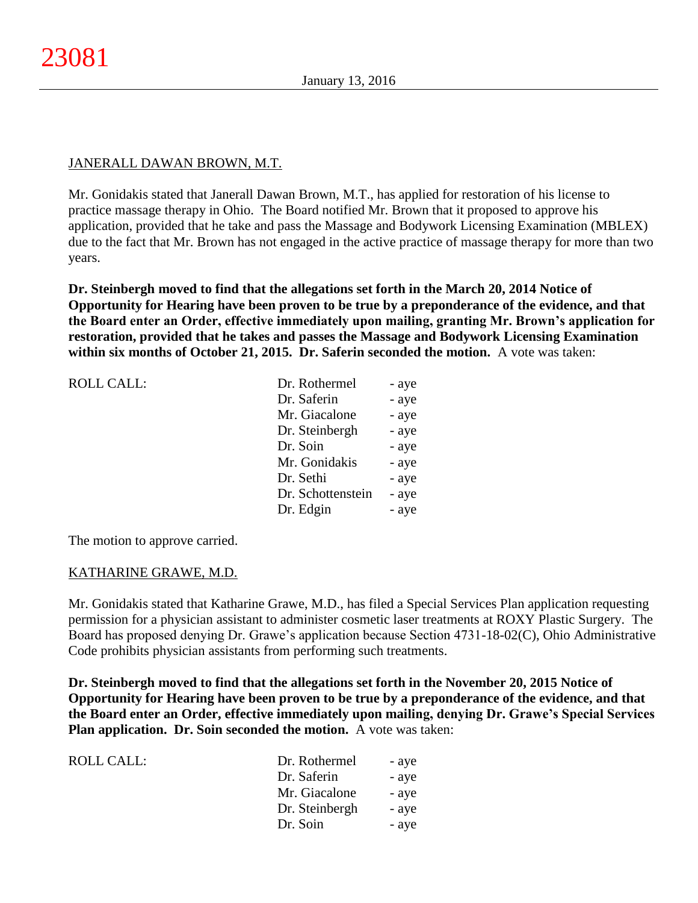# JANERALL DAWAN BROWN, M.T.

Mr. Gonidakis stated that Janerall Dawan Brown, M.T., has applied for restoration of his license to practice massage therapy in Ohio. The Board notified Mr. Brown that it proposed to approve his application, provided that he take and pass the Massage and Bodywork Licensing Examination (MBLEX) due to the fact that Mr. Brown has not engaged in the active practice of massage therapy for more than two years.

**Dr. Steinbergh moved to find that the allegations set forth in the March 20, 2014 Notice of Opportunity for Hearing have been proven to be true by a preponderance of the evidence, and that the Board enter an Order, effective immediately upon mailing, granting Mr. Brown's application for restoration, provided that he takes and passes the Massage and Bodywork Licensing Examination within six months of October 21, 2015. Dr. Saferin seconded the motion.** A vote was taken:

| <b>ROLL CALL:</b> | Dr. Rothermel     | - aye |
|-------------------|-------------------|-------|
|                   | Dr. Saferin       | - aye |
|                   | Mr. Giacalone     | - aye |
|                   | Dr. Steinbergh    | - aye |
|                   | Dr. Soin          | - aye |
|                   | Mr. Gonidakis     | - aye |
|                   | Dr. Sethi         | - aye |
|                   | Dr. Schottenstein | - aye |
|                   | Dr. Edgin         | - aye |
|                   |                   |       |

The motion to approve carried.

# KATHARINE GRAWE, M.D.

Mr. Gonidakis stated that Katharine Grawe, M.D., has filed a Special Services Plan application requesting permission for a physician assistant to administer cosmetic laser treatments at ROXY Plastic Surgery. The Board has proposed denying Dr. Grawe's application because Section 4731-18-02(C), Ohio Administrative Code prohibits physician assistants from performing such treatments.

**Dr. Steinbergh moved to find that the allegations set forth in the November 20, 2015 Notice of Opportunity for Hearing have been proven to be true by a preponderance of the evidence, and that the Board enter an Order, effective immediately upon mailing, denying Dr. Grawe's Special Services Plan application. Dr. Soin seconded the motion.** A vote was taken:

| ROLL CALL: | Dr. Rothermel  | - aye |
|------------|----------------|-------|
|            | Dr. Saferin    | - aye |
|            | Mr. Giacalone  | - aye |
|            | Dr. Steinbergh | - aye |
|            | Dr. Soin       | - aye |
|            |                |       |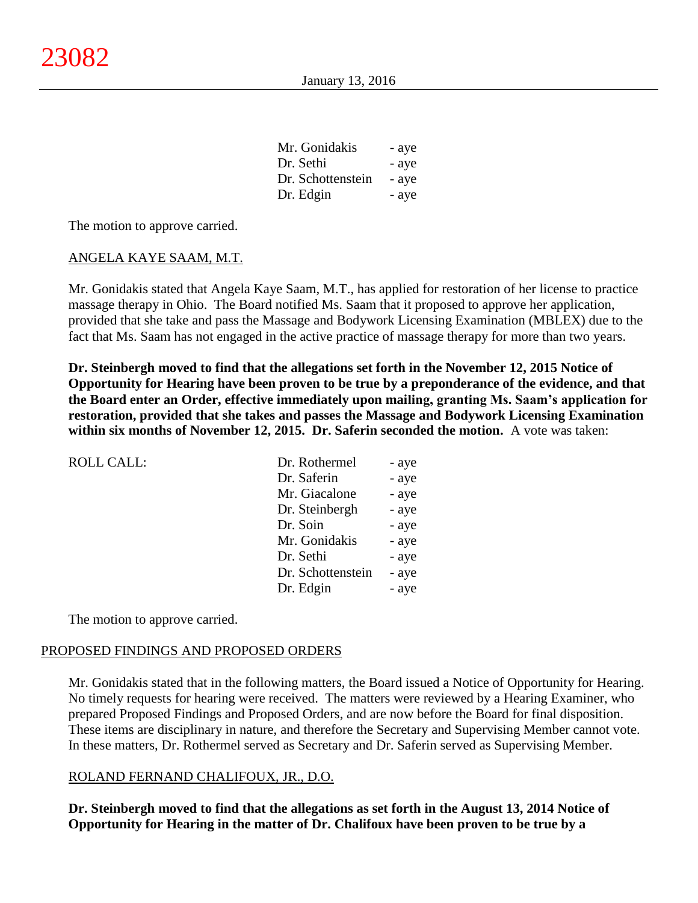| Mr. Gonidakis     | - aye |
|-------------------|-------|
| Dr. Sethi         | - aye |
| Dr. Schottenstein | - aye |
| Dr. Edgin         | - aye |

The motion to approve carried.

#### ANGELA KAYE SAAM, M.T.

Mr. Gonidakis stated that Angela Kaye Saam, M.T., has applied for restoration of her license to practice massage therapy in Ohio. The Board notified Ms. Saam that it proposed to approve her application, provided that she take and pass the Massage and Bodywork Licensing Examination (MBLEX) due to the fact that Ms. Saam has not engaged in the active practice of massage therapy for more than two years.

**Dr. Steinbergh moved to find that the allegations set forth in the November 12, 2015 Notice of Opportunity for Hearing have been proven to be true by a preponderance of the evidence, and that the Board enter an Order, effective immediately upon mailing, granting Ms. Saam's application for restoration, provided that she takes and passes the Massage and Bodywork Licensing Examination within six months of November 12, 2015. Dr. Saferin seconded the motion.** A vote was taken:

| <b>ROLL CALL:</b> | Dr. Rothermel     | - aye |
|-------------------|-------------------|-------|
|                   | Dr. Saferin       | - aye |
|                   | Mr. Giacalone     | - aye |
|                   | Dr. Steinbergh    | - aye |
|                   | Dr. Soin          | - aye |
|                   | Mr. Gonidakis     | - aye |
|                   | Dr. Sethi         | - aye |
|                   | Dr. Schottenstein | - aye |
|                   | Dr. Edgin         | - aye |
|                   |                   |       |

The motion to approve carried.

#### PROPOSED FINDINGS AND PROPOSED ORDERS

Mr. Gonidakis stated that in the following matters, the Board issued a Notice of Opportunity for Hearing. No timely requests for hearing were received. The matters were reviewed by a Hearing Examiner, who prepared Proposed Findings and Proposed Orders, and are now before the Board for final disposition. These items are disciplinary in nature, and therefore the Secretary and Supervising Member cannot vote. In these matters, Dr. Rothermel served as Secretary and Dr. Saferin served as Supervising Member.

#### ROLAND FERNAND CHALIFOUX, JR., D.O.

**Dr. Steinbergh moved to find that the allegations as set forth in the August 13, 2014 Notice of Opportunity for Hearing in the matter of Dr. Chalifoux have been proven to be true by a**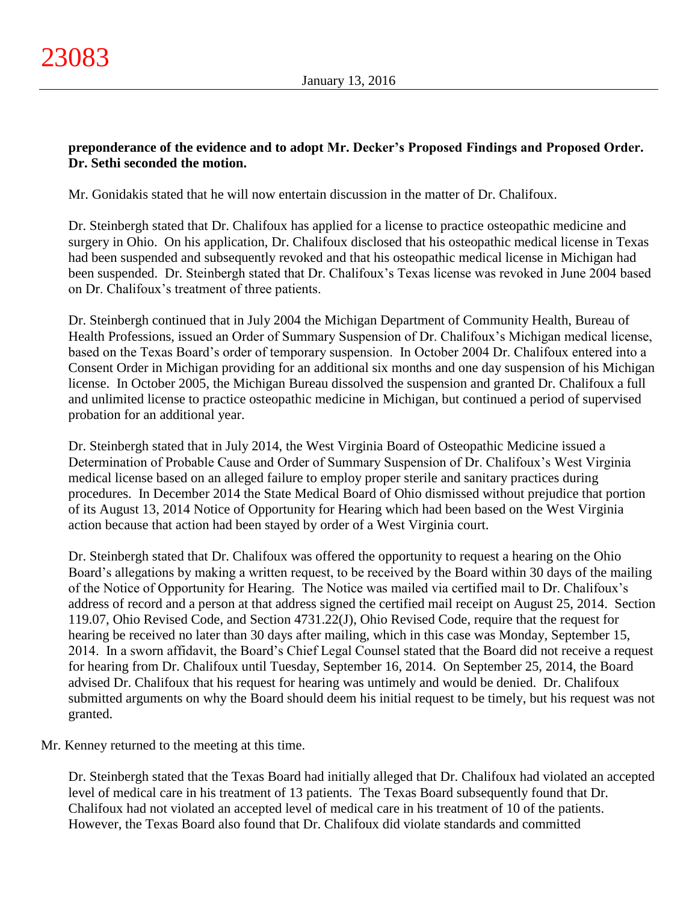# **preponderance of the evidence and to adopt Mr. Decker's Proposed Findings and Proposed Order. Dr. Sethi seconded the motion.**

Mr. Gonidakis stated that he will now entertain discussion in the matter of Dr. Chalifoux.

Dr. Steinbergh stated that Dr. Chalifoux has applied for a license to practice osteopathic medicine and surgery in Ohio. On his application, Dr. Chalifoux disclosed that his osteopathic medical license in Texas had been suspended and subsequently revoked and that his osteopathic medical license in Michigan had been suspended. Dr. Steinbergh stated that Dr. Chalifoux's Texas license was revoked in June 2004 based on Dr. Chalifoux's treatment of three patients.

Dr. Steinbergh continued that in July 2004 the Michigan Department of Community Health, Bureau of Health Professions, issued an Order of Summary Suspension of Dr. Chalifoux's Michigan medical license, based on the Texas Board's order of temporary suspension. In October 2004 Dr. Chalifoux entered into a Consent Order in Michigan providing for an additional six months and one day suspension of his Michigan license. In October 2005, the Michigan Bureau dissolved the suspension and granted Dr. Chalifoux a full and unlimited license to practice osteopathic medicine in Michigan, but continued a period of supervised probation for an additional year.

Dr. Steinbergh stated that in July 2014, the West Virginia Board of Osteopathic Medicine issued a Determination of Probable Cause and Order of Summary Suspension of Dr. Chalifoux's West Virginia medical license based on an alleged failure to employ proper sterile and sanitary practices during procedures. In December 2014 the State Medical Board of Ohio dismissed without prejudice that portion of its August 13, 2014 Notice of Opportunity for Hearing which had been based on the West Virginia action because that action had been stayed by order of a West Virginia court.

Dr. Steinbergh stated that Dr. Chalifoux was offered the opportunity to request a hearing on the Ohio Board's allegations by making a written request, to be received by the Board within 30 days of the mailing of the Notice of Opportunity for Hearing. The Notice was mailed via certified mail to Dr. Chalifoux's address of record and a person at that address signed the certified mail receipt on August 25, 2014. Section 119.07, Ohio Revised Code, and Section 4731.22(J), Ohio Revised Code, require that the request for hearing be received no later than 30 days after mailing, which in this case was Monday, September 15, 2014. In a sworn affidavit, the Board's Chief Legal Counsel stated that the Board did not receive a request for hearing from Dr. Chalifoux until Tuesday, September 16, 2014. On September 25, 2014, the Board advised Dr. Chalifoux that his request for hearing was untimely and would be denied. Dr. Chalifoux submitted arguments on why the Board should deem his initial request to be timely, but his request was not granted.

Mr. Kenney returned to the meeting at this time.

Dr. Steinbergh stated that the Texas Board had initially alleged that Dr. Chalifoux had violated an accepted level of medical care in his treatment of 13 patients. The Texas Board subsequently found that Dr. Chalifoux had not violated an accepted level of medical care in his treatment of 10 of the patients. However, the Texas Board also found that Dr. Chalifoux did violate standards and committed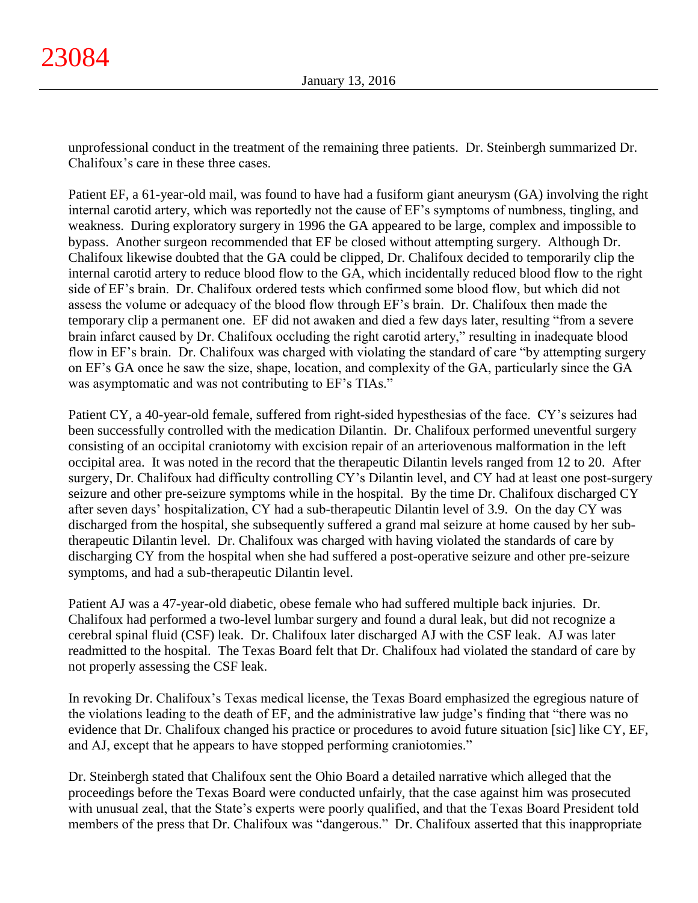unprofessional conduct in the treatment of the remaining three patients. Dr. Steinbergh summarized Dr. Chalifoux's care in these three cases.

Patient EF, a 61-year-old mail, was found to have had a fusiform giant aneurysm (GA) involving the right internal carotid artery, which was reportedly not the cause of EF's symptoms of numbness, tingling, and weakness. During exploratory surgery in 1996 the GA appeared to be large, complex and impossible to bypass. Another surgeon recommended that EF be closed without attempting surgery. Although Dr. Chalifoux likewise doubted that the GA could be clipped, Dr. Chalifoux decided to temporarily clip the internal carotid artery to reduce blood flow to the GA, which incidentally reduced blood flow to the right side of EF's brain. Dr. Chalifoux ordered tests which confirmed some blood flow, but which did not assess the volume or adequacy of the blood flow through EF's brain. Dr. Chalifoux then made the temporary clip a permanent one. EF did not awaken and died a few days later, resulting "from a severe brain infarct caused by Dr. Chalifoux occluding the right carotid artery," resulting in inadequate blood flow in EF's brain. Dr. Chalifoux was charged with violating the standard of care "by attempting surgery on EF's GA once he saw the size, shape, location, and complexity of the GA, particularly since the GA was asymptomatic and was not contributing to EF's TIAs."

Patient CY, a 40-year-old female, suffered from right-sided hypesthesias of the face. CY's seizures had been successfully controlled with the medication Dilantin. Dr. Chalifoux performed uneventful surgery consisting of an occipital craniotomy with excision repair of an arteriovenous malformation in the left occipital area. It was noted in the record that the therapeutic Dilantin levels ranged from 12 to 20. After surgery, Dr. Chalifoux had difficulty controlling CY's Dilantin level, and CY had at least one post-surgery seizure and other pre-seizure symptoms while in the hospital. By the time Dr. Chalifoux discharged CY after seven days' hospitalization, CY had a sub-therapeutic Dilantin level of 3.9. On the day CY was discharged from the hospital, she subsequently suffered a grand mal seizure at home caused by her subtherapeutic Dilantin level. Dr. Chalifoux was charged with having violated the standards of care by discharging CY from the hospital when she had suffered a post-operative seizure and other pre-seizure symptoms, and had a sub-therapeutic Dilantin level.

Patient AJ was a 47-year-old diabetic, obese female who had suffered multiple back injuries. Dr. Chalifoux had performed a two-level lumbar surgery and found a dural leak, but did not recognize a cerebral spinal fluid (CSF) leak. Dr. Chalifoux later discharged AJ with the CSF leak. AJ was later readmitted to the hospital. The Texas Board felt that Dr. Chalifoux had violated the standard of care by not properly assessing the CSF leak.

In revoking Dr. Chalifoux's Texas medical license, the Texas Board emphasized the egregious nature of the violations leading to the death of EF, and the administrative law judge's finding that "there was no evidence that Dr. Chalifoux changed his practice or procedures to avoid future situation [sic] like CY, EF, and AJ, except that he appears to have stopped performing craniotomies."

Dr. Steinbergh stated that Chalifoux sent the Ohio Board a detailed narrative which alleged that the proceedings before the Texas Board were conducted unfairly, that the case against him was prosecuted with unusual zeal, that the State's experts were poorly qualified, and that the Texas Board President told members of the press that Dr. Chalifoux was "dangerous." Dr. Chalifoux asserted that this inappropriate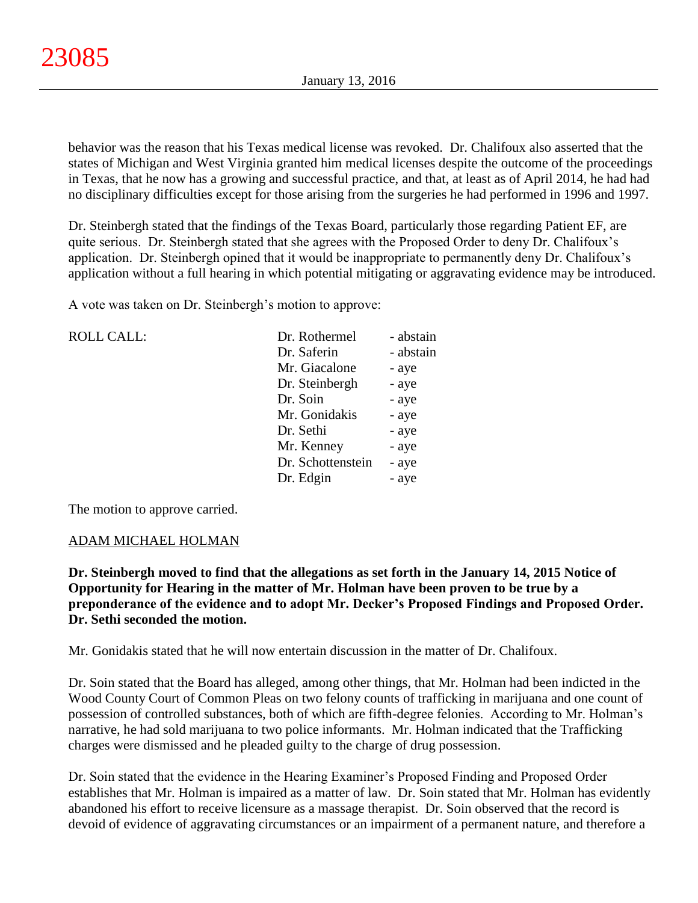behavior was the reason that his Texas medical license was revoked. Dr. Chalifoux also asserted that the states of Michigan and West Virginia granted him medical licenses despite the outcome of the proceedings in Texas, that he now has a growing and successful practice, and that, at least as of April 2014, he had had no disciplinary difficulties except for those arising from the surgeries he had performed in 1996 and 1997.

Dr. Steinbergh stated that the findings of the Texas Board, particularly those regarding Patient EF, are quite serious. Dr. Steinbergh stated that she agrees with the Proposed Order to deny Dr. Chalifoux's application. Dr. Steinbergh opined that it would be inappropriate to permanently deny Dr. Chalifoux's application without a full hearing in which potential mitigating or aggravating evidence may be introduced.

A vote was taken on Dr. Steinbergh's motion to approve:

| <b>ROLL CALL:</b> | Dr. Rothermel     | - abstain |
|-------------------|-------------------|-----------|
|                   | Dr. Saferin       | - abstain |
|                   | Mr. Giacalone     | - aye     |
|                   | Dr. Steinbergh    | - aye     |
|                   | Dr. Soin          | - aye     |
|                   | Mr. Gonidakis     | - aye     |
|                   | Dr. Sethi         | - aye     |
|                   | Mr. Kenney        | - aye     |
|                   | Dr. Schottenstein | - aye     |
|                   | Dr. Edgin         | - aye     |
|                   |                   |           |

The motion to approve carried.

# ADAM MICHAEL HOLMAN

**Dr. Steinbergh moved to find that the allegations as set forth in the January 14, 2015 Notice of Opportunity for Hearing in the matter of Mr. Holman have been proven to be true by a preponderance of the evidence and to adopt Mr. Decker's Proposed Findings and Proposed Order. Dr. Sethi seconded the motion.**

Mr. Gonidakis stated that he will now entertain discussion in the matter of Dr. Chalifoux.

Dr. Soin stated that the Board has alleged, among other things, that Mr. Holman had been indicted in the Wood County Court of Common Pleas on two felony counts of trafficking in marijuana and one count of possession of controlled substances, both of which are fifth-degree felonies. According to Mr. Holman's narrative, he had sold marijuana to two police informants. Mr. Holman indicated that the Trafficking charges were dismissed and he pleaded guilty to the charge of drug possession.

Dr. Soin stated that the evidence in the Hearing Examiner's Proposed Finding and Proposed Order establishes that Mr. Holman is impaired as a matter of law. Dr. Soin stated that Mr. Holman has evidently abandoned his effort to receive licensure as a massage therapist. Dr. Soin observed that the record is devoid of evidence of aggravating circumstances or an impairment of a permanent nature, and therefore a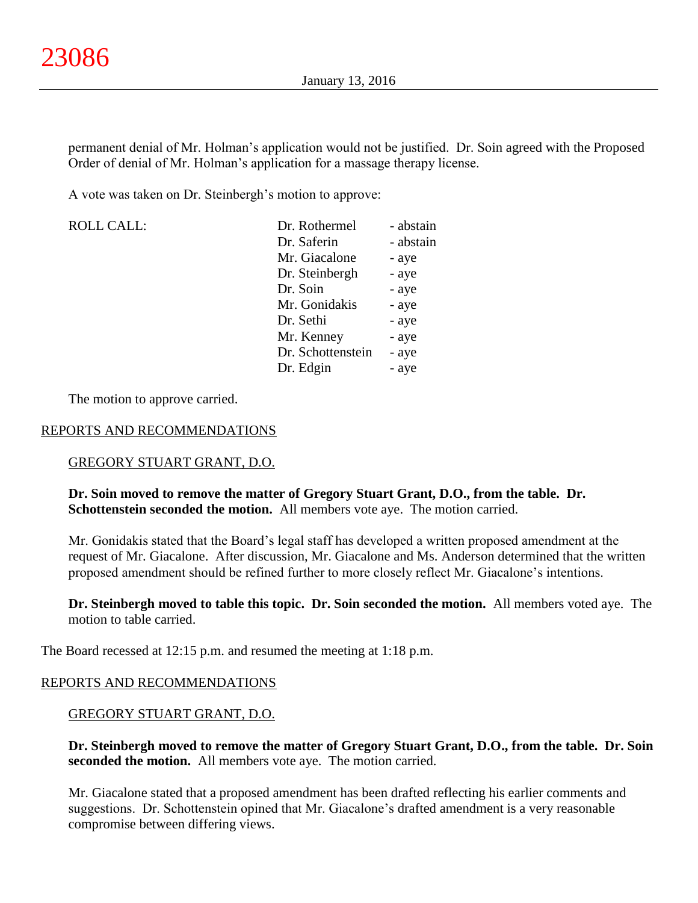permanent denial of Mr. Holman's application would not be justified. Dr. Soin agreed with the Proposed Order of denial of Mr. Holman's application for a massage therapy license.

A vote was taken on Dr. Steinbergh's motion to approve:

| <b>ROLL CALL:</b> | Dr. Rothermel     | - abstain |
|-------------------|-------------------|-----------|
|                   | Dr. Saferin       | - abstain |
|                   | Mr. Giacalone     | - aye     |
|                   | Dr. Steinbergh    | - aye     |
|                   | Dr. Soin          | - aye     |
|                   | Mr. Gonidakis     | - aye     |
|                   | Dr. Sethi         | - aye     |
|                   | Mr. Kenney        | - aye     |
|                   | Dr. Schottenstein | - aye     |
|                   | Dr. Edgin         | - aye     |

The motion to approve carried.

# REPORTS AND RECOMMENDATIONS

# GREGORY STUART GRANT, D.O.

# **Dr. Soin moved to remove the matter of Gregory Stuart Grant, D.O., from the table. Dr. Schottenstein seconded the motion.** All members vote aye. The motion carried.

Mr. Gonidakis stated that the Board's legal staff has developed a written proposed amendment at the request of Mr. Giacalone. After discussion, Mr. Giacalone and Ms. Anderson determined that the written proposed amendment should be refined further to more closely reflect Mr. Giacalone's intentions.

**Dr. Steinbergh moved to table this topic. Dr. Soin seconded the motion.** All members voted aye. The motion to table carried.

The Board recessed at 12:15 p.m. and resumed the meeting at 1:18 p.m.

# REPORTS AND RECOMMENDATIONS

# GREGORY STUART GRANT, D.O.

**Dr. Steinbergh moved to remove the matter of Gregory Stuart Grant, D.O., from the table. Dr. Soin seconded the motion.** All members vote aye. The motion carried.

Mr. Giacalone stated that a proposed amendment has been drafted reflecting his earlier comments and suggestions. Dr. Schottenstein opined that Mr. Giacalone's drafted amendment is a very reasonable compromise between differing views.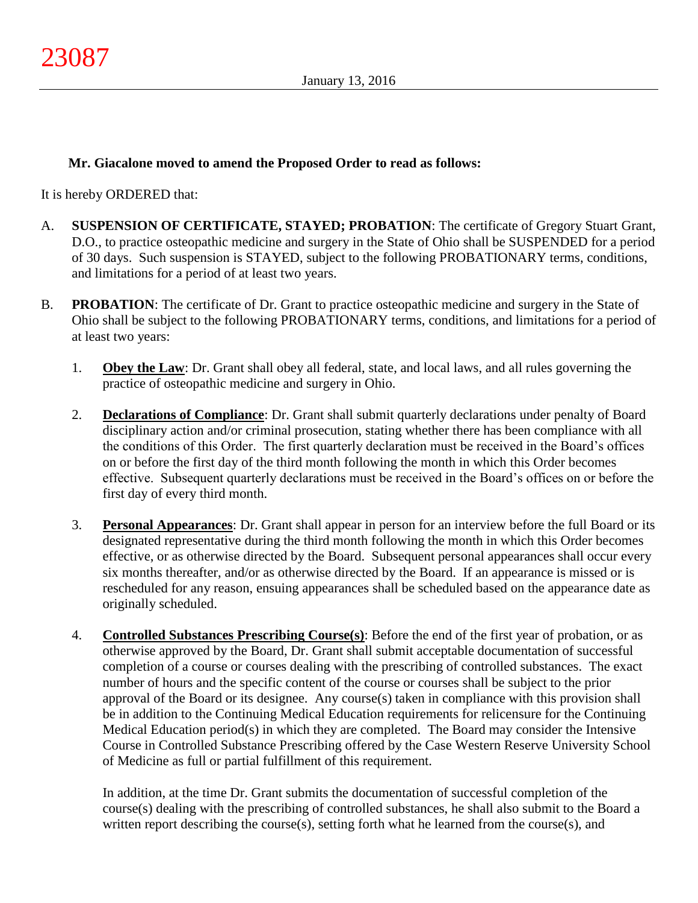# **Mr. Giacalone moved to amend the Proposed Order to read as follows:**

It is hereby ORDERED that:

- A. **SUSPENSION OF CERTIFICATE, STAYED; PROBATION**: The certificate of Gregory Stuart Grant, D.O., to practice osteopathic medicine and surgery in the State of Ohio shall be SUSPENDED for a period of 30 days. Such suspension is STAYED, subject to the following PROBATIONARY terms, conditions, and limitations for a period of at least two years.
- B. **PROBATION**: The certificate of Dr. Grant to practice osteopathic medicine and surgery in the State of Ohio shall be subject to the following PROBATIONARY terms, conditions, and limitations for a period of at least two years:
	- 1. **Obey the Law**: Dr. Grant shall obey all federal, state, and local laws, and all rules governing the practice of osteopathic medicine and surgery in Ohio.
	- 2. **Declarations of Compliance**: Dr. Grant shall submit quarterly declarations under penalty of Board disciplinary action and/or criminal prosecution, stating whether there has been compliance with all the conditions of this Order. The first quarterly declaration must be received in the Board's offices on or before the first day of the third month following the month in which this Order becomes effective. Subsequent quarterly declarations must be received in the Board's offices on or before the first day of every third month.
	- 3. **Personal Appearances**: Dr. Grant shall appear in person for an interview before the full Board or its designated representative during the third month following the month in which this Order becomes effective, or as otherwise directed by the Board. Subsequent personal appearances shall occur every six months thereafter, and/or as otherwise directed by the Board. If an appearance is missed or is rescheduled for any reason, ensuing appearances shall be scheduled based on the appearance date as originally scheduled.
	- 4. **Controlled Substances Prescribing Course(s)**: Before the end of the first year of probation, or as otherwise approved by the Board, Dr. Grant shall submit acceptable documentation of successful completion of a course or courses dealing with the prescribing of controlled substances. The exact number of hours and the specific content of the course or courses shall be subject to the prior approval of the Board or its designee. Any course(s) taken in compliance with this provision shall be in addition to the Continuing Medical Education requirements for relicensure for the Continuing Medical Education period(s) in which they are completed. The Board may consider the Intensive Course in Controlled Substance Prescribing offered by the Case Western Reserve University School of Medicine as full or partial fulfillment of this requirement.

In addition, at the time Dr. Grant submits the documentation of successful completion of the course(s) dealing with the prescribing of controlled substances, he shall also submit to the Board a written report describing the course(s), setting forth what he learned from the course(s), and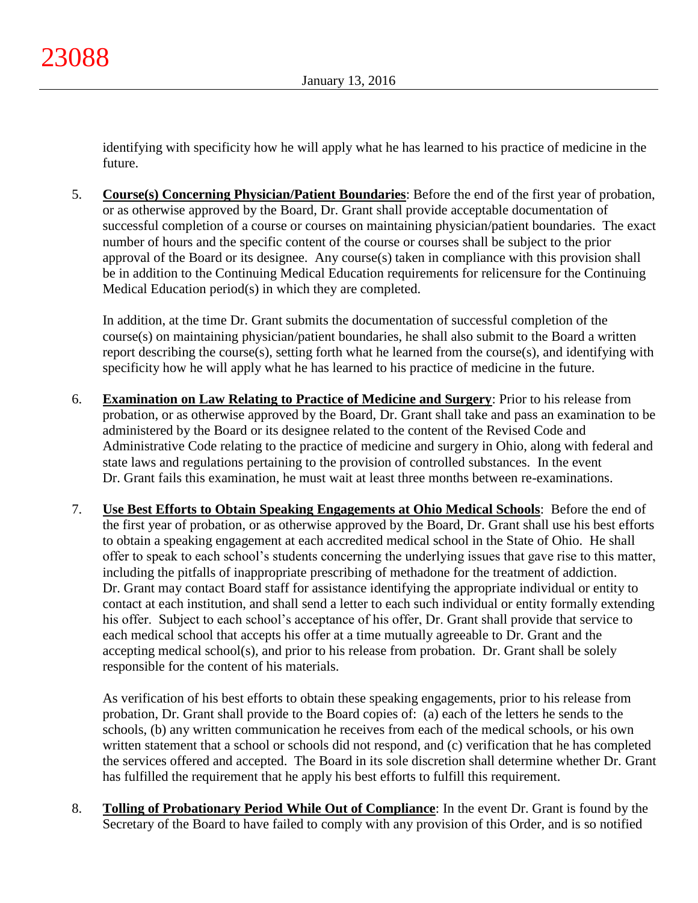identifying with specificity how he will apply what he has learned to his practice of medicine in the future.

5. **Course(s) Concerning Physician/Patient Boundaries**: Before the end of the first year of probation, or as otherwise approved by the Board, Dr. Grant shall provide acceptable documentation of successful completion of a course or courses on maintaining physician/patient boundaries. The exact number of hours and the specific content of the course or courses shall be subject to the prior approval of the Board or its designee. Any course(s) taken in compliance with this provision shall be in addition to the Continuing Medical Education requirements for relicensure for the Continuing Medical Education period(s) in which they are completed.

In addition, at the time Dr. Grant submits the documentation of successful completion of the course(s) on maintaining physician/patient boundaries, he shall also submit to the Board a written report describing the course(s), setting forth what he learned from the course(s), and identifying with specificity how he will apply what he has learned to his practice of medicine in the future.

- 6. **Examination on Law Relating to Practice of Medicine and Surgery**: Prior to his release from probation, or as otherwise approved by the Board, Dr. Grant shall take and pass an examination to be administered by the Board or its designee related to the content of the Revised Code and Administrative Code relating to the practice of medicine and surgery in Ohio, along with federal and state laws and regulations pertaining to the provision of controlled substances. In the event Dr. Grant fails this examination, he must wait at least three months between re-examinations.
- 7. **Use Best Efforts to Obtain Speaking Engagements at Ohio Medical Schools**: Before the end of the first year of probation, or as otherwise approved by the Board, Dr. Grant shall use his best efforts to obtain a speaking engagement at each accredited medical school in the State of Ohio. He shall offer to speak to each school's students concerning the underlying issues that gave rise to this matter, including the pitfalls of inappropriate prescribing of methadone for the treatment of addiction. Dr. Grant may contact Board staff for assistance identifying the appropriate individual or entity to contact at each institution, and shall send a letter to each such individual or entity formally extending his offer. Subject to each school's acceptance of his offer, Dr. Grant shall provide that service to each medical school that accepts his offer at a time mutually agreeable to Dr. Grant and the accepting medical school(s), and prior to his release from probation. Dr. Grant shall be solely responsible for the content of his materials.

As verification of his best efforts to obtain these speaking engagements, prior to his release from probation, Dr. Grant shall provide to the Board copies of: (a) each of the letters he sends to the schools, (b) any written communication he receives from each of the medical schools, or his own written statement that a school or schools did not respond, and (c) verification that he has completed the services offered and accepted. The Board in its sole discretion shall determine whether Dr. Grant has fulfilled the requirement that he apply his best efforts to fulfill this requirement.

8. **Tolling of Probationary Period While Out of Compliance**: In the event Dr. Grant is found by the Secretary of the Board to have failed to comply with any provision of this Order, and is so notified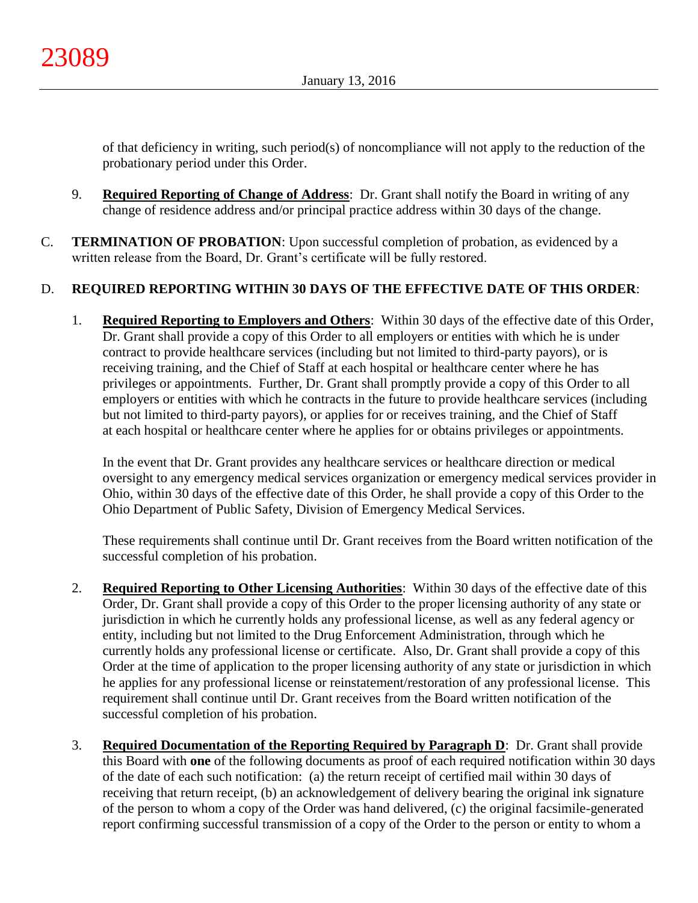of that deficiency in writing, such period(s) of noncompliance will not apply to the reduction of the probationary period under this Order.

- 9. **Required Reporting of Change of Address**: Dr. Grant shall notify the Board in writing of any change of residence address and/or principal practice address within 30 days of the change.
- C. **TERMINATION OF PROBATION**: Upon successful completion of probation, as evidenced by a written release from the Board, Dr. Grant's certificate will be fully restored.

# D. **REQUIRED REPORTING WITHIN 30 DAYS OF THE EFFECTIVE DATE OF THIS ORDER**:

1. **Required Reporting to Employers and Others**: Within 30 days of the effective date of this Order, Dr. Grant shall provide a copy of this Order to all employers or entities with which he is under contract to provide healthcare services (including but not limited to third-party payors), or is receiving training, and the Chief of Staff at each hospital or healthcare center where he has privileges or appointments. Further, Dr. Grant shall promptly provide a copy of this Order to all employers or entities with which he contracts in the future to provide healthcare services (including but not limited to third-party payors), or applies for or receives training, and the Chief of Staff at each hospital or healthcare center where he applies for or obtains privileges or appointments.

In the event that Dr. Grant provides any healthcare services or healthcare direction or medical oversight to any emergency medical services organization or emergency medical services provider in Ohio, within 30 days of the effective date of this Order, he shall provide a copy of this Order to the Ohio Department of Public Safety, Division of Emergency Medical Services.

These requirements shall continue until Dr. Grant receives from the Board written notification of the successful completion of his probation.

- 2. **Required Reporting to Other Licensing Authorities**: Within 30 days of the effective date of this Order, Dr. Grant shall provide a copy of this Order to the proper licensing authority of any state or jurisdiction in which he currently holds any professional license, as well as any federal agency or entity, including but not limited to the Drug Enforcement Administration, through which he currently holds any professional license or certificate. Also, Dr. Grant shall provide a copy of this Order at the time of application to the proper licensing authority of any state or jurisdiction in which he applies for any professional license or reinstatement/restoration of any professional license. This requirement shall continue until Dr. Grant receives from the Board written notification of the successful completion of his probation.
- 3. **Required Documentation of the Reporting Required by Paragraph D**: Dr. Grant shall provide this Board with **one** of the following documents as proof of each required notification within 30 days of the date of each such notification: (a) the return receipt of certified mail within 30 days of receiving that return receipt, (b) an acknowledgement of delivery bearing the original ink signature of the person to whom a copy of the Order was hand delivered, (c) the original facsimile-generated report confirming successful transmission of a copy of the Order to the person or entity to whom a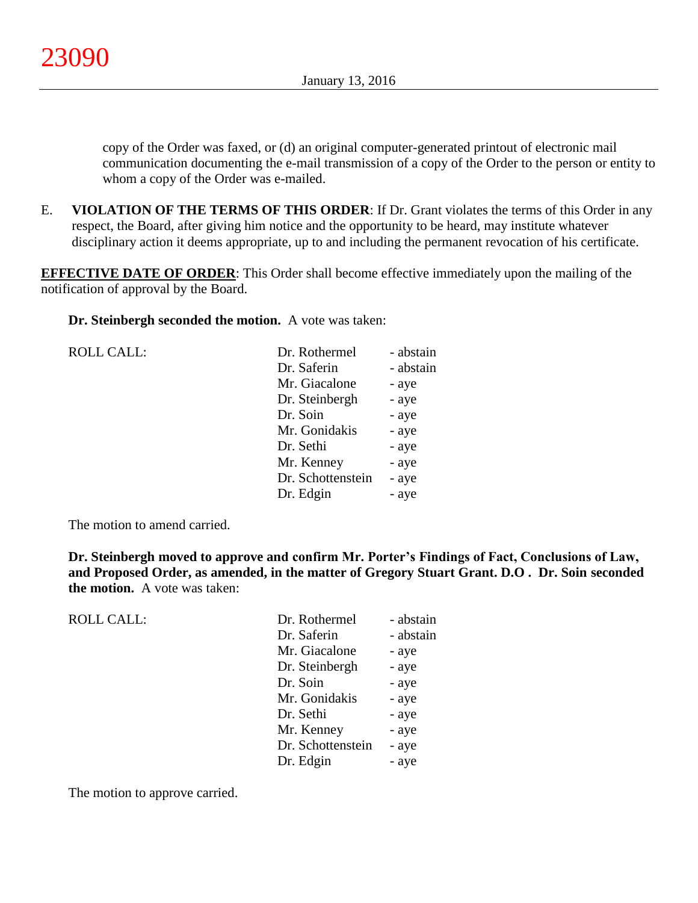copy of the Order was faxed, or (d) an original computer-generated printout of electronic mail communication documenting the e-mail transmission of a copy of the Order to the person or entity to whom a copy of the Order was e-mailed.

E. **VIOLATION OF THE TERMS OF THIS ORDER**: If Dr. Grant violates the terms of this Order in any respect, the Board, after giving him notice and the opportunity to be heard, may institute whatever disciplinary action it deems appropriate, up to and including the permanent revocation of his certificate.

**EFFECTIVE DATE OF ORDER:** This Order shall become effective immediately upon the mailing of the notification of approval by the Board.

**Dr. Steinbergh seconded the motion.** A vote was taken:

| <b>ROLL CALL:</b> | Dr. Rothermel     | - abstain |
|-------------------|-------------------|-----------|
|                   | Dr. Saferin       | - abstain |
|                   | Mr. Giacalone     | - aye     |
|                   | Dr. Steinbergh    | - aye     |
|                   | Dr. Soin          | - aye     |
|                   | Mr. Gonidakis     | - aye     |
|                   | Dr. Sethi         | - aye     |
|                   | Mr. Kenney        | - aye     |
|                   | Dr. Schottenstein | - aye     |
|                   | Dr. Edgin         | - aye     |
|                   |                   |           |

The motion to amend carried.

**Dr. Steinbergh moved to approve and confirm Mr. Porter's Findings of Fact, Conclusions of Law, and Proposed Order, as amended, in the matter of Gregory Stuart Grant. D.O . Dr. Soin seconded the motion.** A vote was taken:

| <b>ROLL CALL:</b> | Dr. Rothermel     | - abstain |
|-------------------|-------------------|-----------|
|                   | Dr. Saferin       | - abstain |
|                   | Mr. Giacalone     | - aye     |
|                   | Dr. Steinbergh    | - aye     |
|                   | Dr. Soin          | - aye     |
|                   | Mr. Gonidakis     | - aye     |
|                   | Dr. Sethi         | - aye     |
|                   | Mr. Kenney        | - aye     |
|                   | Dr. Schottenstein | - aye     |
|                   | Dr. Edgin         | - aye     |
|                   |                   |           |

The motion to approve carried.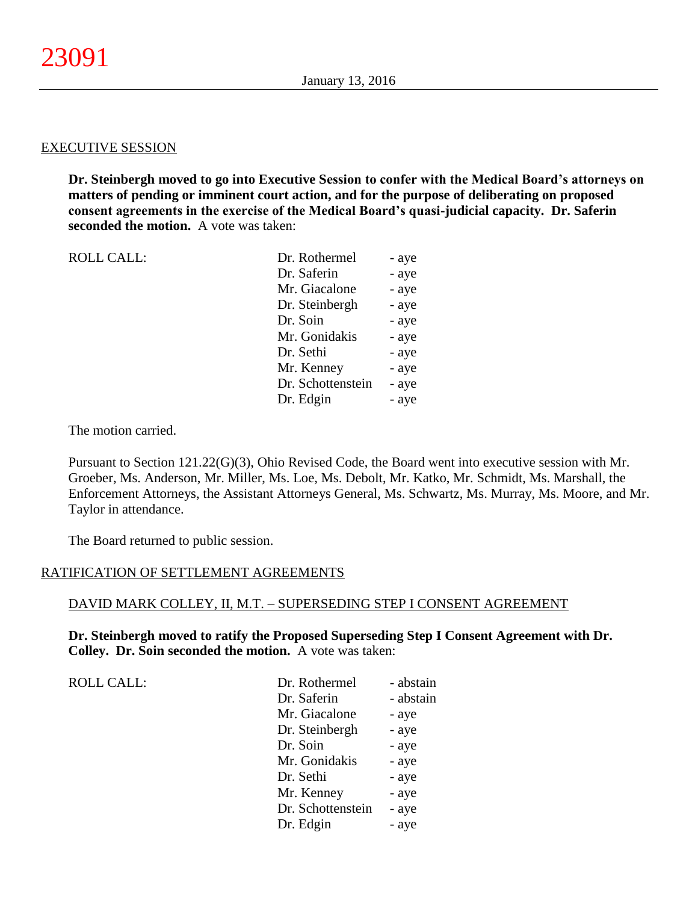#### EXECUTIVE SESSION

**Dr. Steinbergh moved to go into Executive Session to confer with the Medical Board's attorneys on matters of pending or imminent court action, and for the purpose of deliberating on proposed consent agreements in the exercise of the Medical Board's quasi-judicial capacity. Dr. Saferin seconded the motion.** A vote was taken:

| <b>ROLL CALL:</b> | Dr. Rothermel     | - aye |
|-------------------|-------------------|-------|
|                   | Dr. Saferin       | - aye |
|                   | Mr. Giacalone     | - aye |
|                   | Dr. Steinbergh    | - aye |
|                   | Dr. Soin          | - aye |
|                   | Mr. Gonidakis     | - aye |
|                   | Dr. Sethi         | - aye |
|                   | Mr. Kenney        | - aye |
|                   | Dr. Schottenstein | - aye |
|                   | Dr. Edgin         | - aye |

The motion carried.

Pursuant to Section 121.22(G)(3), Ohio Revised Code, the Board went into executive session with Mr. Groeber, Ms. Anderson, Mr. Miller, Ms. Loe, Ms. Debolt, Mr. Katko, Mr. Schmidt, Ms. Marshall, the Enforcement Attorneys, the Assistant Attorneys General, Ms. Schwartz, Ms. Murray, Ms. Moore, and Mr. Taylor in attendance.

The Board returned to public session.

#### RATIFICATION OF SETTLEMENT AGREEMENTS

#### DAVID MARK COLLEY, II, M.T. – SUPERSEDING STEP I CONSENT AGREEMENT

**Dr. Steinbergh moved to ratify the Proposed Superseding Step I Consent Agreement with Dr. Colley. Dr. Soin seconded the motion.** A vote was taken:

ROLL CALL:

| Dr. Rothermel     | - abstain |
|-------------------|-----------|
| Dr. Saferin       | - abstain |
| Mr. Giacalone     | - aye     |
| Dr. Steinbergh    | - aye     |
| Dr. Soin          | - aye     |
| Mr. Gonidakis     | - aye     |
| Dr. Sethi         | - aye     |
| Mr. Kenney        | - aye     |
| Dr. Schottenstein | - aye     |
| Dr. Edgin         | - aye     |
|                   |           |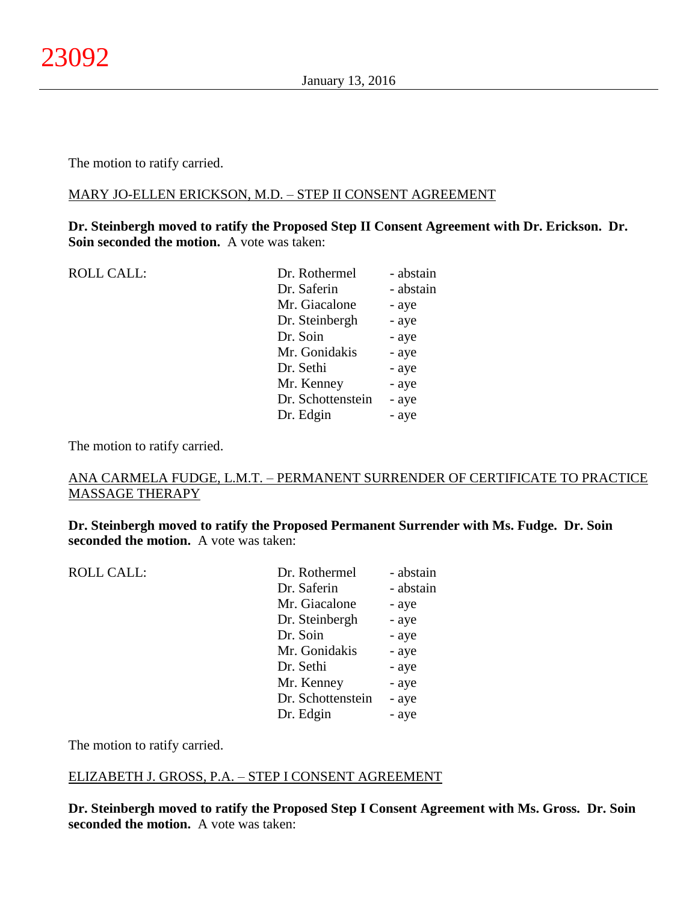The motion to ratify carried.

### MARY JO-ELLEN ERICKSON, M.D. – STEP II CONSENT AGREEMENT

**Dr. Steinbergh moved to ratify the Proposed Step II Consent Agreement with Dr. Erickson. Dr. Soin seconded the motion.** A vote was taken:

| <b>ROLL CALL:</b> | Dr. Rothermel     | - abstain |
|-------------------|-------------------|-----------|
|                   | Dr. Saferin       | - abstain |
|                   | Mr. Giacalone     | - aye     |
|                   | Dr. Steinbergh    | - aye     |
|                   | Dr. Soin          | - aye     |
|                   | Mr. Gonidakis     | - aye     |
|                   | Dr. Sethi         | - aye     |
|                   | Mr. Kenney        | - aye     |
|                   | Dr. Schottenstein | - aye     |
|                   | Dr. Edgin         | - aye     |
|                   |                   |           |

The motion to ratify carried.

# ANA CARMELA FUDGE, L.M.T. – PERMANENT SURRENDER OF CERTIFICATE TO PRACTICE MASSAGE THERAPY

**Dr. Steinbergh moved to ratify the Proposed Permanent Surrender with Ms. Fudge. Dr. Soin seconded the motion.** A vote was taken:

| <b>ROLL CALL:</b> | Dr. Rothermel     | - abstain |
|-------------------|-------------------|-----------|
|                   | Dr. Saferin       | - abstain |
|                   | Mr. Giacalone     | - aye     |
|                   | Dr. Steinbergh    | - aye     |
|                   | Dr. Soin          | - aye     |
|                   | Mr. Gonidakis     | - aye     |
|                   | Dr. Sethi         | - aye     |
|                   | Mr. Kenney        | - aye     |
|                   | Dr. Schottenstein | - aye     |
|                   | Dr. Edgin         | - aye     |
|                   |                   |           |

The motion to ratify carried.

# ELIZABETH J. GROSS, P.A. – STEP I CONSENT AGREEMENT

**Dr. Steinbergh moved to ratify the Proposed Step I Consent Agreement with Ms. Gross. Dr. Soin seconded the motion.** A vote was taken: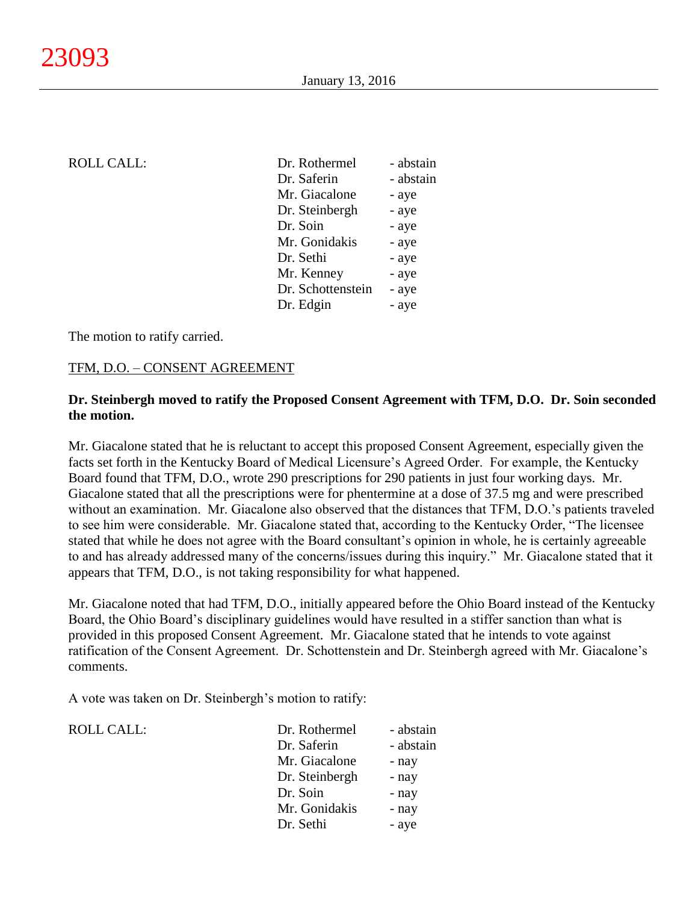ROLL CALL:

| <b>ROLL CALL:</b> | Dr. Rothermel     | - abstain |
|-------------------|-------------------|-----------|
|                   | Dr. Saferin       | - abstain |
|                   | Mr. Giacalone     | - aye     |
|                   | Dr. Steinbergh    | - aye     |
|                   | Dr. Soin          | - aye     |
|                   | Mr. Gonidakis     | - aye     |
|                   | Dr. Sethi         | - aye     |
|                   | Mr. Kenney        | - aye     |
|                   | Dr. Schottenstein | - aye     |
|                   | Dr. Edgin         | - aye     |
|                   |                   |           |

The motion to ratify carried.

#### TFM, D.O. – CONSENT AGREEMENT

# **Dr. Steinbergh moved to ratify the Proposed Consent Agreement with TFM, D.O. Dr. Soin seconded the motion.**

Mr. Giacalone stated that he is reluctant to accept this proposed Consent Agreement, especially given the facts set forth in the Kentucky Board of Medical Licensure's Agreed Order. For example, the Kentucky Board found that TFM, D.O., wrote 290 prescriptions for 290 patients in just four working days. Mr. Giacalone stated that all the prescriptions were for phentermine at a dose of 37.5 mg and were prescribed without an examination. Mr. Giacalone also observed that the distances that TFM, D.O.'s patients traveled to see him were considerable. Mr. Giacalone stated that, according to the Kentucky Order, "The licensee stated that while he does not agree with the Board consultant's opinion in whole, he is certainly agreeable to and has already addressed many of the concerns/issues during this inquiry." Mr. Giacalone stated that it appears that TFM, D.O., is not taking responsibility for what happened.

Mr. Giacalone noted that had TFM, D.O., initially appeared before the Ohio Board instead of the Kentucky Board, the Ohio Board's disciplinary guidelines would have resulted in a stiffer sanction than what is provided in this proposed Consent Agreement. Mr. Giacalone stated that he intends to vote against ratification of the Consent Agreement. Dr. Schottenstein and Dr. Steinbergh agreed with Mr. Giacalone's comments.

A vote was taken on Dr. Steinbergh's motion to ratify:

| Dr. Rothermel  | - abstain |
|----------------|-----------|
| Dr. Saferin    | - abstain |
| Mr. Giacalone  | - nay     |
| Dr. Steinbergh | - nay     |
| Dr. Soin       | - nay     |
| Mr. Gonidakis  | - nay     |
| Dr. Sethi      | - aye     |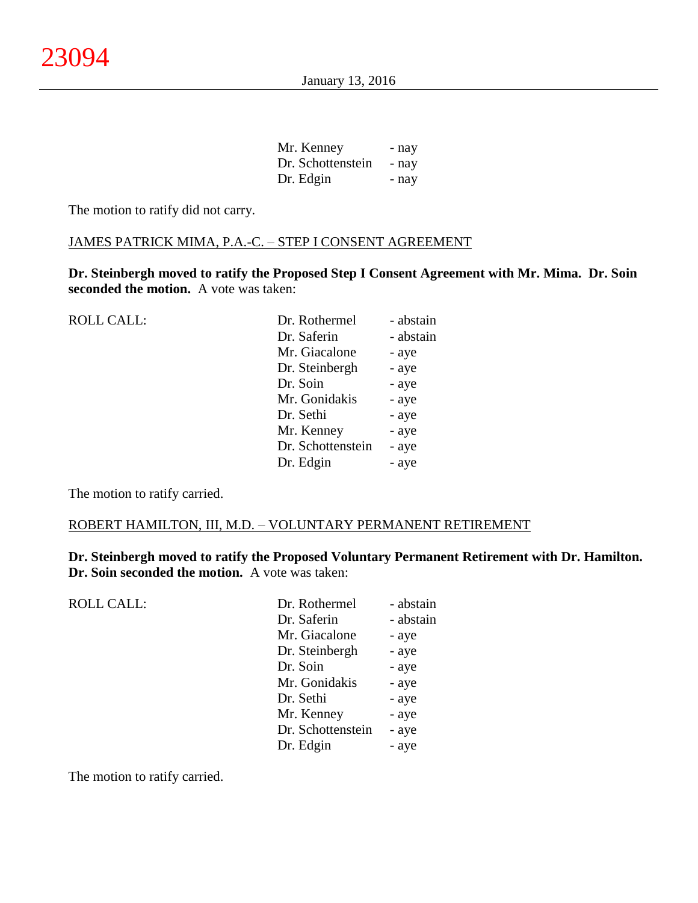| Mr. Kenney        | - nay |
|-------------------|-------|
| Dr. Schottenstein | - nay |
| Dr. Edgin         | - nay |

The motion to ratify did not carry.

#### JAMES PATRICK MIMA, P.A.-C. – STEP I CONSENT AGREEMENT

**Dr. Steinbergh moved to ratify the Proposed Step I Consent Agreement with Mr. Mima. Dr. Soin seconded the motion.** A vote was taken:

| <b>ROLL CALL:</b> | Dr. Rothermel     | - abstain |
|-------------------|-------------------|-----------|
|                   | Dr. Saferin       | - abstain |
|                   | Mr. Giacalone     | - aye     |
|                   | Dr. Steinbergh    | - aye     |
|                   | Dr. Soin          | - aye     |
|                   | Mr. Gonidakis     | - aye     |
|                   | Dr. Sethi         | - aye     |
|                   | Mr. Kenney        | - aye     |
|                   | Dr. Schottenstein | - aye     |
|                   | Dr. Edgin         | - aye     |
|                   |                   |           |

The motion to ratify carried.

#### ROBERT HAMILTON, III, M.D. – VOLUNTARY PERMANENT RETIREMENT

**Dr. Steinbergh moved to ratify the Proposed Voluntary Permanent Retirement with Dr. Hamilton. Dr. Soin seconded the motion.** A vote was taken:

| <b>ROLL CALL:</b> | Dr. Rothermel     | - abstain |
|-------------------|-------------------|-----------|
|                   | Dr. Saferin       | - abstain |
|                   | Mr. Giacalone     | - aye     |
|                   | Dr. Steinbergh    | - aye     |
|                   | Dr. Soin          | - aye     |
|                   | Mr. Gonidakis     | - aye     |
|                   | Dr. Sethi         | - aye     |
|                   | Mr. Kenney        | - aye     |
|                   | Dr. Schottenstein | - aye     |
|                   | Dr. Edgin         | - aye     |
|                   |                   |           |

The motion to ratify carried.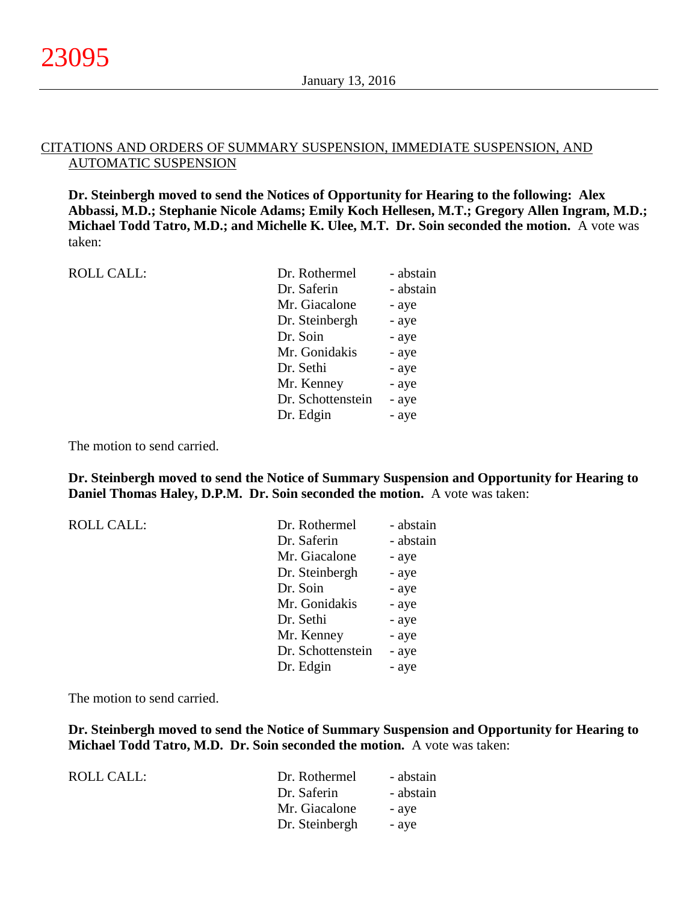#### CITATIONS AND ORDERS OF SUMMARY SUSPENSION, IMMEDIATE SUSPENSION, AND AUTOMATIC SUSPENSION

**Dr. Steinbergh moved to send the Notices of Opportunity for Hearing to the following: Alex Abbassi, M.D.; Stephanie Nicole Adams; Emily Koch Hellesen, M.T.; Gregory Allen Ingram, M.D.; Michael Todd Tatro, M.D.; and Michelle K. Ulee, M.T. Dr. Soin seconded the motion.** A vote was taken:

| <b>ROLL CALL:</b> | Dr. Rothermel     | - abstain |
|-------------------|-------------------|-----------|
|                   | Dr. Saferin       | - abstain |
|                   | Mr. Giacalone     | - aye     |
|                   | Dr. Steinbergh    | - aye     |
|                   | Dr. Soin          | - aye     |
|                   | Mr. Gonidakis     | - aye     |
|                   | Dr. Sethi         | - aye     |
|                   | Mr. Kenney        | - aye     |
|                   | Dr. Schottenstein | - aye     |
|                   | Dr. Edgin         | - aye     |
|                   |                   |           |

The motion to send carried.

**Dr. Steinbergh moved to send the Notice of Summary Suspension and Opportunity for Hearing to Daniel Thomas Haley, D.P.M. Dr. Soin seconded the motion.** A vote was taken:

| <b>ROLL CALL:</b> | Dr. Rothermel     | - abstain |
|-------------------|-------------------|-----------|
|                   | Dr. Saferin       | - abstain |
|                   | Mr. Giacalone     | - aye     |
|                   | Dr. Steinbergh    | - aye     |
|                   | Dr. Soin          | - aye     |
|                   | Mr. Gonidakis     | - aye     |
|                   | Dr. Sethi         | - aye     |
|                   | Mr. Kenney        | - aye     |
|                   | Dr. Schottenstein | - aye     |
|                   | Dr. Edgin         | - aye     |

The motion to send carried.

**Dr. Steinbergh moved to send the Notice of Summary Suspension and Opportunity for Hearing to Michael Todd Tatro, M.D. Dr. Soin seconded the motion.** A vote was taken:

| ROLL CALL: | Dr. Rothermel  | - abstain |
|------------|----------------|-----------|
|            | Dr. Saferin    | - abstain |
|            | Mr. Giacalone  | - ave     |
|            | Dr. Steinbergh | - ave     |
|            |                |           |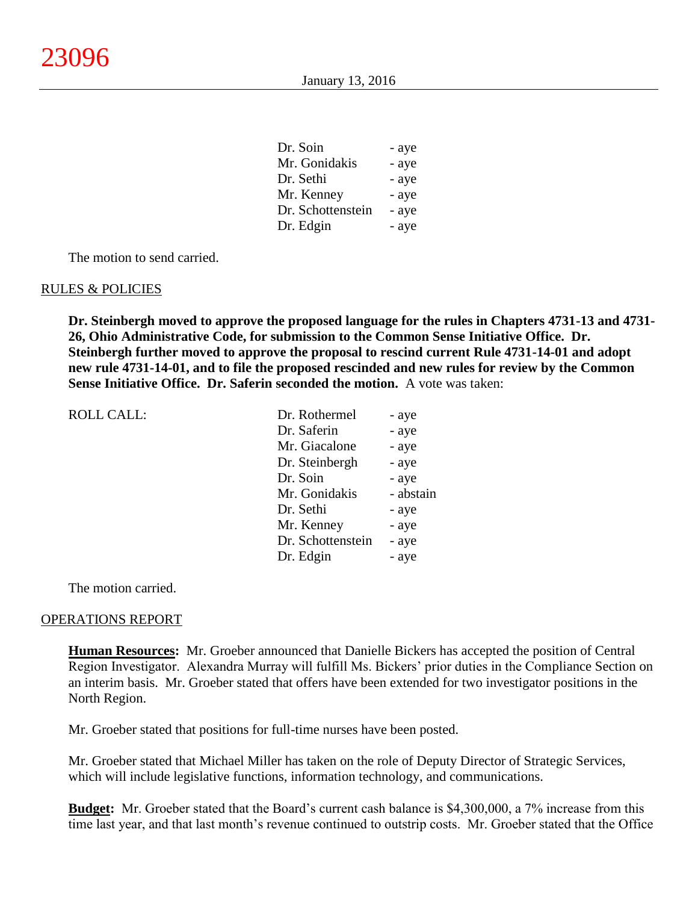| - aye |
|-------|
| - aye |
| - aye |
| - aye |
| - aye |
| - aye |
|       |

The motion to send carried.

#### RULES & POLICIES

**Dr. Steinbergh moved to approve the proposed language for the rules in Chapters 4731-13 and 4731- 26, Ohio Administrative Code, for submission to the Common Sense Initiative Office. Dr. Steinbergh further moved to approve the proposal to rescind current Rule 4731-14-01 and adopt new rule 4731-14-01, and to file the proposed rescinded and new rules for review by the Common Sense Initiative Office. Dr. Saferin seconded the motion.** A vote was taken:

| <b>ROLL CALL:</b> | Dr. Rothermel     | - aye     |
|-------------------|-------------------|-----------|
|                   | Dr. Saferin       | - aye     |
|                   | Mr. Giacalone     | - aye     |
|                   | Dr. Steinbergh    | - aye     |
|                   | Dr. Soin          | - aye     |
|                   | Mr. Gonidakis     | - abstain |
|                   | Dr. Sethi         | - aye     |
|                   | Mr. Kenney        | - aye     |
|                   | Dr. Schottenstein | - aye     |
|                   | Dr. Edgin         | - aye     |
|                   |                   |           |

The motion carried.

#### OPERATIONS REPORT

**Human Resources:** Mr. Groeber announced that Danielle Bickers has accepted the position of Central Region Investigator. Alexandra Murray will fulfill Ms. Bickers' prior duties in the Compliance Section on an interim basis. Mr. Groeber stated that offers have been extended for two investigator positions in the North Region.

Mr. Groeber stated that positions for full-time nurses have been posted.

Mr. Groeber stated that Michael Miller has taken on the role of Deputy Director of Strategic Services, which will include legislative functions, information technology, and communications.

**Budget:** Mr. Groeber stated that the Board's current cash balance is \$4,300,000, a 7% increase from this time last year, and that last month's revenue continued to outstrip costs. Mr. Groeber stated that the Office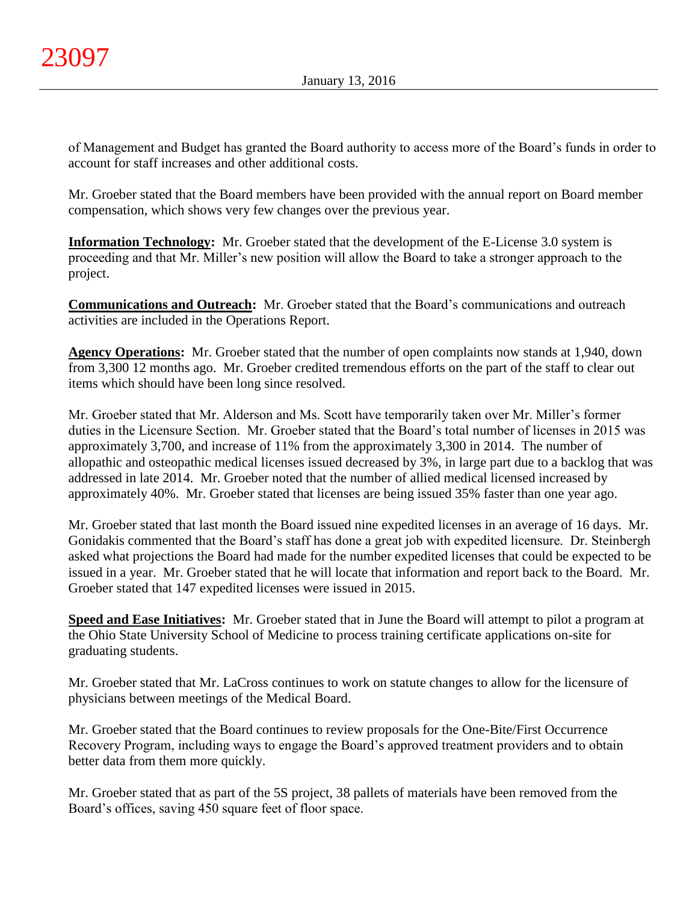of Management and Budget has granted the Board authority to access more of the Board's funds in order to account for staff increases and other additional costs.

Mr. Groeber stated that the Board members have been provided with the annual report on Board member compensation, which shows very few changes over the previous year.

**Information Technology:** Mr. Groeber stated that the development of the E-License 3.0 system is proceeding and that Mr. Miller's new position will allow the Board to take a stronger approach to the project.

**Communications and Outreach:** Mr. Groeber stated that the Board's communications and outreach activities are included in the Operations Report.

**Agency Operations:** Mr. Groeber stated that the number of open complaints now stands at 1,940, down from 3,300 12 months ago. Mr. Groeber credited tremendous efforts on the part of the staff to clear out items which should have been long since resolved.

Mr. Groeber stated that Mr. Alderson and Ms. Scott have temporarily taken over Mr. Miller's former duties in the Licensure Section. Mr. Groeber stated that the Board's total number of licenses in 2015 was approximately 3,700, and increase of 11% from the approximately 3,300 in 2014. The number of allopathic and osteopathic medical licenses issued decreased by 3%, in large part due to a backlog that was addressed in late 2014. Mr. Groeber noted that the number of allied medical licensed increased by approximately 40%. Mr. Groeber stated that licenses are being issued 35% faster than one year ago.

Mr. Groeber stated that last month the Board issued nine expedited licenses in an average of 16 days. Mr. Gonidakis commented that the Board's staff has done a great job with expedited licensure. Dr. Steinbergh asked what projections the Board had made for the number expedited licenses that could be expected to be issued in a year. Mr. Groeber stated that he will locate that information and report back to the Board. Mr. Groeber stated that 147 expedited licenses were issued in 2015.

**Speed and Ease Initiatives:** Mr. Groeber stated that in June the Board will attempt to pilot a program at the Ohio State University School of Medicine to process training certificate applications on-site for graduating students.

Mr. Groeber stated that Mr. LaCross continues to work on statute changes to allow for the licensure of physicians between meetings of the Medical Board.

Mr. Groeber stated that the Board continues to review proposals for the One-Bite/First Occurrence Recovery Program, including ways to engage the Board's approved treatment providers and to obtain better data from them more quickly.

Mr. Groeber stated that as part of the 5S project, 38 pallets of materials have been removed from the Board's offices, saving 450 square feet of floor space.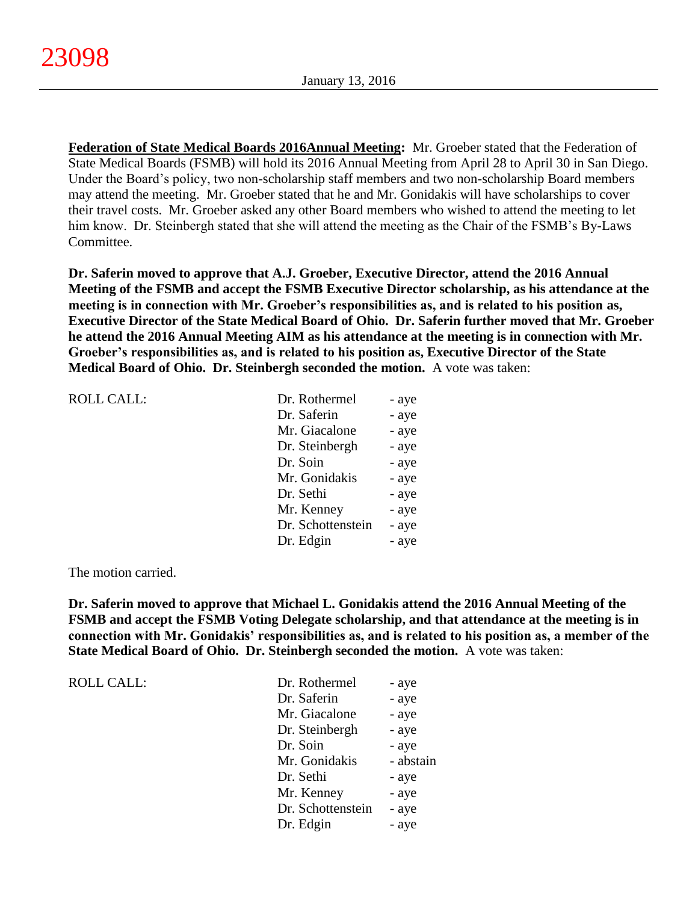**Federation of State Medical Boards 2016Annual Meeting:** Mr. Groeber stated that the Federation of State Medical Boards (FSMB) will hold its 2016 Annual Meeting from April 28 to April 30 in San Diego. Under the Board's policy, two non-scholarship staff members and two non-scholarship Board members may attend the meeting. Mr. Groeber stated that he and Mr. Gonidakis will have scholarships to cover their travel costs. Mr. Groeber asked any other Board members who wished to attend the meeting to let him know. Dr. Steinbergh stated that she will attend the meeting as the Chair of the FSMB's By-Laws Committee.

**Dr. Saferin moved to approve that A.J. Groeber, Executive Director, attend the 2016 Annual Meeting of the FSMB and accept the FSMB Executive Director scholarship, as his attendance at the meeting is in connection with Mr. Groeber's responsibilities as, and is related to his position as, Executive Director of the State Medical Board of Ohio. Dr. Saferin further moved that Mr. Groeber he attend the 2016 Annual Meeting AIM as his attendance at the meeting is in connection with Mr. Groeber's responsibilities as, and is related to his position as, Executive Director of the State Medical Board of Ohio. Dr. Steinbergh seconded the motion.** A vote was taken:

| <b>ROLL CALL:</b> | Dr. Rothermel     | - aye |
|-------------------|-------------------|-------|
|                   | Dr. Saferin       | - aye |
|                   | Mr. Giacalone     | - aye |
|                   | Dr. Steinbergh    | - aye |
|                   | Dr. Soin          | - aye |
|                   | Mr. Gonidakis     | - aye |
|                   | Dr. Sethi         | - aye |
|                   | Mr. Kenney        | - aye |
|                   | Dr. Schottenstein | - aye |
|                   | Dr. Edgin         | - aye |
|                   |                   |       |

The motion carried.

**Dr. Saferin moved to approve that Michael L. Gonidakis attend the 2016 Annual Meeting of the FSMB and accept the FSMB Voting Delegate scholarship, and that attendance at the meeting is in connection with Mr. Gonidakis' responsibilities as, and is related to his position as, a member of the State Medical Board of Ohio. Dr. Steinbergh seconded the motion.** A vote was taken:

ROLL CALL:

| Dr. Rothermel     | - aye     |
|-------------------|-----------|
| Dr. Saferin       | - aye     |
| Mr. Giacalone     | - aye     |
| Dr. Steinbergh    | - aye     |
| Dr. Soin          | - aye     |
| Mr. Gonidakis     | - abstain |
| Dr. Sethi         | - aye     |
| Mr. Kenney        | - aye     |
| Dr. Schottenstein | - aye     |
| Dr. Edgin         | - aye     |
|                   |           |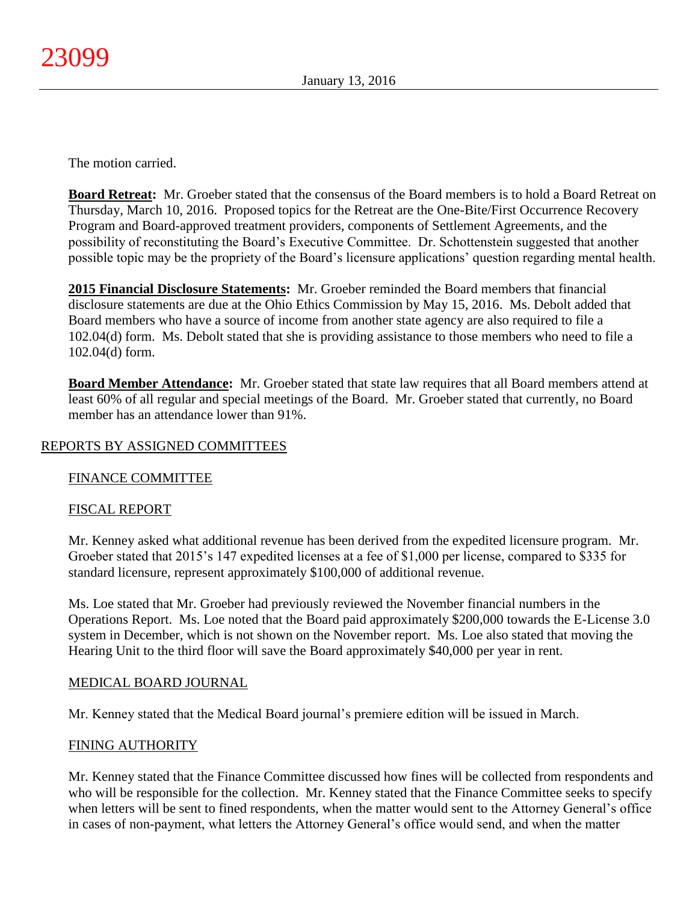The motion carried.

**Board Retreat:** Mr. Groeber stated that the consensus of the Board members is to hold a Board Retreat on Thursday, March 10, 2016. Proposed topics for the Retreat are the One-Bite/First Occurrence Recovery Program and Board-approved treatment providers, components of Settlement Agreements, and the possibility of reconstituting the Board's Executive Committee. Dr. Schottenstein suggested that another possible topic may be the propriety of the Board's licensure applications' question regarding mental health.

**2015 Financial Disclosure Statements:** Mr. Groeber reminded the Board members that financial disclosure statements are due at the Ohio Ethics Commission by May 15, 2016. Ms. Debolt added that Board members who have a source of income from another state agency are also required to file a 102.04(d) form. Ms. Debolt stated that she is providing assistance to those members who need to file a 102.04(d) form.

**Board Member Attendance:** Mr. Groeber stated that state law requires that all Board members attend at least 60% of all regular and special meetings of the Board. Mr. Groeber stated that currently, no Board member has an attendance lower than 91%.

# REPORTS BY ASSIGNED COMMITTEES

# FINANCE COMMITTEE

# FISCAL REPORT

Mr. Kenney asked what additional revenue has been derived from the expedited licensure program. Mr. Groeber stated that 2015's 147 expedited licenses at a fee of \$1,000 per license, compared to \$335 for standard licensure, represent approximately \$100,000 of additional revenue.

Ms. Loe stated that Mr. Groeber had previously reviewed the November financial numbers in the Operations Report. Ms. Loe noted that the Board paid approximately \$200,000 towards the E-License 3.0 system in December, which is not shown on the November report. Ms. Loe also stated that moving the Hearing Unit to the third floor will save the Board approximately \$40,000 per year in rent.

# MEDICAL BOARD JOURNAL

Mr. Kenney stated that the Medical Board journal's premiere edition will be issued in March.

# FINING AUTHORITY

Mr. Kenney stated that the Finance Committee discussed how fines will be collected from respondents and who will be responsible for the collection. Mr. Kenney stated that the Finance Committee seeks to specify when letters will be sent to fined respondents, when the matter would sent to the Attorney General's office in cases of non-payment, what letters the Attorney General's office would send, and when the matter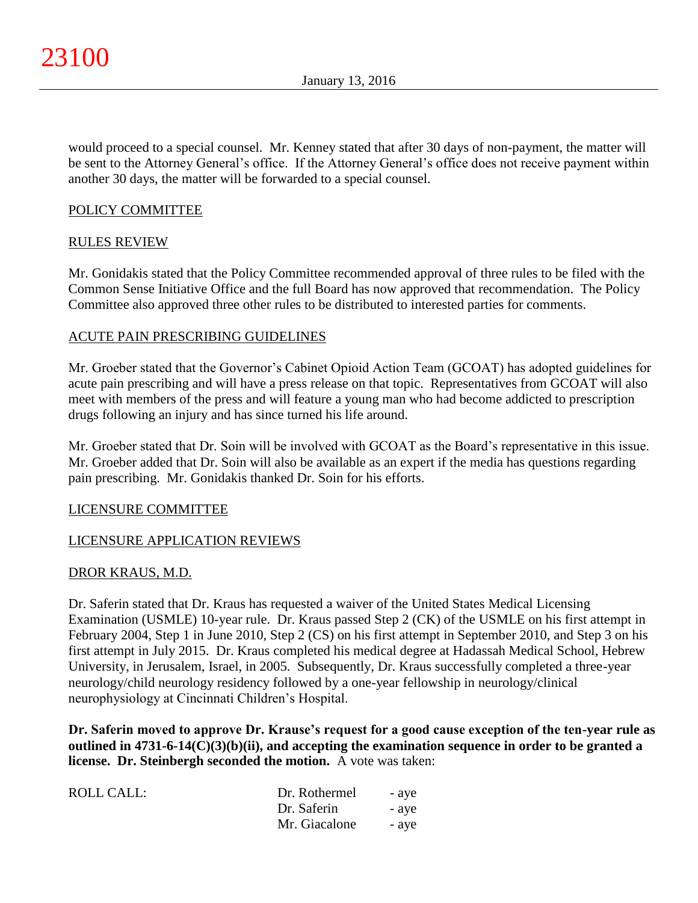would proceed to a special counsel. Mr. Kenney stated that after 30 days of non-payment, the matter will be sent to the Attorney General's office. If the Attorney General's office does not receive payment within another 30 days, the matter will be forwarded to a special counsel.

# POLICY COMMITTEE

# RULES REVIEW

Mr. Gonidakis stated that the Policy Committee recommended approval of three rules to be filed with the Common Sense Initiative Office and the full Board has now approved that recommendation. The Policy Committee also approved three other rules to be distributed to interested parties for comments.

# ACUTE PAIN PRESCRIBING GUIDELINES

Mr. Groeber stated that the Governor's Cabinet Opioid Action Team (GCOAT) has adopted guidelines for acute pain prescribing and will have a press release on that topic. Representatives from GCOAT will also meet with members of the press and will feature a young man who had become addicted to prescription drugs following an injury and has since turned his life around.

Mr. Groeber stated that Dr. Soin will be involved with GCOAT as the Board's representative in this issue. Mr. Groeber added that Dr. Soin will also be available as an expert if the media has questions regarding pain prescribing. Mr. Gonidakis thanked Dr. Soin for his efforts.

# LICENSURE COMMITTEE

# LICENSURE APPLICATION REVIEWS

# DROR KRAUS, M.D.

Dr. Saferin stated that Dr. Kraus has requested a waiver of the United States Medical Licensing Examination (USMLE) 10-year rule. Dr. Kraus passed Step 2 (CK) of the USMLE on his first attempt in February 2004, Step 1 in June 2010, Step 2 (CS) on his first attempt in September 2010, and Step 3 on his first attempt in July 2015. Dr. Kraus completed his medical degree at Hadassah Medical School, Hebrew University, in Jerusalem, Israel, in 2005. Subsequently, Dr. Kraus successfully completed a three-year neurology/child neurology residency followed by a one-year fellowship in neurology/clinical neurophysiology at Cincinnati Children's Hospital.

**Dr. Saferin moved to approve Dr. Krause's request for a good cause exception of the ten-year rule as outlined in 4731-6-14(C)(3)(b)(ii), and accepting the examination sequence in order to be granted a license. Dr. Steinbergh seconded the motion.** A vote was taken:

| ROLL CALL: | Dr. Rothermel | - aye |
|------------|---------------|-------|
|            | Dr. Saferin   | - aye |
|            | Mr. Giacalone | - aye |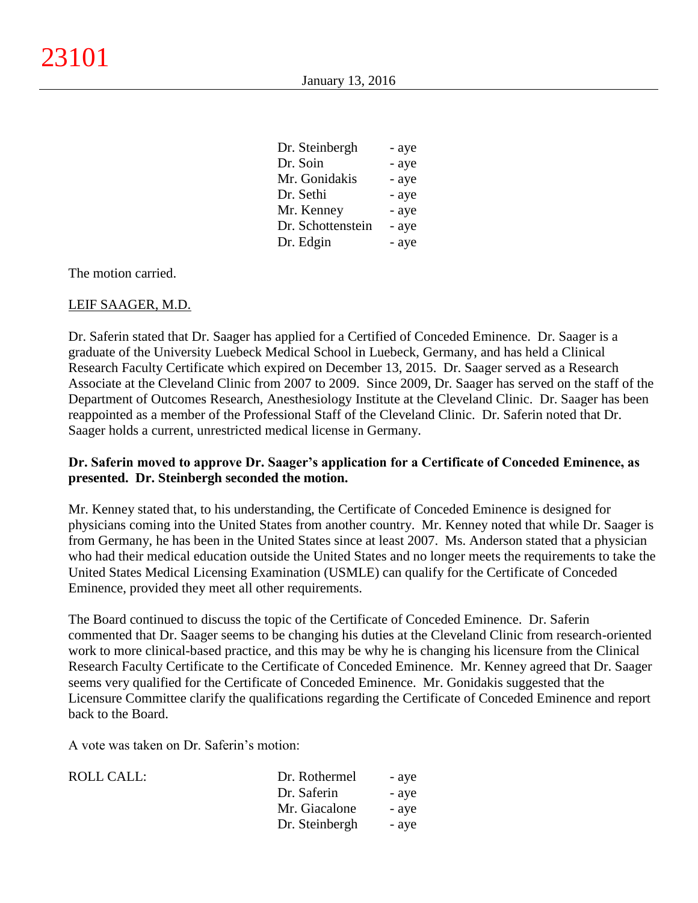| Dr. Steinbergh    | - aye |
|-------------------|-------|
| Dr. Soin          | - aye |
| Mr. Gonidakis     | - aye |
| Dr. Sethi         | - aye |
| Mr. Kenney        | - aye |
| Dr. Schottenstein | - aye |
| Dr. Edgin         | - aye |

The motion carried.

#### LEIF SAAGER, M.D.

Dr. Saferin stated that Dr. Saager has applied for a Certified of Conceded Eminence. Dr. Saager is a graduate of the University Luebeck Medical School in Luebeck, Germany, and has held a Clinical Research Faculty Certificate which expired on December 13, 2015. Dr. Saager served as a Research Associate at the Cleveland Clinic from 2007 to 2009. Since 2009, Dr. Saager has served on the staff of the Department of Outcomes Research, Anesthesiology Institute at the Cleveland Clinic. Dr. Saager has been reappointed as a member of the Professional Staff of the Cleveland Clinic. Dr. Saferin noted that Dr. Saager holds a current, unrestricted medical license in Germany.

# **Dr. Saferin moved to approve Dr. Saager's application for a Certificate of Conceded Eminence, as presented. Dr. Steinbergh seconded the motion.**

Mr. Kenney stated that, to his understanding, the Certificate of Conceded Eminence is designed for physicians coming into the United States from another country. Mr. Kenney noted that while Dr. Saager is from Germany, he has been in the United States since at least 2007. Ms. Anderson stated that a physician who had their medical education outside the United States and no longer meets the requirements to take the United States Medical Licensing Examination (USMLE) can qualify for the Certificate of Conceded Eminence, provided they meet all other requirements.

The Board continued to discuss the topic of the Certificate of Conceded Eminence. Dr. Saferin commented that Dr. Saager seems to be changing his duties at the Cleveland Clinic from research-oriented work to more clinical-based practice, and this may be why he is changing his licensure from the Clinical Research Faculty Certificate to the Certificate of Conceded Eminence. Mr. Kenney agreed that Dr. Saager seems very qualified for the Certificate of Conceded Eminence. Mr. Gonidakis suggested that the Licensure Committee clarify the qualifications regarding the Certificate of Conceded Eminence and report back to the Board.

A vote was taken on Dr. Saferin's motion:

| <b>ROLL CALL:</b> | Dr. Rothermel  | - aye |
|-------------------|----------------|-------|
|                   | Dr. Saferin    | - aye |
|                   | Mr. Giacalone  | - aye |
|                   | Dr. Steinbergh | - aye |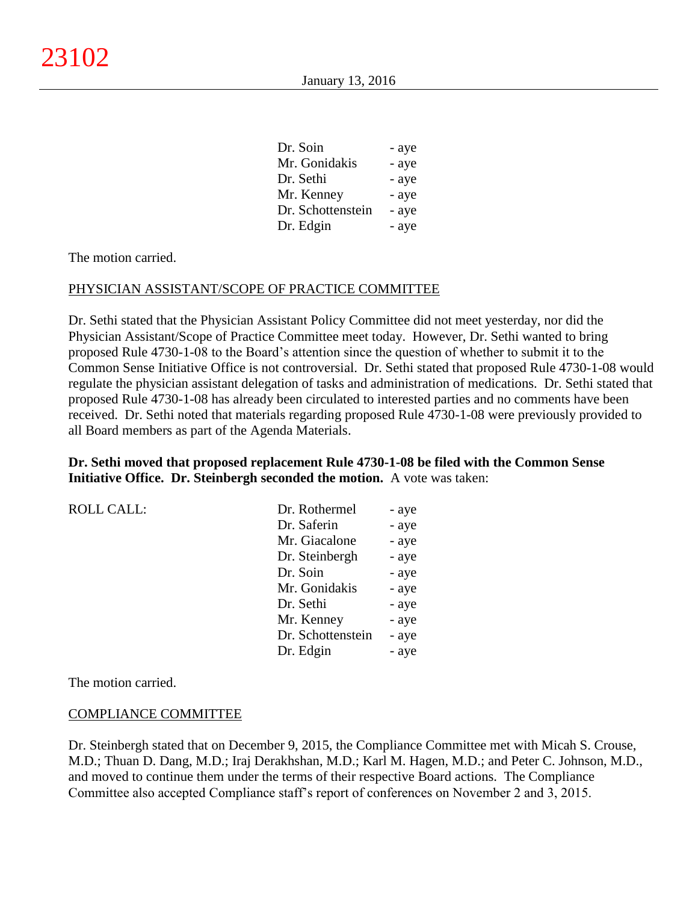| - aye |
|-------|
| - aye |
| - aye |
| - aye |
| - aye |
| - aye |
|       |

The motion carried.

#### PHYSICIAN ASSISTANT/SCOPE OF PRACTICE COMMITTEE

Dr. Sethi stated that the Physician Assistant Policy Committee did not meet yesterday, nor did the Physician Assistant/Scope of Practice Committee meet today. However, Dr. Sethi wanted to bring proposed Rule 4730-1-08 to the Board's attention since the question of whether to submit it to the Common Sense Initiative Office is not controversial. Dr. Sethi stated that proposed Rule 4730-1-08 would regulate the physician assistant delegation of tasks and administration of medications. Dr. Sethi stated that proposed Rule 4730-1-08 has already been circulated to interested parties and no comments have been received. Dr. Sethi noted that materials regarding proposed Rule 4730-1-08 were previously provided to all Board members as part of the Agenda Materials.

#### **Dr. Sethi moved that proposed replacement Rule 4730-1-08 be filed with the Common Sense Initiative Office. Dr. Steinbergh seconded the motion.** A vote was taken:

| <b>ROLL CALL:</b> | Dr. Rothermel     | - aye |
|-------------------|-------------------|-------|
|                   | Dr. Saferin       | - aye |
|                   | Mr. Giacalone     | - aye |
|                   | Dr. Steinbergh    | - aye |
|                   | Dr. Soin          | - aye |
|                   | Mr. Gonidakis     | - aye |
|                   | Dr. Sethi         | - aye |
|                   | Mr. Kenney        | - aye |
|                   | Dr. Schottenstein | - aye |
|                   | Dr. Edgin         | - aye |

The motion carried.

#### COMPLIANCE COMMITTEE

Dr. Steinbergh stated that on December 9, 2015, the Compliance Committee met with Micah S. Crouse, M.D.; Thuan D. Dang, M.D.; Iraj Derakhshan, M.D.; Karl M. Hagen, M.D.; and Peter C. Johnson, M.D., and moved to continue them under the terms of their respective Board actions. The Compliance Committee also accepted Compliance staff's report of conferences on November 2 and 3, 2015.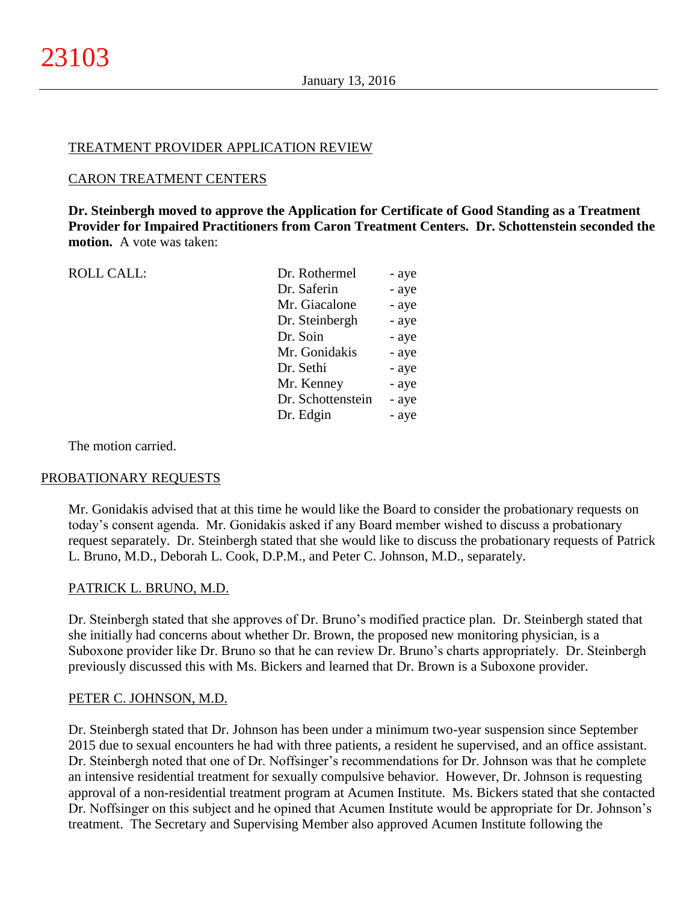#### TREATMENT PROVIDER APPLICATION REVIEW

#### CARON TREATMENT CENTERS

**Dr. Steinbergh moved to approve the Application for Certificate of Good Standing as a Treatment Provider for Impaired Practitioners from Caron Treatment Centers. Dr. Schottenstein seconded the motion.** A vote was taken:

| <b>ROLL CALL:</b> | Dr. Rothermel     | - aye |
|-------------------|-------------------|-------|
|                   | Dr. Saferin       | - aye |
|                   | Mr. Giacalone     | - aye |
|                   | Dr. Steinbergh    | - aye |
|                   | Dr. Soin          | - aye |
|                   | Mr. Gonidakis     | - aye |
|                   | Dr. Sethi         | - aye |
|                   | Mr. Kenney        | - aye |
|                   | Dr. Schottenstein | - aye |
|                   | Dr. Edgin         | - aye |
|                   |                   |       |

The motion carried.

# PROBATIONARY REQUESTS

Mr. Gonidakis advised that at this time he would like the Board to consider the probationary requests on today's consent agenda. Mr. Gonidakis asked if any Board member wished to discuss a probationary request separately. Dr. Steinbergh stated that she would like to discuss the probationary requests of Patrick L. Bruno, M.D., Deborah L. Cook, D.P.M., and Peter C. Johnson, M.D., separately.

# PATRICK L. BRUNO, M.D.

Dr. Steinbergh stated that she approves of Dr. Bruno's modified practice plan. Dr. Steinbergh stated that she initially had concerns about whether Dr. Brown, the proposed new monitoring physician, is a Suboxone provider like Dr. Bruno so that he can review Dr. Bruno's charts appropriately. Dr. Steinbergh previously discussed this with Ms. Bickers and learned that Dr. Brown is a Suboxone provider.

#### PETER C. JOHNSON, M.D.

Dr. Steinbergh stated that Dr. Johnson has been under a minimum two-year suspension since September 2015 due to sexual encounters he had with three patients, a resident he supervised, and an office assistant. Dr. Steinbergh noted that one of Dr. Noffsinger's recommendations for Dr. Johnson was that he complete an intensive residential treatment for sexually compulsive behavior. However, Dr. Johnson is requesting approval of a non-residential treatment program at Acumen Institute. Ms. Bickers stated that she contacted Dr. Noffsinger on this subject and he opined that Acumen Institute would be appropriate for Dr. Johnson's treatment. The Secretary and Supervising Member also approved Acumen Institute following the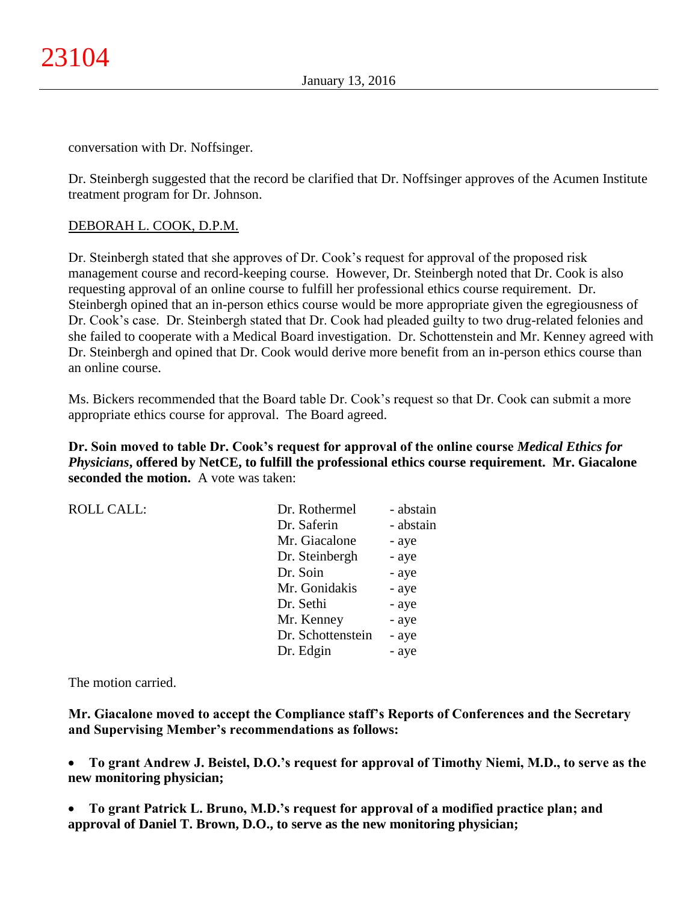conversation with Dr. Noffsinger.

Dr. Steinbergh suggested that the record be clarified that Dr. Noffsinger approves of the Acumen Institute treatment program for Dr. Johnson.

# DEBORAH L. COOK, D.P.M.

Dr. Steinbergh stated that she approves of Dr. Cook's request for approval of the proposed risk management course and record-keeping course. However, Dr. Steinbergh noted that Dr. Cook is also requesting approval of an online course to fulfill her professional ethics course requirement. Dr. Steinbergh opined that an in-person ethics course would be more appropriate given the egregiousness of Dr. Cook's case. Dr. Steinbergh stated that Dr. Cook had pleaded guilty to two drug-related felonies and she failed to cooperate with a Medical Board investigation. Dr. Schottenstein and Mr. Kenney agreed with Dr. Steinbergh and opined that Dr. Cook would derive more benefit from an in-person ethics course than an online course.

Ms. Bickers recommended that the Board table Dr. Cook's request so that Dr. Cook can submit a more appropriate ethics course for approval. The Board agreed.

**Dr. Soin moved to table Dr. Cook's request for approval of the online course** *Medical Ethics for Physicians***, offered by NetCE, to fulfill the professional ethics course requirement. Mr. Giacalone seconded the motion.** A vote was taken:

| <b>ROLL CALL:</b> | Dr. Rothermel     | - abstain |
|-------------------|-------------------|-----------|
|                   | Dr. Saferin       | - abstain |
|                   | Mr. Giacalone     | - aye     |
|                   | Dr. Steinbergh    | - aye     |
|                   | Dr. Soin          | - aye     |
|                   | Mr. Gonidakis     | - aye     |
|                   | Dr. Sethi         | - aye     |
|                   | Mr. Kenney        | - aye     |
|                   | Dr. Schottenstein | - aye     |
|                   | Dr. Edgin         | - aye     |

The motion carried.

**Mr. Giacalone moved to accept the Compliance staff's Reports of Conferences and the Secretary and Supervising Member's recommendations as follows:**

- **To grant Andrew J. Beistel, D.O.'s request for approval of Timothy Niemi, M.D., to serve as the new monitoring physician;**
- **To grant Patrick L. Bruno, M.D.'s request for approval of a modified practice plan; and approval of Daniel T. Brown, D.O., to serve as the new monitoring physician;**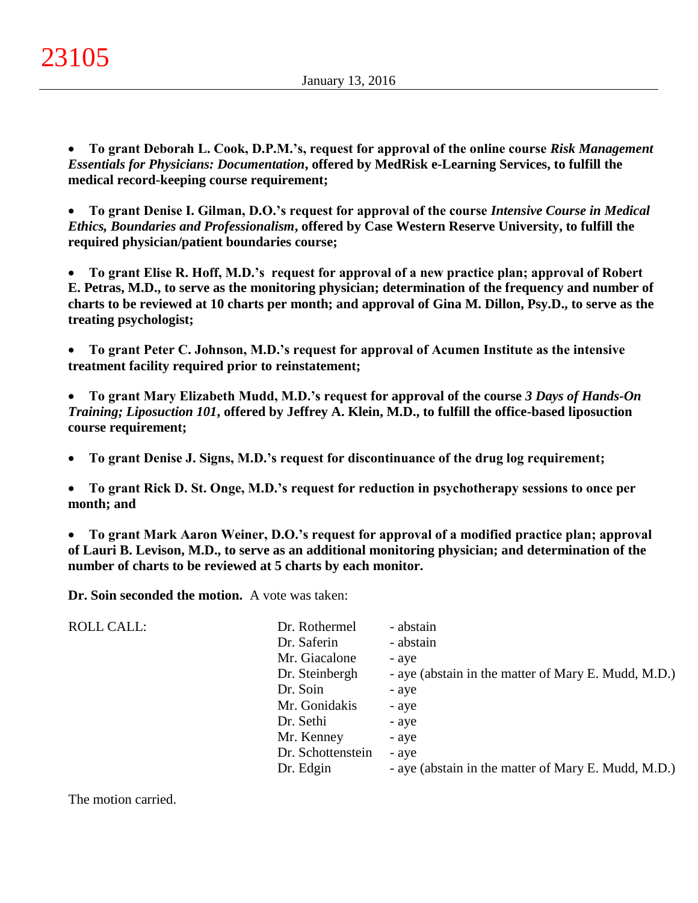**To grant Deborah L. Cook, D.P.M.'s, request for approval of the online course** *Risk Management Essentials for Physicians: Documentation***, offered by MedRisk e-Learning Services, to fulfill the medical record-keeping course requirement;**

 **To grant Denise I. Gilman, D.O.'s request for approval of the course** *Intensive Course in Medical Ethics, Boundaries and Professionalism***, offered by Case Western Reserve University, to fulfill the required physician/patient boundaries course;**

 **To grant Elise R. Hoff, M.D.'s request for approval of a new practice plan; approval of Robert E. Petras, M.D., to serve as the monitoring physician; determination of the frequency and number of charts to be reviewed at 10 charts per month; and approval of Gina M. Dillon, Psy.D., to serve as the treating psychologist;**

 **To grant Peter C. Johnson, M.D.'s request for approval of Acumen Institute as the intensive treatment facility required prior to reinstatement;**

 **To grant Mary Elizabeth Mudd, M.D.'s request for approval of the course** *3 Days of Hands-On Training; Liposuction 101***, offered by Jeffrey A. Klein, M.D., to fulfill the office-based liposuction course requirement;**

**To grant Denise J. Signs, M.D.'s request for discontinuance of the drug log requirement;**

 **To grant Rick D. St. Onge, M.D.'s request for reduction in psychotherapy sessions to once per month; and**

 **To grant Mark Aaron Weiner, D.O.'s request for approval of a modified practice plan; approval of Lauri B. Levison, M.D., to serve as an additional monitoring physician; and determination of the number of charts to be reviewed at 5 charts by each monitor.**

**Dr. Soin seconded the motion.** A vote was taken:

| <b>ROLL CALL:</b> | Dr. Rothermel     | - abstain                                           |
|-------------------|-------------------|-----------------------------------------------------|
|                   | Dr. Saferin       | - abstain                                           |
|                   | Mr. Giacalone     | - aye                                               |
|                   | Dr. Steinbergh    | - aye (abstain in the matter of Mary E. Mudd, M.D.) |
|                   | Dr. Soin          | - aye                                               |
|                   | Mr. Gonidakis     | - aye                                               |
|                   | Dr. Sethi         | - aye                                               |
|                   | Mr. Kenney        | - aye                                               |
|                   | Dr. Schottenstein | - aye                                               |
|                   | Dr. Edgin         | - aye (abstain in the matter of Mary E. Mudd, M.D.) |

The motion carried.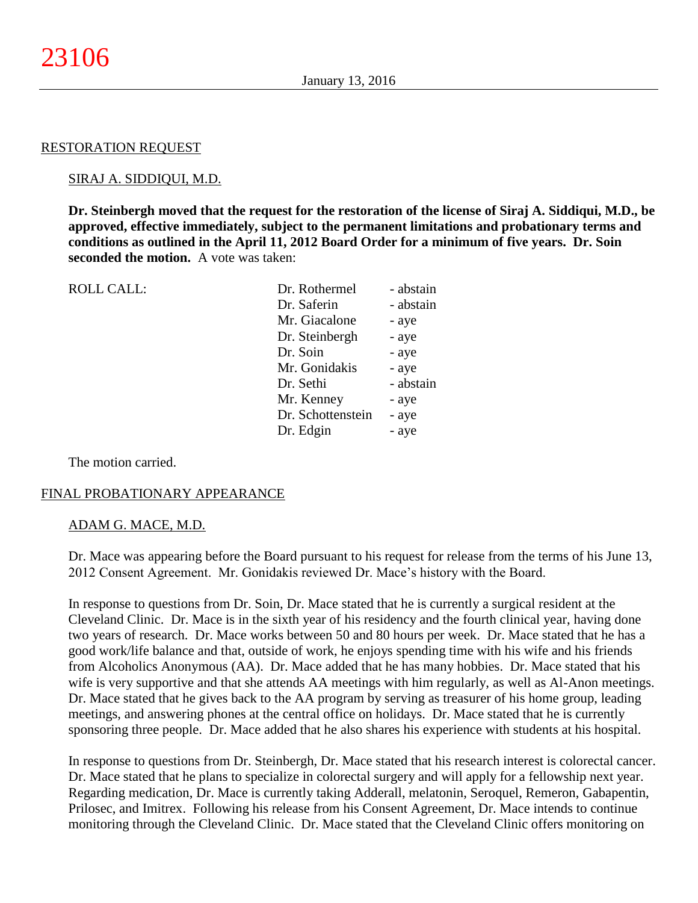#### RESTORATION REQUEST

#### SIRAJ A. SIDDIQUI, M.D.

**Dr. Steinbergh moved that the request for the restoration of the license of Siraj A. Siddiqui, M.D., be approved, effective immediately, subject to the permanent limitations and probationary terms and conditions as outlined in the April 11, 2012 Board Order for a minimum of five years. Dr. Soin seconded the motion.** A vote was taken:

| <b>ROLL CALL:</b> | Dr. Rothermel     | - abstain |
|-------------------|-------------------|-----------|
|                   | Dr. Saferin       | - abstain |
|                   | Mr. Giacalone     | - aye     |
|                   | Dr. Steinbergh    | - aye     |
|                   | Dr. Soin          | - aye     |
|                   | Mr. Gonidakis     | - aye     |
|                   | Dr. Sethi         | - abstain |
|                   | Mr. Kenney        | - aye     |
|                   | Dr. Schottenstein | - aye     |
|                   | Dr. Edgin         | - aye     |
|                   |                   |           |

The motion carried.

#### FINAL PROBATIONARY APPEARANCE

#### ADAM G. MACE, M.D.

Dr. Mace was appearing before the Board pursuant to his request for release from the terms of his June 13, 2012 Consent Agreement. Mr. Gonidakis reviewed Dr. Mace's history with the Board.

In response to questions from Dr. Soin, Dr. Mace stated that he is currently a surgical resident at the Cleveland Clinic. Dr. Mace is in the sixth year of his residency and the fourth clinical year, having done two years of research. Dr. Mace works between 50 and 80 hours per week. Dr. Mace stated that he has a good work/life balance and that, outside of work, he enjoys spending time with his wife and his friends from Alcoholics Anonymous (AA). Dr. Mace added that he has many hobbies. Dr. Mace stated that his wife is very supportive and that she attends AA meetings with him regularly, as well as Al-Anon meetings. Dr. Mace stated that he gives back to the AA program by serving as treasurer of his home group, leading meetings, and answering phones at the central office on holidays. Dr. Mace stated that he is currently sponsoring three people. Dr. Mace added that he also shares his experience with students at his hospital.

In response to questions from Dr. Steinbergh, Dr. Mace stated that his research interest is colorectal cancer. Dr. Mace stated that he plans to specialize in colorectal surgery and will apply for a fellowship next year. Regarding medication, Dr. Mace is currently taking Adderall, melatonin, Seroquel, Remeron, Gabapentin, Prilosec, and Imitrex. Following his release from his Consent Agreement, Dr. Mace intends to continue monitoring through the Cleveland Clinic. Dr. Mace stated that the Cleveland Clinic offers monitoring on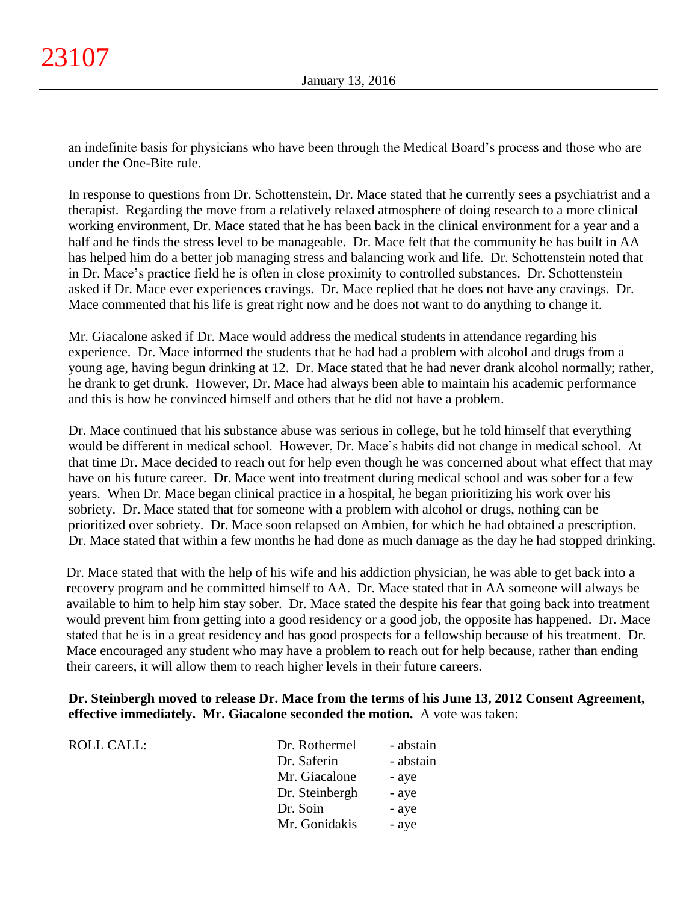an indefinite basis for physicians who have been through the Medical Board's process and those who are under the One-Bite rule.

In response to questions from Dr. Schottenstein, Dr. Mace stated that he currently sees a psychiatrist and a therapist. Regarding the move from a relatively relaxed atmosphere of doing research to a more clinical working environment, Dr. Mace stated that he has been back in the clinical environment for a year and a half and he finds the stress level to be manageable. Dr. Mace felt that the community he has built in AA has helped him do a better job managing stress and balancing work and life. Dr. Schottenstein noted that in Dr. Mace's practice field he is often in close proximity to controlled substances. Dr. Schottenstein asked if Dr. Mace ever experiences cravings. Dr. Mace replied that he does not have any cravings. Dr. Mace commented that his life is great right now and he does not want to do anything to change it.

Mr. Giacalone asked if Dr. Mace would address the medical students in attendance regarding his experience. Dr. Mace informed the students that he had had a problem with alcohol and drugs from a young age, having begun drinking at 12. Dr. Mace stated that he had never drank alcohol normally; rather, he drank to get drunk. However, Dr. Mace had always been able to maintain his academic performance and this is how he convinced himself and others that he did not have a problem.

Dr. Mace continued that his substance abuse was serious in college, but he told himself that everything would be different in medical school. However, Dr. Mace's habits did not change in medical school. At that time Dr. Mace decided to reach out for help even though he was concerned about what effect that may have on his future career. Dr. Mace went into treatment during medical school and was sober for a few years. When Dr. Mace began clinical practice in a hospital, he began prioritizing his work over his sobriety. Dr. Mace stated that for someone with a problem with alcohol or drugs, nothing can be prioritized over sobriety. Dr. Mace soon relapsed on Ambien, for which he had obtained a prescription. Dr. Mace stated that within a few months he had done as much damage as the day he had stopped drinking.

Dr. Mace stated that with the help of his wife and his addiction physician, he was able to get back into a recovery program and he committed himself to AA. Dr. Mace stated that in AA someone will always be available to him to help him stay sober. Dr. Mace stated the despite his fear that going back into treatment would prevent him from getting into a good residency or a good job, the opposite has happened. Dr. Mace stated that he is in a great residency and has good prospects for a fellowship because of his treatment. Dr. Mace encouraged any student who may have a problem to reach out for help because, rather than ending their careers, it will allow them to reach higher levels in their future careers.

# **Dr. Steinbergh moved to release Dr. Mace from the terms of his June 13, 2012 Consent Agreement, effective immediately. Mr. Giacalone seconded the motion.** A vote was taken:

| ROLL CALL: | Dr. Rothermel  | - abstain |
|------------|----------------|-----------|
|            | Dr. Saferin    | - abstain |
|            | Mr. Giacalone  | - aye     |
|            | Dr. Steinbergh | - aye     |
|            | Dr. Soin       | - aye     |
|            | Mr. Gonidakis  | - aye     |